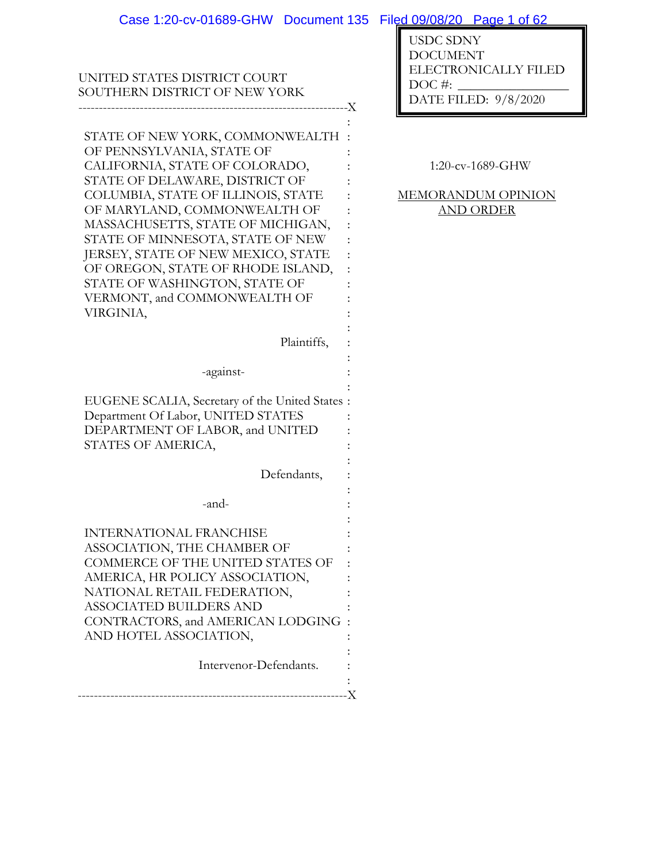-----X

UNITED STATES DISTRICT COURT SOUTHERN DISTRICT OF NEW YORK

------------------------------------------------------------------

STATE OF NEW YORK, COMMONWEALTH : OF PENNSYLVANIA, STATE OF CALIFORNIA, STATE OF COLORADO, STATE OF DELAWARE, DISTRICT OF COLUMBIA, STATE OF ILLINOIS, STATE OF MARYLAND, COMMONWEALTH OF MASSACHUSETTS, STATE OF MICHIGAN, STATE OF MINNESOTA, STATE OF NEW JERSEY, STATE OF NEW MEXICO, STATE OF OREGON, STATE OF RHODE ISLAND, STATE OF WASHINGTON, STATE OF VERMONT, and COMMONWEALTH OF VIRGINIA, : : : : : : : : : : : : :

Plaintiffs,

: : : : :

> : :

: : : : : : : : : : :

: : :

-against-

EUGENE SCALIA, Secretary of the United States : Department Of Labor, UNITED STATES DEPARTMENT OF LABOR, and UNITED STATES OF AMERICA, :

Defendants,

-and-

INTERNATIONAL FRANCHISE ASSOCIATION, THE CHAMBER OF COMMERCE OF THE UNITED STATES OF AMERICA, HR POLICY ASSOCIATION, NATIONAL RETAIL FEDERATION, ASSOCIATED BUILDERS AND CONTRACTORS, and AMERICAN LODGING : AND HOTEL ASSOCIATION,

Intervenor-Defendants.

------------------------------------------------------------------ :  $-X$  USDC SDNY DOCUMENT ELECTRONICALLY FILED  $DOC$  #: DATE FILED: 9/8/2020

1:20-cv-1689-GHW

# MEMORANDUM OPINION AND ORDER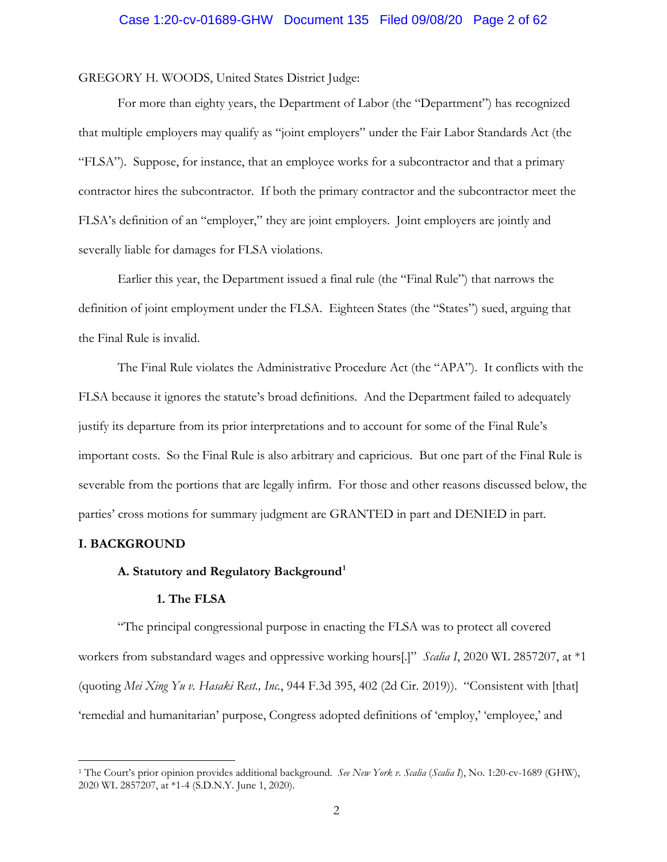## Case 1:20-cv-01689-GHW Document 135 Filed 09/08/20 Page 2 of 62

# GREGORY H. WOODS, United States District Judge:

For more than eighty years, the Department of Labor (the "Department") has recognized that multiple employers may qualify as "joint employers" under the Fair Labor Standards Act (the "FLSA"). Suppose, for instance, that an employee works for a subcontractor and that a primary contractor hires the subcontractor. If both the primary contractor and the subcontractor meet the FLSA's definition of an "employer," they are joint employers. Joint employers are jointly and severally liable for damages for FLSA violations.

Earlier this year, the Department issued a final rule (the "Final Rule") that narrows the definition of joint employment under the FLSA. Eighteen States (the "States") sued, arguing that the Final Rule is invalid.

The Final Rule violates the Administrative Procedure Act (the "APA"). It conflicts with the FLSA because it ignores the statute's broad definitions. And the Department failed to adequately justify its departure from its prior interpretations and to account for some of the Final Rule's important costs. So the Final Rule is also arbitrary and capricious. But one part of the Final Rule is severable from the portions that are legally infirm. For those and other reasons discussed below, the parties' cross motions for summary judgment are GRANTED in part and DENIED in part.

# **I. BACKGROUND**

# **A. Statutory and Regulatory Background1**

# **1. The FLSA**

"The principal congressional purpose in enacting the FLSA was to protect all covered workers from substandard wages and oppressive working hours[.]" *Scalia I*, 2020 WL 2857207, at \*1 (quoting *Mei Xing Yu v. Hasaki Rest., Inc.*, 944 F.3d 395, 402 (2d Cir. 2019)). "Consistent with [that] 'remedial and humanitarian' purpose, Congress adopted definitions of 'employ,' 'employee,' and

<sup>1</sup> The Court's prior opinion provides additional background. *See New York v. Scalia* (*Scalia I*), No. 1:20-cv-1689 (GHW), 2020 WL 2857207, at \*1-4 (S.D.N.Y. June 1, 2020).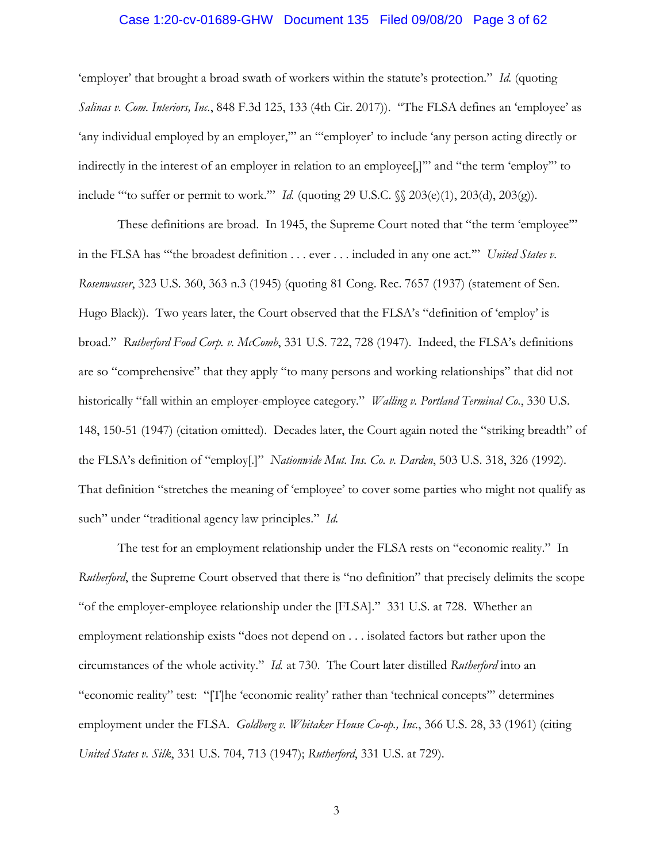### Case 1:20-cv-01689-GHW Document 135 Filed 09/08/20 Page 3 of 62

'employer' that brought a broad swath of workers within the statute's protection." *Id.* (quoting *Salinas v. Com. Interiors, Inc.*, 848 F.3d 125, 133 (4th Cir. 2017)). "The FLSA defines an 'employee' as 'any individual employed by an employer,"" an "'employer' to include 'any person acting directly or indirectly in the interest of an employer in relation to an employee[,]'" and "the term 'employ'" to include "'to suffer or permit to work.'" *Id.* (quoting 29 U.S.C. §§ 203(e)(1), 203(d), 203(g)).

These definitions are broad. In 1945, the Supreme Court noted that "the term 'employee'" in the FLSA has "'the broadest definition . . . ever . . . included in any one act.'" *United States v. Rosenwasser*, 323 U.S. 360, 363 n.3 (1945) (quoting 81 Cong. Rec. 7657 (1937) (statement of Sen. Hugo Black)). Two years later, the Court observed that the FLSA's "definition of 'employ' is broad." *Rutherford Food Corp. v. McComb*, 331 U.S. 722, 728 (1947). Indeed, the FLSA's definitions are so "comprehensive" that they apply "to many persons and working relationships" that did not historically "fall within an employer-employee category." *Walling v. Portland Terminal Co.*, 330 U.S. 148, 150-51 (1947) (citation omitted). Decades later, the Court again noted the "striking breadth" of the FLSA's definition of "employ[.]" *Nationwide Mut. Ins. Co. v. Darden*, 503 U.S. 318, 326 (1992). That definition "stretches the meaning of 'employee' to cover some parties who might not qualify as such" under "traditional agency law principles." *Id.*

The test for an employment relationship under the FLSA rests on "economic reality." In *Rutherford*, the Supreme Court observed that there is "no definition" that precisely delimits the scope "of the employer-employee relationship under the [FLSA]." 331 U.S. at 728. Whether an employment relationship exists "does not depend on . . . isolated factors but rather upon the circumstances of the whole activity." *Id.* at 730. The Court later distilled *Rutherford* into an "economic reality" test: "[T]he 'economic reality' rather than 'technical concepts'" determines employment under the FLSA. *Goldberg v. Whitaker House Co-op., Inc.*, 366 U.S. 28, 33 (1961) (citing *United States v. Silk*, 331 U.S. 704, 713 (1947); *Rutherford*, 331 U.S. at 729).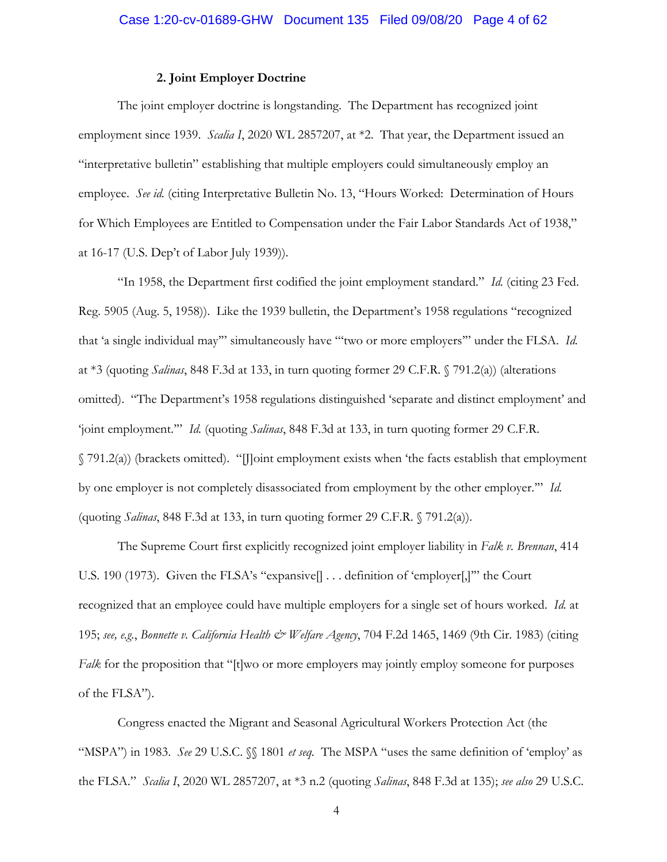## **2. Joint Employer Doctrine**

The joint employer doctrine is longstanding. The Department has recognized joint employment since 1939. *Scalia I*, 2020 WL 2857207, at \*2. That year, the Department issued an "interpretative bulletin" establishing that multiple employers could simultaneously employ an employee. *See id.* (citing Interpretative Bulletin No. 13, "Hours Worked: Determination of Hours for Which Employees are Entitled to Compensation under the Fair Labor Standards Act of 1938," at 16-17 (U.S. Dep't of Labor July 1939)).

"In 1958, the Department first codified the joint employment standard." *Id.* (citing 23 Fed. Reg. 5905 (Aug. 5, 1958)). Like the 1939 bulletin, the Department's 1958 regulations "recognized that 'a single individual may'" simultaneously have "'two or more employers'" under the FLSA. *Id.* at \*3 (quoting *Salinas*, 848 F.3d at 133, in turn quoting former 29 C.F.R. § 791.2(a)) (alterations omitted). "The Department's 1958 regulations distinguished 'separate and distinct employment' and 'joint employment.'" *Id.* (quoting *Salinas*, 848 F.3d at 133, in turn quoting former 29 C.F.R. § 791.2(a)) (brackets omitted). "[J]oint employment exists when 'the facts establish that employment by one employer is not completely disassociated from employment by the other employer.'" *Id.* (quoting *Salinas*, 848 F.3d at 133, in turn quoting former 29 C.F.R. § 791.2(a)).

The Supreme Court first explicitly recognized joint employer liability in *Falk v. Brennan*, 414 U.S. 190 (1973). Given the FLSA's "expansive[] . . . definition of 'employer[,]'" the Court recognized that an employee could have multiple employers for a single set of hours worked. *Id.* at 195; *see, e.g.*, *Bonnette v. California Health & Welfare Agency*, 704 F.2d 1465, 1469 (9th Cir. 1983) (citing *Falk* for the proposition that "[t]wo or more employers may jointly employ someone for purposes of the FLSA").

Congress enacted the Migrant and Seasonal Agricultural Workers Protection Act (the "MSPA") in 1983. *See* 29 U.S.C. §§ 1801 *et seq.* The MSPA "uses the same definition of 'employ' as the FLSA." *Scalia I*, 2020 WL 2857207, at \*3 n.2 (quoting *Salinas*, 848 F.3d at 135); *see also* 29 U.S.C.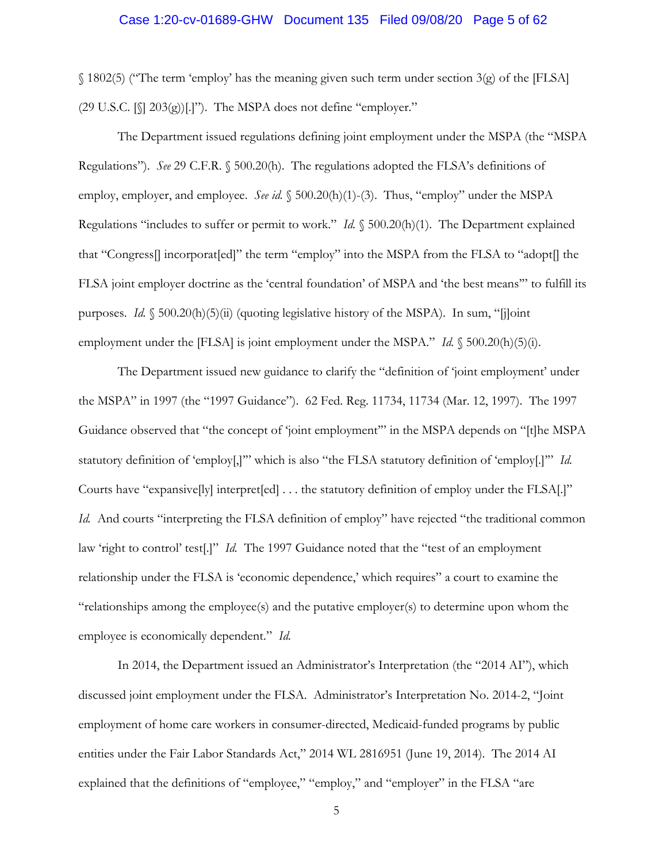#### Case 1:20-cv-01689-GHW Document 135 Filed 09/08/20 Page 5 of 62

 $\%$  1802(5) ("The term 'employ' has the meaning given such term under section 3(g) of the [FLSA]  $(29 \text{ U.S.C.}$  [ $\text{S}$ ]  $203(g)$ ].]''). The MSPA does not define "employer."

The Department issued regulations defining joint employment under the MSPA (the "MSPA Regulations"). *See* 29 C.F.R. § 500.20(h). The regulations adopted the FLSA's definitions of employ, employer, and employee. *See id.* § 500.20(h)(1)-(3). Thus, "employ" under the MSPA Regulations "includes to suffer or permit to work." *Id.* § 500.20(h)(1). The Department explained that "Congress[] incorporat[ed]" the term "employ" into the MSPA from the FLSA to "adopt[] the FLSA joint employer doctrine as the 'central foundation' of MSPA and 'the best means'" to fulfill its purposes. *Id.* § 500.20(h)(5)(ii) (quoting legislative history of the MSPA). In sum, "[j]oint employment under the [FLSA] is joint employment under the MSPA." *Id.* § 500.20(h)(5)(i).

The Department issued new guidance to clarify the "definition of 'joint employment' under the MSPA" in 1997 (the "1997 Guidance"). 62 Fed. Reg. 11734, 11734 (Mar. 12, 1997). The 1997 Guidance observed that "the concept of 'joint employment'" in the MSPA depends on "[t]he MSPA statutory definition of 'employ[,]'" which is also "the FLSA statutory definition of 'employ[.]'" *Id.* Courts have "expansive[ly] interpret[ed] . . . the statutory definition of employ under the FLSA[.]" *Id.* And courts "interpreting the FLSA definition of employ" have rejected "the traditional common law 'right to control' test[.]" *Id.* The 1997 Guidance noted that the "test of an employment relationship under the FLSA is 'economic dependence,' which requires" a court to examine the "relationships among the employee(s) and the putative employer(s) to determine upon whom the employee is economically dependent." *Id.*

In 2014, the Department issued an Administrator's Interpretation (the "2014 AI"), which discussed joint employment under the FLSA. Administrator's Interpretation No. 2014-2, "Joint employment of home care workers in consumer-directed, Medicaid-funded programs by public entities under the Fair Labor Standards Act," 2014 WL 2816951 (June 19, 2014). The 2014 AI explained that the definitions of "employee," "employ," and "employer" in the FLSA "are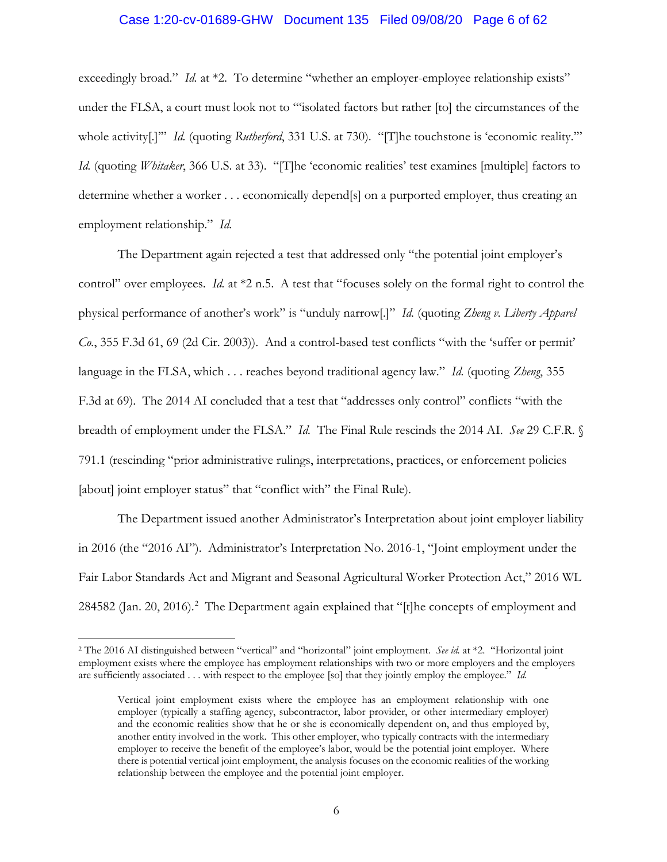### Case 1:20-cv-01689-GHW Document 135 Filed 09/08/20 Page 6 of 62

exceedingly broad." *Id.* at \*2. To determine "whether an employer-employee relationship exists" under the FLSA, a court must look not to "'isolated factors but rather [to] the circumstances of the whole activity[.]" *Id.* (quoting *Rutherford*, 331 U.S. at 730). "[T]he touchstone is 'economic reality."' *Id.* (quoting *Whitaker*, 366 U.S. at 33). "[T]he 'economic realities' test examines [multiple] factors to determine whether a worker . . . economically depend[s] on a purported employer, thus creating an employment relationship." *Id.*

The Department again rejected a test that addressed only "the potential joint employer's control" over employees. *Id.* at \*2 n.5. A test that "focuses solely on the formal right to control the physical performance of another's work" is "unduly narrow[.]" *Id.* (quoting *Zheng v. Liberty Apparel Co.*, 355 F.3d 61, 69 (2d Cir. 2003)). And a control-based test conflicts "with the 'suffer or permit' language in the FLSA, which . . . reaches beyond traditional agency law." *Id.* (quoting *Zheng*, 355 F.3d at 69). The 2014 AI concluded that a test that "addresses only control" conflicts "with the breadth of employment under the FLSA." *Id.* The Final Rule rescinds the 2014 AI. *See* 29 C.F.R. § 791.1 (rescinding "prior administrative rulings, interpretations, practices, or enforcement policies [about] joint employer status" that "conflict with" the Final Rule).

The Department issued another Administrator's Interpretation about joint employer liability in 2016 (the "2016 AI"). Administrator's Interpretation No. 2016-1, "Joint employment under the Fair Labor Standards Act and Migrant and Seasonal Agricultural Worker Protection Act," 2016 WL 284582 (Jan. 20, 2016).<sup>2</sup> The Department again explained that "[t]he concepts of employment and

<sup>2</sup> The 2016 AI distinguished between "vertical" and "horizontal" joint employment. *See id.* at \*2. "Horizontal joint employment exists where the employee has employment relationships with two or more employers and the employers are sufficiently associated . . . with respect to the employee [so] that they jointly employ the employee." *Id.*

Vertical joint employment exists where the employee has an employment relationship with one employer (typically a staffing agency, subcontractor, labor provider, or other intermediary employer) and the economic realities show that he or she is economically dependent on, and thus employed by, another entity involved in the work. This other employer, who typically contracts with the intermediary employer to receive the benefit of the employee's labor, would be the potential joint employer. Where there is potential vertical joint employment, the analysis focuses on the economic realities of the working relationship between the employee and the potential joint employer.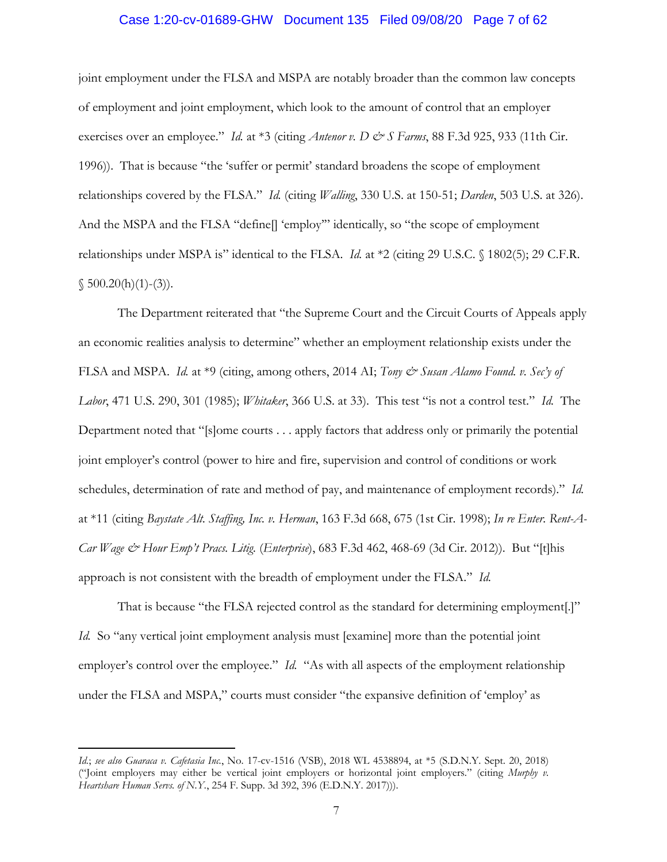## Case 1:20-cv-01689-GHW Document 135 Filed 09/08/20 Page 7 of 62

joint employment under the FLSA and MSPA are notably broader than the common law concepts of employment and joint employment, which look to the amount of control that an employer exercises over an employee." *Id.* at \*3 (citing *Antenor v. D & S Farms*, 88 F.3d 925, 933 (11th Cir. 1996)). That is because "the 'suffer or permit' standard broadens the scope of employment relationships covered by the FLSA." *Id.* (citing *Walling*, 330 U.S. at 150-51; *Darden*, 503 U.S. at 326). And the MSPA and the FLSA "define<sup>[]</sup> 'employ" identically, so "the scope of employment relationships under MSPA is" identical to the FLSA. *Id.* at \*2 (citing 29 U.S.C. § 1802(5); 29 C.F.R.  $$500.20(h)(1)-(3)$ ).

The Department reiterated that "the Supreme Court and the Circuit Courts of Appeals apply an economic realities analysis to determine" whether an employment relationship exists under the FLSA and MSPA. *Id.* at \*9 (citing, among others, 2014 AI; *Tony & Susan Alamo Found. v. Sec'y of Labor*, 471 U.S. 290, 301 (1985); *Whitaker*, 366 U.S. at 33). This test "is not a control test." *Id.* The Department noted that "[s]ome courts . . . apply factors that address only or primarily the potential joint employer's control (power to hire and fire, supervision and control of conditions or work schedules, determination of rate and method of pay, and maintenance of employment records)." *Id.* at \*11 (citing *Baystate Alt. Staffing, Inc. v. Herman*, 163 F.3d 668, 675 (1st Cir. 1998); *In re Enter. Rent-A-Car Wage & Hour Emp't Pracs. Litig.* (*Enterprise*), 683 F.3d 462, 468-69 (3d Cir. 2012)). But "[t]his approach is not consistent with the breadth of employment under the FLSA." *Id.*

That is because "the FLSA rejected control as the standard for determining employment[.]" *Id.* So "any vertical joint employment analysis must [examine] more than the potential joint employer's control over the employee." *Id.* "As with all aspects of the employment relationship under the FLSA and MSPA," courts must consider "the expansive definition of 'employ' as

*Id.*; *see also Guaraca v. Cafetasia Inc.*, No. 17-cv-1516 (VSB), 2018 WL 4538894, at \*5 (S.D.N.Y. Sept. 20, 2018) ("Joint employers may either be vertical joint employers or horizontal joint employers." (citing *Murphy v. Heartshare Human Servs. of N.Y.*, 254 F. Supp. 3d 392, 396 (E.D.N.Y. 2017))).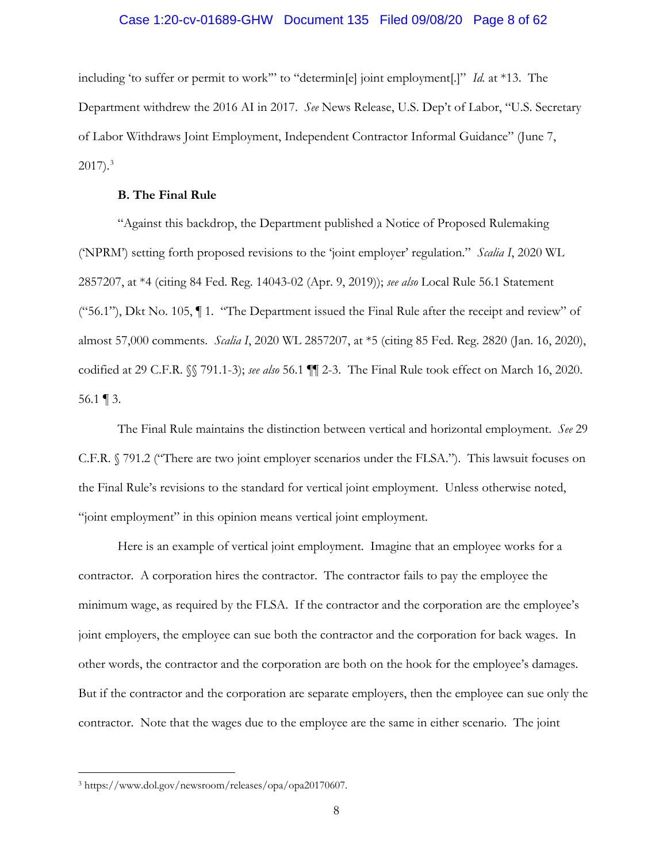## Case 1:20-cv-01689-GHW Document 135 Filed 09/08/20 Page 8 of 62

including 'to suffer or permit to work'" to "determin[e] joint employment[.]" *Id.* at \*13. The Department withdrew the 2016 AI in 2017. *See* News Release, U.S. Dep't of Labor, "U.S. Secretary of Labor Withdraws Joint Employment, Independent Contractor Informal Guidance" (June 7,  $2017$ ).<sup>3</sup>

#### **B. The Final Rule**

"Against this backdrop, the Department published a Notice of Proposed Rulemaking ('NPRM') setting forth proposed revisions to the 'joint employer' regulation." *Scalia I*, 2020 WL 2857207, at \*4 (citing 84 Fed. Reg. 14043-02 (Apr. 9, 2019)); *see also* Local Rule 56.1 Statement ("56.1"), Dkt No. 105, ¶ 1. "The Department issued the Final Rule after the receipt and review" of almost 57,000 comments. *Scalia I*, 2020 WL 2857207, at \*5 (citing 85 Fed. Reg. 2820 (Jan. 16, 2020), codified at 29 C.F.R. §§ 791.1-3); *see also* 56.1 ¶¶ 2-3. The Final Rule took effect on March 16, 2020. 56.1 ¶ 3.

The Final Rule maintains the distinction between vertical and horizontal employment. *See* 29 C.F.R. § 791.2 ("There are two joint employer scenarios under the FLSA."). This lawsuit focuses on the Final Rule's revisions to the standard for vertical joint employment. Unless otherwise noted, "joint employment" in this opinion means vertical joint employment.

Here is an example of vertical joint employment. Imagine that an employee works for a contractor. A corporation hires the contractor. The contractor fails to pay the employee the minimum wage, as required by the FLSA. If the contractor and the corporation are the employee's joint employers, the employee can sue both the contractor and the corporation for back wages. In other words, the contractor and the corporation are both on the hook for the employee's damages. But if the contractor and the corporation are separate employers, then the employee can sue only the contractor. Note that the wages due to the employee are the same in either scenario. The joint

<sup>3</sup> https://www.dol.gov/newsroom/releases/opa/opa20170607.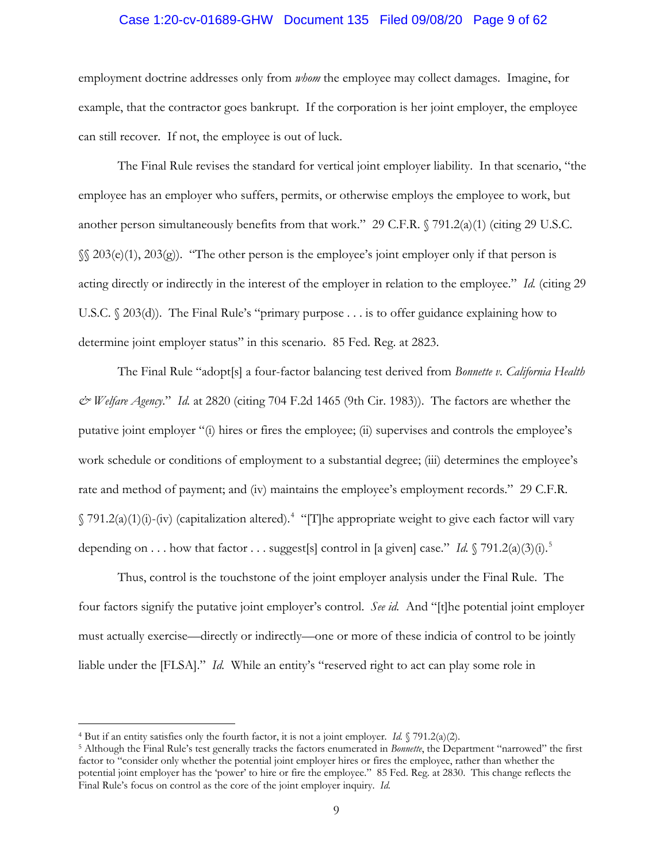## Case 1:20-cv-01689-GHW Document 135 Filed 09/08/20 Page 9 of 62

employment doctrine addresses only from *whom* the employee may collect damages. Imagine, for example, that the contractor goes bankrupt. If the corporation is her joint employer, the employee can still recover. If not, the employee is out of luck.

The Final Rule revises the standard for vertical joint employer liability. In that scenario, "the employee has an employer who suffers, permits, or otherwise employs the employee to work, but another person simultaneously benefits from that work." 29 C.F.R.  $\sqrt{}$  791.2(a)(1) (citing 29 U.S.C.  $\S$  203(e)(1), 203(g)). "The other person is the employee's joint employer only if that person is acting directly or indirectly in the interest of the employer in relation to the employee." *Id.* (citing 29 U.S.C. § 203(d)). The Final Rule's "primary purpose . . . is to offer guidance explaining how to determine joint employer status" in this scenario. 85 Fed. Reg. at 2823.

The Final Rule "adopt[s] a four-factor balancing test derived from *Bonnette v. California Health & Welfare Agency*." *Id.* at 2820 (citing 704 F.2d 1465 (9th Cir. 1983)). The factors are whether the putative joint employer "(i) hires or fires the employee; (ii) supervises and controls the employee's work schedule or conditions of employment to a substantial degree; (iii) determines the employee's rate and method of payment; and (iv) maintains the employee's employment records." 29 C.F.R. § 791.2(a)(1)(i)-(iv) (capitalization altered). 4 "[T]he appropriate weight to give each factor will vary depending on . . . how that factor . . . suggest[s] control in [a given] case." *Id.* § 791.2(a)(3)(i).<sup>5</sup>

Thus, control is the touchstone of the joint employer analysis under the Final Rule. The four factors signify the putative joint employer's control. *See id.* And "[t]he potential joint employer must actually exercise—directly or indirectly—one or more of these indicia of control to be jointly liable under the [FLSA]." *Id.* While an entity's "reserved right to act can play some role in

<sup>4</sup> But if an entity satisfies only the fourth factor, it is not a joint employer. *Id.* § 791.2(a)(2).

<sup>5</sup> Although the Final Rule's test generally tracks the factors enumerated in *Bonnette*, the Department "narrowed" the first factor to "consider only whether the potential joint employer hires or fires the employee, rather than whether the potential joint employer has the 'power' to hire or fire the employee." 85 Fed. Reg. at 2830. This change reflects the Final Rule's focus on control as the core of the joint employer inquiry. *Id.*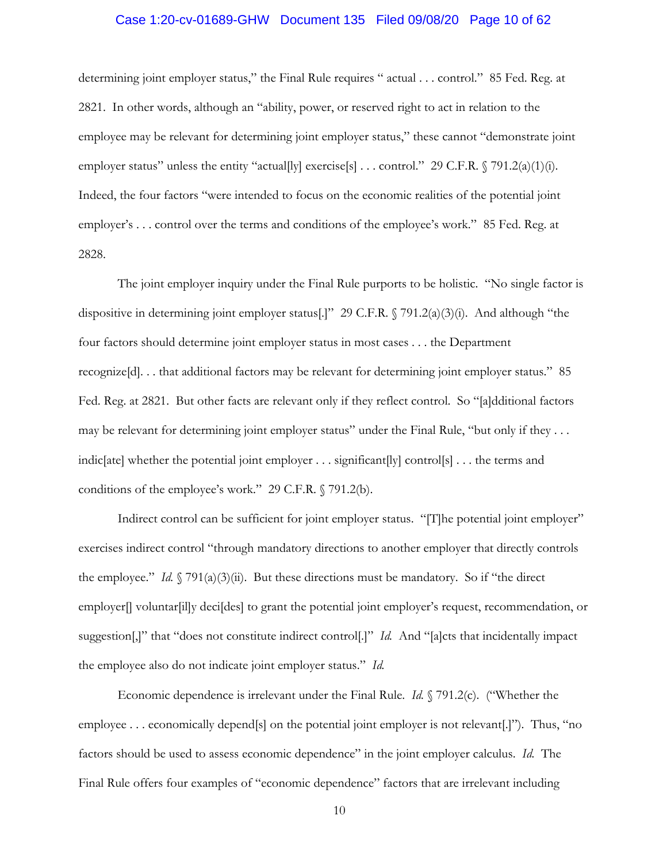## Case 1:20-cv-01689-GHW Document 135 Filed 09/08/20 Page 10 of 62

determining joint employer status," the Final Rule requires " actual . . . control." 85 Fed. Reg. at 2821. In other words, although an "ability, power, or reserved right to act in relation to the employee may be relevant for determining joint employer status," these cannot "demonstrate joint employer status" unless the entity "actual[ly] exercise[s] . . . control." 29 C.F.R. § 791.2(a)(1)(i). Indeed, the four factors "were intended to focus on the economic realities of the potential joint employer's . . . control over the terms and conditions of the employee's work." 85 Fed. Reg. at 2828.

The joint employer inquiry under the Final Rule purports to be holistic. "No single factor is dispositive in determining joint employer status[.]" 29 C.F.R.  $\sqrt{791.2(a)}$ (3)(i). And although "the four factors should determine joint employer status in most cases . . . the Department recognize[d]. . . that additional factors may be relevant for determining joint employer status." 85 Fed. Reg. at 2821. But other facts are relevant only if they reflect control. So "[a]dditional factors may be relevant for determining joint employer status" under the Final Rule, "but only if they ... indic[ate] whether the potential joint employer . . . significant[ly] control[s] . . . the terms and conditions of the employee's work." 29 C.F.R. § 791.2(b).

Indirect control can be sufficient for joint employer status. "[T]he potential joint employer" exercises indirect control "through mandatory directions to another employer that directly controls the employee." *Id.*  $\sqrt{791(a)(3)}$  (ii). But these directions must be mandatory. So if "the direct employer[] voluntar[il]y deci[des] to grant the potential joint employer's request, recommendation, or suggestion[,]" that "does not constitute indirect control[.]" *Id.* And "[a]cts that incidentally impact the employee also do not indicate joint employer status." *Id.*

Economic dependence is irrelevant under the Final Rule. *Id.* § 791.2(c). ("Whether the employee . . . economically depend[s] on the potential joint employer is not relevant[.]"). Thus, "no factors should be used to assess economic dependence" in the joint employer calculus. *Id.* The Final Rule offers four examples of "economic dependence" factors that are irrelevant including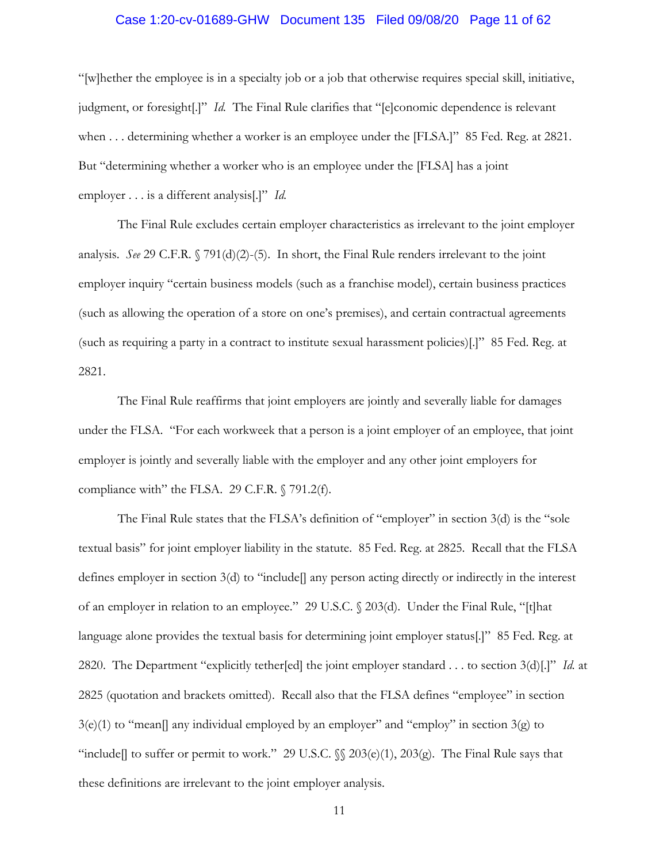## Case 1:20-cv-01689-GHW Document 135 Filed 09/08/20 Page 11 of 62

"[w]hether the employee is in a specialty job or a job that otherwise requires special skill, initiative, judgment, or foresight[.]" *Id.* The Final Rule clarifies that "[e]conomic dependence is relevant when . . . determining whether a worker is an employee under the [FLSA.]" 85 Fed. Reg. at 2821. But "determining whether a worker who is an employee under the [FLSA] has a joint employer . . . is a different analysis[.]" *Id.*

The Final Rule excludes certain employer characteristics as irrelevant to the joint employer analysis. *See* 29 C.F.R. § 791(d)(2)-(5). In short, the Final Rule renders irrelevant to the joint employer inquiry "certain business models (such as a franchise model), certain business practices (such as allowing the operation of a store on one's premises), and certain contractual agreements (such as requiring a party in a contract to institute sexual harassment policies)[.]" 85 Fed. Reg. at 2821.

The Final Rule reaffirms that joint employers are jointly and severally liable for damages under the FLSA. "For each workweek that a person is a joint employer of an employee, that joint employer is jointly and severally liable with the employer and any other joint employers for compliance with" the FLSA. 29 C.F.R. § 791.2(f).

The Final Rule states that the FLSA's definition of "employer" in section  $3(d)$  is the "sole textual basis" for joint employer liability in the statute. 85 Fed. Reg. at 2825. Recall that the FLSA defines employer in section  $3(d)$  to "include] any person acting directly or indirectly in the interest of an employer in relation to an employee." 29 U.S.C. § 203(d). Under the Final Rule, "[t]hat language alone provides the textual basis for determining joint employer status[.]" 85 Fed. Reg. at 2820. The Department "explicitly tether[ed] the joint employer standard . . . to section 3(d)[.]" *Id.* at 2825 (quotation and brackets omitted). Recall also that the FLSA defines "employee" in section  $3(e)(1)$  to "mean<sup>[]</sup> any individual employed by an employer" and "employ" in section  $3(e)$  to "include]] to suffer or permit to work." 29 U.S.C.  $\S$  203(e)(1), 203(g). The Final Rule says that these definitions are irrelevant to the joint employer analysis.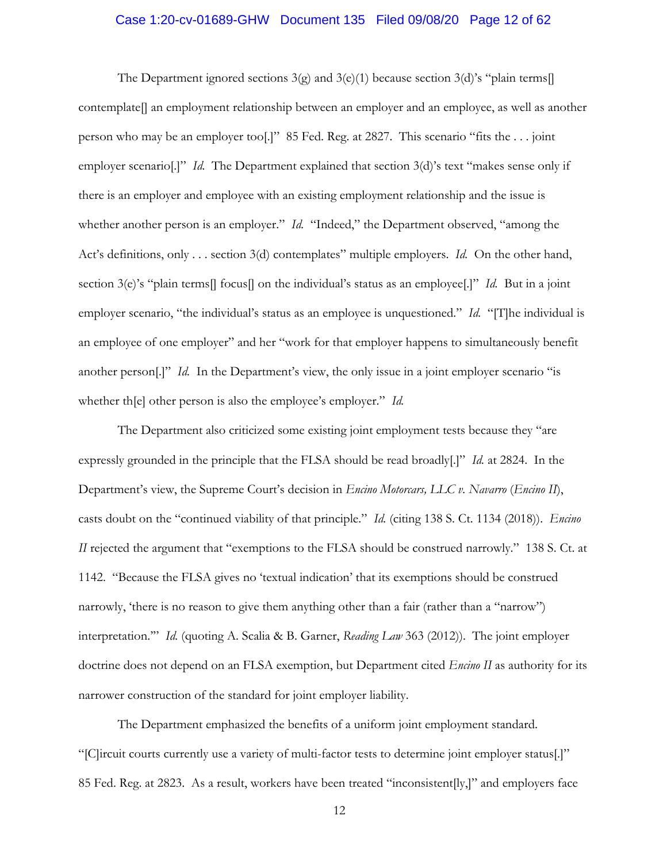## Case 1:20-cv-01689-GHW Document 135 Filed 09/08/20 Page 12 of 62

The Department ignored sections  $3(g)$  and  $3(e)(1)$  because section  $3(d)$ 's "plain terms[] contemplate[] an employment relationship between an employer and an employee, as well as another person who may be an employer too[.]" 85 Fed. Reg. at 2827. This scenario "fits the . . . joint employer scenario[.]" *Id.* The Department explained that section 3(d)'s text "makes sense only if there is an employer and employee with an existing employment relationship and the issue is whether another person is an employer." *Id.* "Indeed," the Department observed, "among the Act's definitions, only . . . section 3(d) contemplates" multiple employers. *Id.* On the other hand, section 3(e)'s "plain terms[] focus[] on the individual's status as an employee[.]" *Id.* But in a joint employer scenario, "the individual's status as an employee is unquestioned." *Id.* "[T]he individual is an employee of one employer" and her "work for that employer happens to simultaneously benefit another person[.]" *Id.* In the Department's view, the only issue in a joint employer scenario "is whether th[e] other person is also the employee's employer." *Id.*

The Department also criticized some existing joint employment tests because they "are expressly grounded in the principle that the FLSA should be read broadly[.]" *Id.* at 2824. In the Department's view, the Supreme Court's decision in *Encino Motorcars, LLC v. Navarro* (*Encino II*), casts doubt on the "continued viability of that principle." *Id.* (citing 138 S. Ct. 1134 (2018)). *Encino II* rejected the argument that "exemptions to the FLSA should be construed narrowly." 138 S. Ct. at 1142. "Because the FLSA gives no 'textual indication' that its exemptions should be construed narrowly, 'there is no reason to give them anything other than a fair (rather than a "narrow") interpretation.'" *Id.* (quoting A. Scalia & B. Garner, *Reading Law* 363 (2012)). The joint employer doctrine does not depend on an FLSA exemption, but Department cited *Encino II* as authority for its narrower construction of the standard for joint employer liability.

The Department emphasized the benefits of a uniform joint employment standard. "[C]ircuit courts currently use a variety of multi-factor tests to determine joint employer status[.]" 85 Fed. Reg. at 2823. As a result, workers have been treated "inconsistent[ly,]" and employers face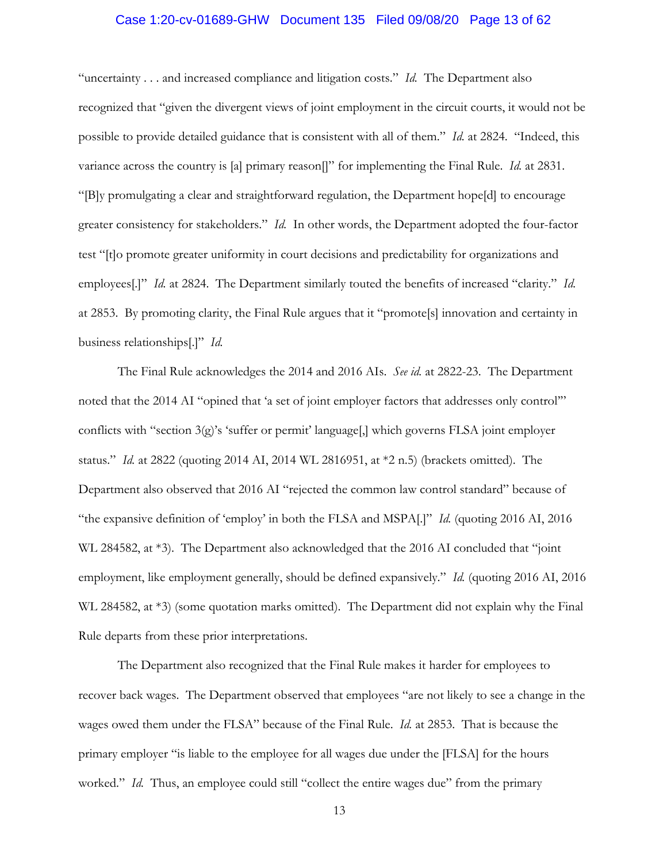## Case 1:20-cv-01689-GHW Document 135 Filed 09/08/20 Page 13 of 62

"uncertainty . . . and increased compliance and litigation costs." *Id.* The Department also recognized that "given the divergent views of joint employment in the circuit courts, it would not be possible to provide detailed guidance that is consistent with all of them." *Id.* at 2824. "Indeed, this variance across the country is [a] primary reason[]" for implementing the Final Rule. *Id.* at 2831. "[B]y promulgating a clear and straightforward regulation, the Department hope[d] to encourage greater consistency for stakeholders." *Id.* In other words, the Department adopted the four-factor test "[t]o promote greater uniformity in court decisions and predictability for organizations and employees[.]" *Id.* at 2824. The Department similarly touted the benefits of increased "clarity." *Id.* at 2853. By promoting clarity, the Final Rule argues that it "promote[s] innovation and certainty in business relationships[.]" *Id.*

The Final Rule acknowledges the 2014 and 2016 AIs. *See id.* at 2822-23. The Department noted that the 2014 AI "opined that 'a set of joint employer factors that addresses only control'" conflicts with "section 3(g)'s 'suffer or permit' language[,] which governs FLSA joint employer status." *Id.* at 2822 (quoting 2014 AI, 2014 WL 2816951, at \*2 n.5) (brackets omitted). The Department also observed that 2016 AI "rejected the common law control standard" because of "the expansive definition of 'employ' in both the FLSA and MSPA[.]" *Id.* (quoting 2016 AI, 2016 WL 284582, at \*3). The Department also acknowledged that the 2016 AI concluded that "joint employment, like employment generally, should be defined expansively." *Id.* (quoting 2016 AI, 2016 WL 284582, at \*3) (some quotation marks omitted). The Department did not explain why the Final Rule departs from these prior interpretations.

The Department also recognized that the Final Rule makes it harder for employees to recover back wages. The Department observed that employees "are not likely to see a change in the wages owed them under the FLSA" because of the Final Rule. *Id.* at 2853. That is because the primary employer "is liable to the employee for all wages due under the [FLSA] for the hours worked." *Id.* Thus, an employee could still "collect the entire wages due" from the primary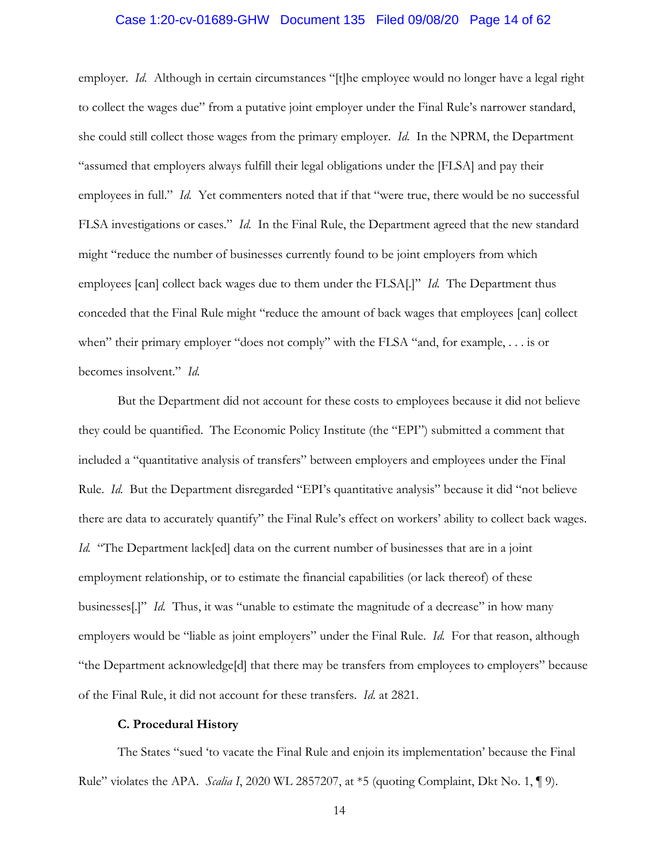#### Case 1:20-cv-01689-GHW Document 135 Filed 09/08/20 Page 14 of 62

employer. *Id.* Although in certain circumstances "[t]he employee would no longer have a legal right to collect the wages due" from a putative joint employer under the Final Rule's narrower standard, she could still collect those wages from the primary employer. *Id.* In the NPRM, the Department "assumed that employers always fulfill their legal obligations under the [FLSA] and pay their employees in full." *Id.* Yet commenters noted that if that "were true, there would be no successful FLSA investigations or cases." *Id.* In the Final Rule, the Department agreed that the new standard might "reduce the number of businesses currently found to be joint employers from which employees [can] collect back wages due to them under the FLSA[.]" *Id.* The Department thus conceded that the Final Rule might "reduce the amount of back wages that employees [can] collect when" their primary employer "does not comply" with the FLSA "and, for example, . . . is or becomes insolvent." *Id.*

But the Department did not account for these costs to employees because it did not believe they could be quantified. The Economic Policy Institute (the "EPI") submitted a comment that included a "quantitative analysis of transfers" between employers and employees under the Final Rule. *Id.* But the Department disregarded "EPI's quantitative analysis" because it did "not believe there are data to accurately quantify" the Final Rule's effect on workers' ability to collect back wages. *Id.* "The Department lack[ed] data on the current number of businesses that are in a joint employment relationship, or to estimate the financial capabilities (or lack thereof) of these businesses[.]" *Id.* Thus, it was "unable to estimate the magnitude of a decrease" in how many employers would be "liable as joint employers" under the Final Rule. *Id.* For that reason, although "the Department acknowledge[d] that there may be transfers from employees to employers" because of the Final Rule, it did not account for these transfers. *Id.* at 2821.

#### **C. Procedural History**

The States "sued 'to vacate the Final Rule and enjoin its implementation' because the Final Rule" violates the APA. *Scalia I*, 2020 WL 2857207, at \*5 (quoting Complaint, Dkt No. 1, ¶ 9).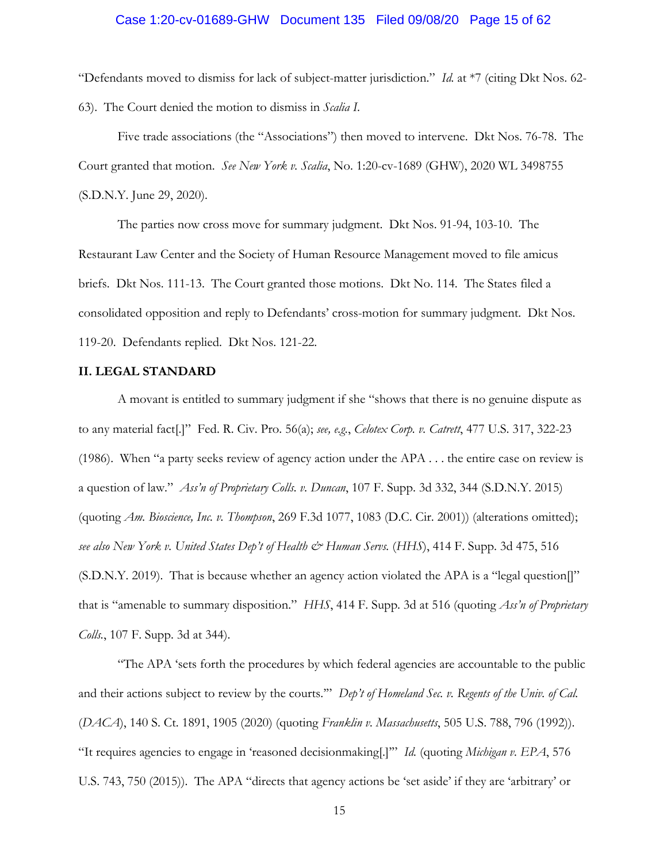## Case 1:20-cv-01689-GHW Document 135 Filed 09/08/20 Page 15 of 62

"Defendants moved to dismiss for lack of subject-matter jurisdiction." *Id.* at \*7 (citing Dkt Nos. 62- 63). The Court denied the motion to dismiss in *Scalia I*.

Five trade associations (the "Associations") then moved to intervene. Dkt Nos. 76-78. The Court granted that motion. *See New York v. Scalia*, No. 1:20-cv-1689 (GHW), 2020 WL 3498755 (S.D.N.Y. June 29, 2020).

The parties now cross move for summary judgment. Dkt Nos. 91-94, 103-10. The Restaurant Law Center and the Society of Human Resource Management moved to file amicus briefs. Dkt Nos. 111-13. The Court granted those motions. Dkt No. 114. The States filed a consolidated opposition and reply to Defendants' cross-motion for summary judgment. Dkt Nos. 119-20. Defendants replied. Dkt Nos. 121-22.

#### **II. LEGAL STANDARD**

A movant is entitled to summary judgment if she "shows that there is no genuine dispute as to any material fact[.]" Fed. R. Civ. Pro. 56(a); *see, e.g.*, *Celotex Corp. v. Catrett*, 477 U.S. 317, 322-23 (1986). When "a party seeks review of agency action under the APA . . . the entire case on review is a question of law." *Ass'n of Proprietary Colls. v. Duncan*, 107 F. Supp. 3d 332, 344 (S.D.N.Y. 2015) (quoting *Am. Bioscience, Inc. v. Thompson*, 269 F.3d 1077, 1083 (D.C. Cir. 2001)) (alterations omitted); *see also New York v. United States Dep't of Health & Human Servs.* (*HHS*), 414 F. Supp. 3d 475, 516 (S.D.N.Y. 2019). That is because whether an agency action violated the APA is a "legal question[]" that is "amenable to summary disposition." *HHS*, 414 F. Supp. 3d at 516 (quoting *Ass'n of Proprietary Colls.*, 107 F. Supp. 3d at 344).

"The APA 'sets forth the procedures by which federal agencies are accountable to the public and their actions subject to review by the courts.'" *Dep't of Homeland Sec. v. Regents of the Univ. of Cal.* (*DACA*), 140 S. Ct. 1891, 1905 (2020) (quoting *Franklin v. Massachusetts*, 505 U.S. 788, 796 (1992)). "It requires agencies to engage in 'reasoned decisionmaking[.]'" *Id.* (quoting *Michigan v. EPA*, 576 U.S. 743, 750 (2015)). The APA "directs that agency actions be 'set aside' if they are 'arbitrary' or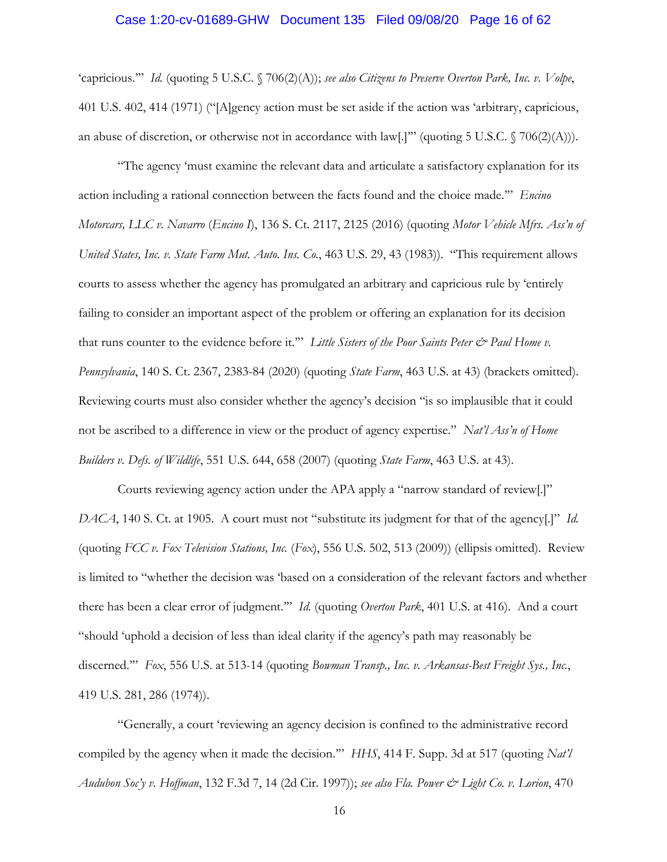#### Case 1:20-cv-01689-GHW Document 135 Filed 09/08/20 Page 16 of 62

'capricious.'" *Id.* (quoting 5 U.S.C. § 706(2)(A)); *see also Citizens to Preserve Overton Park, Inc. v. Volpe*, 401 U.S. 402, 414 (1971) ("[A]gency action must be set aside if the action was 'arbitrary, capricious, an abuse of discretion, or otherwise not in accordance with law[.]'" (quoting 5 U.S.C. § 706(2)(A))).

"The agency 'must examine the relevant data and articulate a satisfactory explanation for its action including a rational connection between the facts found and the choice made.'" *Encino Motorcars, LLC v. Navarro* (*Encino I*), 136 S. Ct. 2117, 2125 (2016) (quoting *Motor Vehicle Mfrs. Ass'n of United States, Inc. v. State Farm Mut. Auto. Ins. Co.*, 463 U.S. 29, 43 (1983)). "This requirement allows courts to assess whether the agency has promulgated an arbitrary and capricious rule by 'entirely failing to consider an important aspect of the problem or offering an explanation for its decision that runs counter to the evidence before it." Little Sisters of the Poor Saints Peter & Paul Home v. *Pennsylvania*, 140 S. Ct. 2367, 2383-84 (2020) (quoting *State Farm*, 463 U.S. at 43) (brackets omitted). Reviewing courts must also consider whether the agency's decision "is so implausible that it could not be ascribed to a difference in view or the product of agency expertise." *Nat'l Ass'n of Home Builders v. Defs. of Wildlife*, 551 U.S. 644, 658 (2007) (quoting *State Farm*, 463 U.S. at 43).

Courts reviewing agency action under the APA apply a "narrow standard of review[.]" *DACA*, 140 S. Ct. at 1905. A court must not "substitute its judgment for that of the agency[.]" *Id.* (quoting *FCC v. Fox Television Stations, Inc.* (*Fox*), 556 U.S. 502, 513 (2009)) (ellipsis omitted). Review is limited to "whether the decision was 'based on a consideration of the relevant factors and whether there has been a clear error of judgment.'" *Id.* (quoting *Overton Park*, 401 U.S. at 416). And a court "should 'uphold a decision of less than ideal clarity if the agency's path may reasonably be discerned.'" *Fox*, 556 U.S. at 513-14 (quoting *Bowman Transp., Inc. v. Arkansas-Best Freight Sys., Inc.*, 419 U.S. 281, 286 (1974)).

"Generally, a court 'reviewing an agency decision is confined to the administrative record compiled by the agency when it made the decision.'" *HHS*, 414 F. Supp. 3d at 517 (quoting *Nat'l Audubon Soc'y v. Hoffman*, 132 F.3d 7, 14 (2d Cir. 1997)); *see also Fla. Power & Light Co. v. Lorion*, 470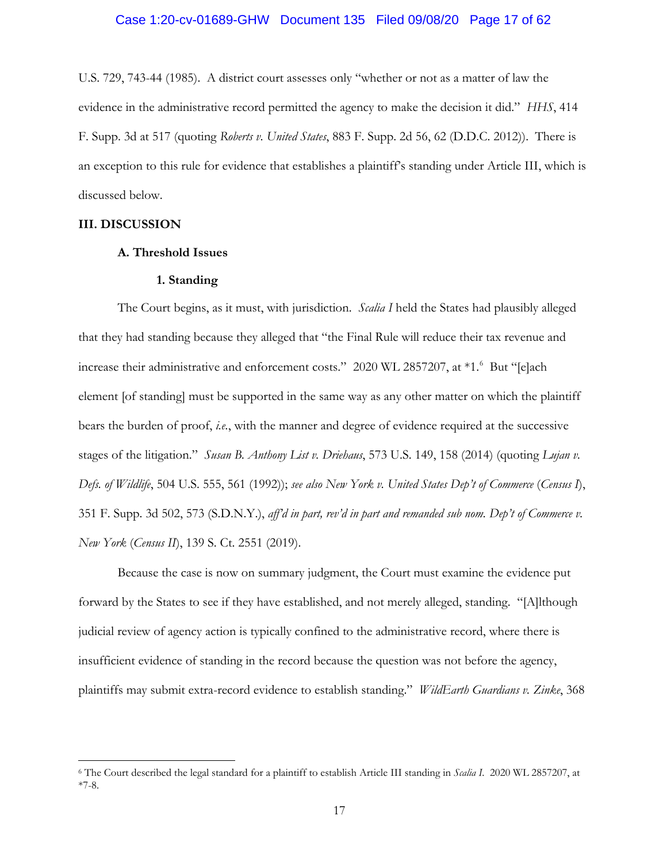### Case 1:20-cv-01689-GHW Document 135 Filed 09/08/20 Page 17 of 62

U.S. 729, 743-44 (1985). A district court assesses only "whether or not as a matter of law the evidence in the administrative record permitted the agency to make the decision it did." *HHS*, 414 F. Supp. 3d at 517 (quoting *Roberts v. United States*, 883 F. Supp. 2d 56, 62 (D.D.C. 2012)). There is an exception to this rule for evidence that establishes a plaintiff's standing under Article III, which is discussed below.

#### **III. DISCUSSION**

#### **A. Threshold Issues**

#### **1. Standing**

The Court begins, as it must, with jurisdiction. *Scalia I* held the States had plausibly alleged that they had standing because they alleged that "the Final Rule will reduce their tax revenue and increase their administrative and enforcement costs." 2020 WL 2857207, at \*1.<sup>6</sup> But "[e]ach element [of standing] must be supported in the same way as any other matter on which the plaintiff bears the burden of proof, *i.e.*, with the manner and degree of evidence required at the successive stages of the litigation." *Susan B. Anthony List v. Driehaus*, 573 U.S. 149, 158 (2014) (quoting *Lujan v. Defs. of Wildlife*, 504 U.S. 555, 561 (1992)); *see also New York v. United States Dep't of Commerce* (*Census I*), 351 F. Supp. 3d 502, 573 (S.D.N.Y.), *aff'd in part, rev'd in part and remanded sub nom. Dep't of Commerce v. New York* (*Census II*), 139 S. Ct. 2551 (2019).

Because the case is now on summary judgment, the Court must examine the evidence put forward by the States to see if they have established, and not merely alleged, standing. "[A]lthough judicial review of agency action is typically confined to the administrative record, where there is insufficient evidence of standing in the record because the question was not before the agency, plaintiffs may submit extra-record evidence to establish standing." *WildEarth Guardians v. Zinke*, 368

<sup>6</sup> The Court described the legal standard for a plaintiff to establish Article III standing in *Scalia I*. 2020 WL 2857207, at \*7-8.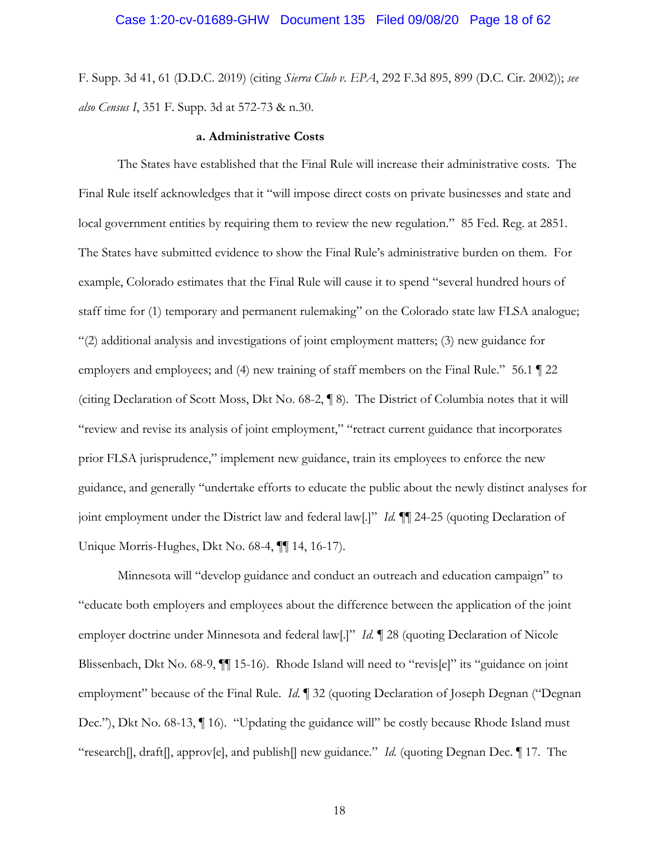F. Supp. 3d 41, 61 (D.D.C. 2019) (citing *Sierra Club v. EPA*, 292 F.3d 895, 899 (D.C. Cir. 2002)); *see also Census I*, 351 F. Supp. 3d at 572-73 & n.30.

#### **a. Administrative Costs**

The States have established that the Final Rule will increase their administrative costs. The Final Rule itself acknowledges that it "will impose direct costs on private businesses and state and local government entities by requiring them to review the new regulation." 85 Fed. Reg. at 2851. The States have submitted evidence to show the Final Rule's administrative burden on them. For example, Colorado estimates that the Final Rule will cause it to spend "several hundred hours of staff time for (1) temporary and permanent rulemaking" on the Colorado state law FLSA analogue; "(2) additional analysis and investigations of joint employment matters; (3) new guidance for employers and employees; and (4) new training of staff members on the Final Rule." 56.1 ¶ 22 (citing Declaration of Scott Moss, Dkt No. 68-2, ¶ 8). The District of Columbia notes that it will "review and revise its analysis of joint employment," "retract current guidance that incorporates prior FLSA jurisprudence," implement new guidance, train its employees to enforce the new guidance, and generally "undertake efforts to educate the public about the newly distinct analyses for joint employment under the District law and federal law[.]" *Id.* ¶¶ 24-25 (quoting Declaration of Unique Morris-Hughes, Dkt No. 68-4, ¶¶ 14, 16-17).

Minnesota will "develop guidance and conduct an outreach and education campaign" to "educate both employers and employees about the difference between the application of the joint employer doctrine under Minnesota and federal law[.]" *Id.* ¶ 28 (quoting Declaration of Nicole Blissenbach, Dkt No. 68-9, ¶¶ 15-16). Rhode Island will need to "revis[e]" its "guidance on joint employment" because of the Final Rule. *Id.* ¶ 32 (quoting Declaration of Joseph Degnan ("Degnan Dec."), Dkt No. 68-13, [16]. "Updating the guidance will" be costly because Rhode Island must "research[], draft[], approv[e], and publish[] new guidance." *Id.* (quoting Degnan Dec.  $\P$  17. The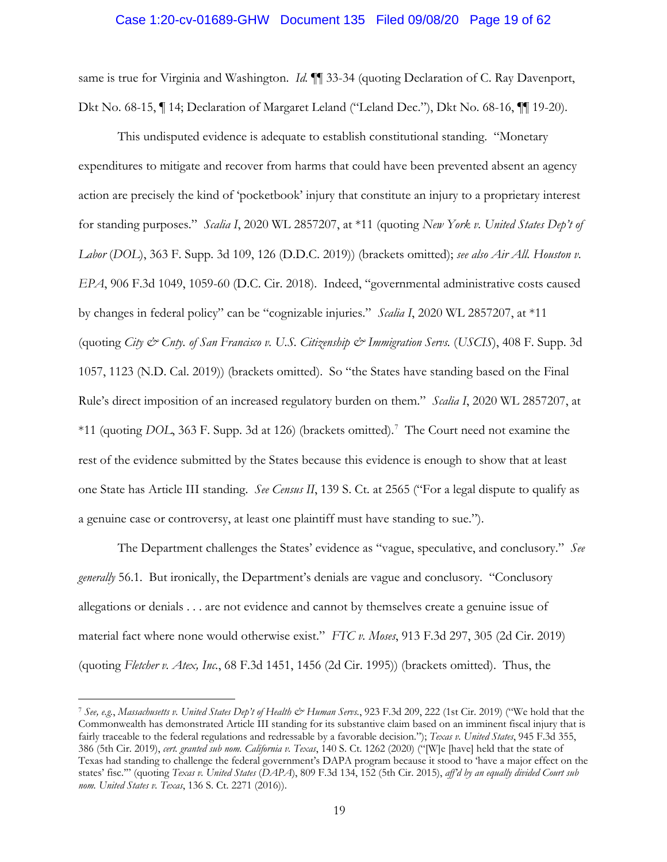#### Case 1:20-cv-01689-GHW Document 135 Filed 09/08/20 Page 19 of 62

same is true for Virginia and Washington. *Id.* ¶¶ 33-34 (quoting Declaration of C. Ray Davenport, Dkt No. 68-15, ¶ 14; Declaration of Margaret Leland ("Leland Dec."), Dkt No. 68-16, ¶¶ 19-20).

This undisputed evidence is adequate to establish constitutional standing. "Monetary expenditures to mitigate and recover from harms that could have been prevented absent an agency action are precisely the kind of 'pocketbook' injury that constitute an injury to a proprietary interest for standing purposes." *Scalia I*, 2020 WL 2857207, at \*11 (quoting *New York v. United States Dep't of Labor* (*DOL*), 363 F. Supp. 3d 109, 126 (D.D.C. 2019)) (brackets omitted); *see also Air All. Houston v. EPA*, 906 F.3d 1049, 1059-60 (D.C. Cir. 2018). Indeed, "governmental administrative costs caused by changes in federal policy" can be "cognizable injuries." *Scalia I*, 2020 WL 2857207, at \*11 (quoting *City & Cnty. of San Francisco v. U.S. Citizenship & Immigration Servs.* (*USCIS*), 408 F. Supp. 3d 1057, 1123 (N.D. Cal. 2019)) (brackets omitted). So "the States have standing based on the Final Rule's direct imposition of an increased regulatory burden on them." *Scalia I*, 2020 WL 2857207, at \*11 (quoting *DOL*, 363 F. Supp. 3d at 126) (brackets omitted).<sup>7</sup> The Court need not examine the rest of the evidence submitted by the States because this evidence is enough to show that at least one State has Article III standing. *See Census II*, 139 S. Ct. at 2565 ("For a legal dispute to qualify as a genuine case or controversy, at least one plaintiff must have standing to sue.").

The Department challenges the States' evidence as "vague, speculative, and conclusory." *See generally* 56.1. But ironically, the Department's denials are vague and conclusory. "Conclusory allegations or denials . . . are not evidence and cannot by themselves create a genuine issue of material fact where none would otherwise exist." *FTC v. Moses*, 913 F.3d 297, 305 (2d Cir. 2019) (quoting *Fletcher v. Atex, Inc.*, 68 F.3d 1451, 1456 (2d Cir. 1995)) (brackets omitted). Thus, the

<sup>7</sup> *See, e.g.*, *Massachusetts v. United States Dep't of Health & Human Servs.*, 923 F.3d 209, 222 (1st Cir. 2019) ("We hold that the Commonwealth has demonstrated Article III standing for its substantive claim based on an imminent fiscal injury that is fairly traceable to the federal regulations and redressable by a favorable decision."); *Texas v. United States*, 945 F.3d 355, 386 (5th Cir. 2019), *cert. granted sub nom. California v. Texas*, 140 S. Ct. 1262 (2020) ("[W]e [have] held that the state of Texas had standing to challenge the federal government's DAPA program because it stood to 'have a major effect on the states' fisc.'" (quoting *Texas v. United States* (*DAPA*), 809 F.3d 134, 152 (5th Cir. 2015), *aff'd by an equally divided Court sub nom. United States v. Texas*, 136 S. Ct. 2271 (2016)).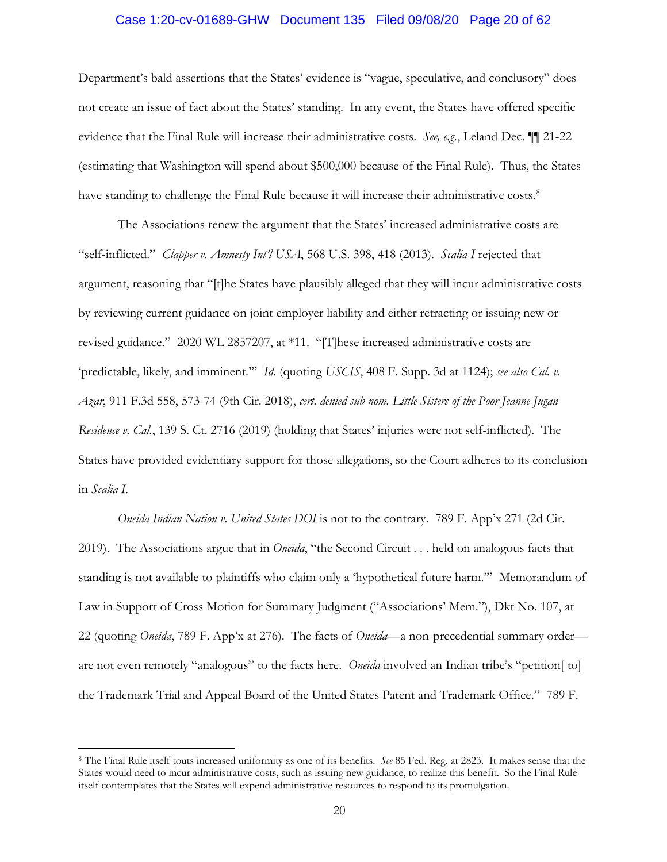## Case 1:20-cv-01689-GHW Document 135 Filed 09/08/20 Page 20 of 62

Department's bald assertions that the States' evidence is "vague, speculative, and conclusory" does not create an issue of fact about the States' standing. In any event, the States have offered specific evidence that the Final Rule will increase their administrative costs. *See, e.g.*, Leland Dec. ¶¶ 21-22 (estimating that Washington will spend about \$500,000 because of the Final Rule). Thus, the States have standing to challenge the Final Rule because it will increase their administrative costs.<sup>8</sup>

The Associations renew the argument that the States' increased administrative costs are "self-inflicted." *Clapper v. Amnesty Int'l USA*, 568 U.S. 398, 418 (2013). *Scalia I* rejected that argument, reasoning that "[t]he States have plausibly alleged that they will incur administrative costs by reviewing current guidance on joint employer liability and either retracting or issuing new or revised guidance." 2020 WL 2857207, at \*11. "[T]hese increased administrative costs are 'predictable, likely, and imminent.'" *Id.* (quoting *USCIS*, 408 F. Supp. 3d at 1124); *see also Cal. v. Azar*, 911 F.3d 558, 573-74 (9th Cir. 2018), *cert. denied sub nom. Little Sisters of the Poor Jeanne Jugan Residence v. Cal.*, 139 S. Ct. 2716 (2019) (holding that States' injuries were not self-inflicted). The States have provided evidentiary support for those allegations, so the Court adheres to its conclusion in *Scalia I*.

*Oneida Indian Nation v. United States DOI* is not to the contrary. 789 F. App'x 271 (2d Cir. 2019). The Associations argue that in *Oneida*, "the Second Circuit . . . held on analogous facts that standing is not available to plaintiffs who claim only a 'hypothetical future harm.'" Memorandum of Law in Support of Cross Motion for Summary Judgment ("Associations' Mem."), Dkt No. 107, at 22 (quoting *Oneida*, 789 F. App'x at 276). The facts of *Oneida*—a non-precedential summary order are not even remotely "analogous" to the facts here. *Oneida* involved an Indian tribe's "petition[ to] the Trademark Trial and Appeal Board of the United States Patent and Trademark Office." 789 F.

<sup>8</sup> The Final Rule itself touts increased uniformity as one of its benefits. *See* 85 Fed. Reg. at 2823. It makes sense that the States would need to incur administrative costs, such as issuing new guidance, to realize this benefit. So the Final Rule itself contemplates that the States will expend administrative resources to respond to its promulgation.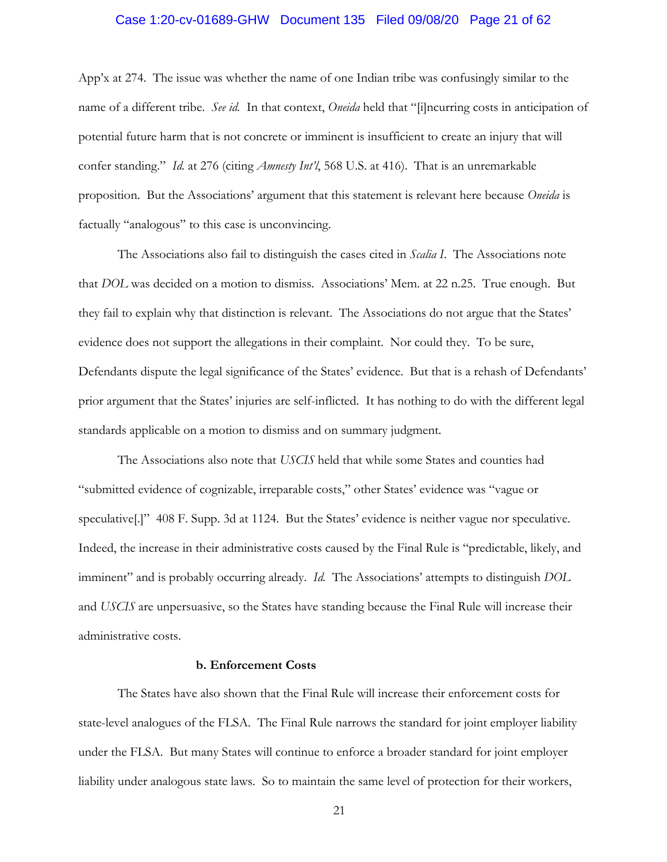### Case 1:20-cv-01689-GHW Document 135 Filed 09/08/20 Page 21 of 62

App'x at 274. The issue was whether the name of one Indian tribe was confusingly similar to the name of a different tribe. *See id.* In that context, *Oneida* held that "[i]ncurring costs in anticipation of potential future harm that is not concrete or imminent is insufficient to create an injury that will confer standing." *Id.* at 276 (citing *Amnesty Int'l*, 568 U.S. at 416). That is an unremarkable proposition. But the Associations' argument that this statement is relevant here because *Oneida* is factually "analogous" to this case is unconvincing.

The Associations also fail to distinguish the cases cited in *Scalia I*. The Associations note that *DOL* was decided on a motion to dismiss. Associations' Mem. at 22 n.25. True enough. But they fail to explain why that distinction is relevant. The Associations do not argue that the States' evidence does not support the allegations in their complaint. Nor could they. To be sure, Defendants dispute the legal significance of the States' evidence. But that is a rehash of Defendants' prior argument that the States' injuries are self-inflicted. It has nothing to do with the different legal standards applicable on a motion to dismiss and on summary judgment.

The Associations also note that *USCIS* held that while some States and counties had "submitted evidence of cognizable, irreparable costs," other States' evidence was "vague or speculative[.]" 408 F. Supp. 3d at 1124. But the States' evidence is neither vague nor speculative. Indeed, the increase in their administrative costs caused by the Final Rule is "predictable, likely, and imminent" and is probably occurring already. *Id.* The Associations' attempts to distinguish *DOL* and *USCIS* are unpersuasive, so the States have standing because the Final Rule will increase their administrative costs.

# **b. Enforcement Costs**

The States have also shown that the Final Rule will increase their enforcement costs for state-level analogues of the FLSA. The Final Rule narrows the standard for joint employer liability under the FLSA. But many States will continue to enforce a broader standard for joint employer liability under analogous state laws. So to maintain the same level of protection for their workers,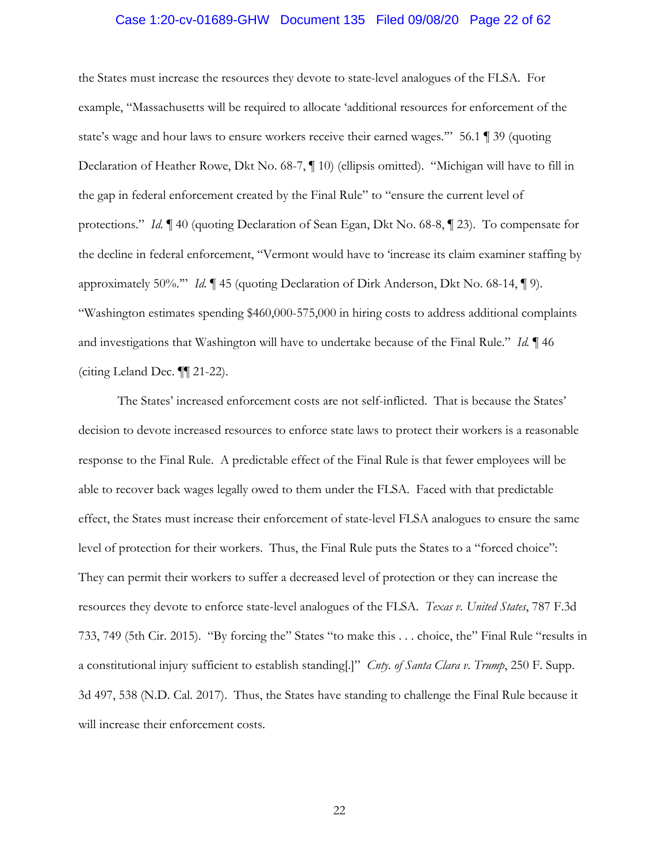#### Case 1:20-cv-01689-GHW Document 135 Filed 09/08/20 Page 22 of 62

the States must increase the resources they devote to state-level analogues of the FLSA. For example, "Massachusetts will be required to allocate 'additional resources for enforcement of the state's wage and hour laws to ensure workers receive their earned wages.'" 56.1 ¶ 39 (quoting Declaration of Heather Rowe, Dkt No. 68-7, ¶ 10) (ellipsis omitted). "Michigan will have to fill in the gap in federal enforcement created by the Final Rule" to "ensure the current level of protections." *Id.* ¶ 40 (quoting Declaration of Sean Egan, Dkt No. 68-8, ¶ 23). To compensate for the decline in federal enforcement, "Vermont would have to 'increase its claim examiner staffing by approximately 50%.'" *Id.* ¶ 45 (quoting Declaration of Dirk Anderson, Dkt No. 68-14, ¶ 9). "Washington estimates spending \$460,000-575,000 in hiring costs to address additional complaints and investigations that Washington will have to undertake because of the Final Rule." *Id.* ¶ 46 (citing Leland Dec. ¶¶ 21-22).

The States' increased enforcement costs are not self-inflicted. That is because the States' decision to devote increased resources to enforce state laws to protect their workers is a reasonable response to the Final Rule. A predictable effect of the Final Rule is that fewer employees will be able to recover back wages legally owed to them under the FLSA. Faced with that predictable effect, the States must increase their enforcement of state-level FLSA analogues to ensure the same level of protection for their workers. Thus, the Final Rule puts the States to a "forced choice": They can permit their workers to suffer a decreased level of protection or they can increase the resources they devote to enforce state-level analogues of the FLSA. *Texas v. United States*, 787 F.3d 733, 749 (5th Cir. 2015). "By forcing the" States "to make this . . . choice, the" Final Rule "results in a constitutional injury sufficient to establish standing[.]" *Cnty. of Santa Clara v. Trump*, 250 F. Supp. 3d 497, 538 (N.D. Cal. 2017). Thus, the States have standing to challenge the Final Rule because it will increase their enforcement costs.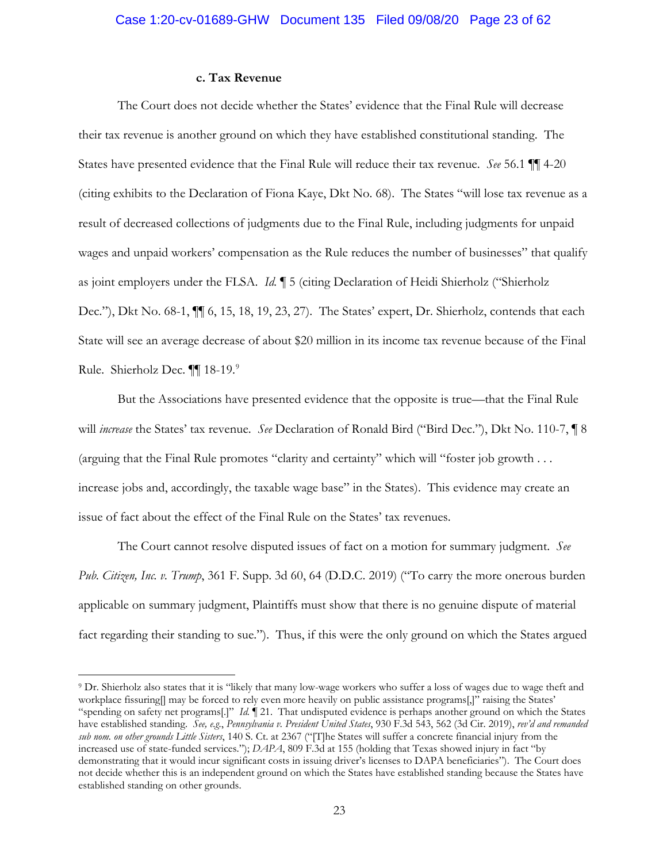#### **c. Tax Revenue**

The Court does not decide whether the States' evidence that the Final Rule will decrease their tax revenue is another ground on which they have established constitutional standing. The States have presented evidence that the Final Rule will reduce their tax revenue. *See* 56.1 ¶¶ 4-20 (citing exhibits to the Declaration of Fiona Kaye, Dkt No. 68). The States "will lose tax revenue as a result of decreased collections of judgments due to the Final Rule, including judgments for unpaid wages and unpaid workers' compensation as the Rule reduces the number of businesses" that qualify as joint employers under the FLSA. *Id.* ¶ 5 (citing Declaration of Heidi Shierholz ("Shierholz Dec."), Dkt No. 68-1, ¶¶ 6, 15, 18, 19, 23, 27). The States' expert, Dr. Shierholz, contends that each State will see an average decrease of about \$20 million in its income tax revenue because of the Final Rule. Shierholz Dec. ¶¶ 18-19.9

But the Associations have presented evidence that the opposite is true—that the Final Rule will *increase* the States' tax revenue. *See* Declaration of Ronald Bird ("Bird Dec."), Dkt No. 110-7, ¶ 8 (arguing that the Final Rule promotes "clarity and certainty" which will "foster job growth . . . increase jobs and, accordingly, the taxable wage base" in the States). This evidence may create an issue of fact about the effect of the Final Rule on the States' tax revenues.

The Court cannot resolve disputed issues of fact on a motion for summary judgment. *See Pub. Citizen, Inc. v. Trump*, 361 F. Supp. 3d 60, 64 (D.D.C. 2019) ("To carry the more onerous burden applicable on summary judgment, Plaintiffs must show that there is no genuine dispute of material fact regarding their standing to sue."). Thus, if this were the only ground on which the States argued

<sup>9</sup> Dr. Shierholz also states that it is "likely that many low-wage workers who suffer a loss of wages due to wage theft and workplace fissuring[] may be forced to rely even more heavily on public assistance programs[,]<sup>7</sup> raising the States' "spending on safety net programs[.]" *Id.* ¶ 21. That undisputed evidence is perhaps another ground on which the States have established standing. *See, e.g.*, *Pennsylvania v. President United States*, 930 F.3d 543, 562 (3d Cir. 2019), *rev'd and remanded sub nom. on other grounds Little Sisters*, 140 S. Ct. at 2367 ("[T]he States will suffer a concrete financial injury from the increased use of state-funded services."); *DAPA*, 809 F.3d at 155 (holding that Texas showed injury in fact "by demonstrating that it would incur significant costs in issuing driver's licenses to DAPA beneficiaries"). The Court does not decide whether this is an independent ground on which the States have established standing because the States have established standing on other grounds.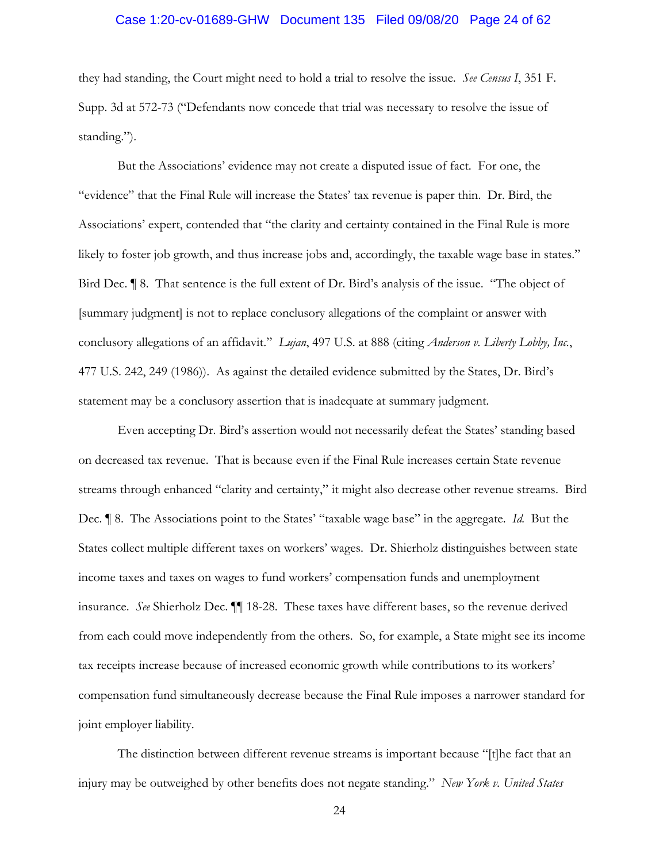## Case 1:20-cv-01689-GHW Document 135 Filed 09/08/20 Page 24 of 62

they had standing, the Court might need to hold a trial to resolve the issue. *See Census I*, 351 F. Supp. 3d at 572-73 ("Defendants now concede that trial was necessary to resolve the issue of standing.").

But the Associations' evidence may not create a disputed issue of fact. For one, the "evidence" that the Final Rule will increase the States' tax revenue is paper thin. Dr. Bird, the Associations' expert, contended that "the clarity and certainty contained in the Final Rule is more likely to foster job growth, and thus increase jobs and, accordingly, the taxable wage base in states." Bird Dec. ¶ 8. That sentence is the full extent of Dr. Bird's analysis of the issue. "The object of [summary judgment] is not to replace conclusory allegations of the complaint or answer with conclusory allegations of an affidavit." *Lujan*, 497 U.S. at 888 (citing *Anderson v. Liberty Lobby, Inc.*, 477 U.S. 242, 249 (1986)). As against the detailed evidence submitted by the States, Dr. Bird's statement may be a conclusory assertion that is inadequate at summary judgment.

Even accepting Dr. Bird's assertion would not necessarily defeat the States' standing based on decreased tax revenue. That is because even if the Final Rule increases certain State revenue streams through enhanced "clarity and certainty," it might also decrease other revenue streams. Bird Dec. ¶ 8. The Associations point to the States' "taxable wage base" in the aggregate. *Id.* But the States collect multiple different taxes on workers' wages. Dr. Shierholz distinguishes between state income taxes and taxes on wages to fund workers' compensation funds and unemployment insurance. *See* Shierholz Dec. ¶¶ 18-28. These taxes have different bases, so the revenue derived from each could move independently from the others. So, for example, a State might see its income tax receipts increase because of increased economic growth while contributions to its workers' compensation fund simultaneously decrease because the Final Rule imposes a narrower standard for joint employer liability.

The distinction between different revenue streams is important because "[t]he fact that an injury may be outweighed by other benefits does not negate standing." *New York v. United States*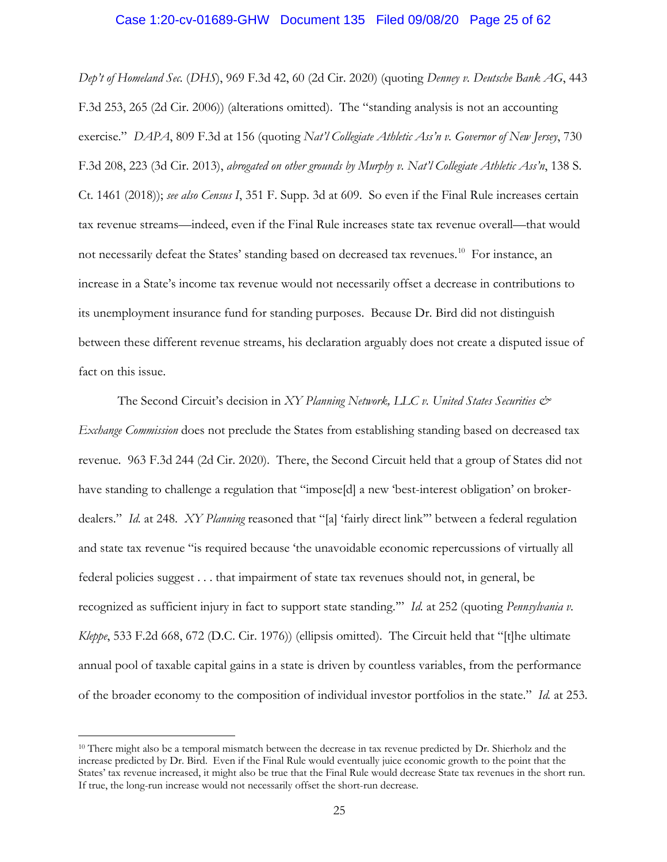#### Case 1:20-cv-01689-GHW Document 135 Filed 09/08/20 Page 25 of 62

*Dep't of Homeland Sec.* (*DHS*), 969 F.3d 42, 60 (2d Cir. 2020) (quoting *Denney v. Deutsche Bank AG*, 443 F.3d 253, 265 (2d Cir. 2006)) (alterations omitted). The "standing analysis is not an accounting exercise." *DAPA*, 809 F.3d at 156 (quoting *Nat'l Collegiate Athletic Ass'n v. Governor of New Jersey*, 730 F.3d 208, 223 (3d Cir. 2013), *abrogated on other grounds by Murphy v. Nat'l Collegiate Athletic Ass'n*, 138 S. Ct. 1461 (2018)); *see also Census I*, 351 F. Supp. 3d at 609. So even if the Final Rule increases certain tax revenue streams—indeed, even if the Final Rule increases state tax revenue overall—that would not necessarily defeat the States' standing based on decreased tax revenues. 10 For instance, an increase in a State's income tax revenue would not necessarily offset a decrease in contributions to its unemployment insurance fund for standing purposes. Because Dr. Bird did not distinguish between these different revenue streams, his declaration arguably does not create a disputed issue of fact on this issue.

The Second Circuit's decision in *XY Planning Network, LLC v. United States Securities*  $\mathcal{O}^*$ *Exchange Commission* does not preclude the States from establishing standing based on decreased tax revenue. 963 F.3d 244 (2d Cir. 2020). There, the Second Circuit held that a group of States did not have standing to challenge a regulation that "impose[d] a new 'best-interest obligation' on brokerdealers." *Id.* at 248. *XY Planning* reasoned that "[a] 'fairly direct link'" between a federal regulation and state tax revenue "is required because 'the unavoidable economic repercussions of virtually all federal policies suggest . . . that impairment of state tax revenues should not, in general, be recognized as sufficient injury in fact to support state standing.'" *Id.* at 252 (quoting *Pennsylvania v. Kleppe*, 533 F.2d 668, 672 (D.C. Cir. 1976)) (ellipsis omitted). The Circuit held that "[t]he ultimate annual pool of taxable capital gains in a state is driven by countless variables, from the performance of the broader economy to the composition of individual investor portfolios in the state." *Id.* at 253.

<sup>&</sup>lt;sup>10</sup> There might also be a temporal mismatch between the decrease in tax revenue predicted by Dr. Shierholz and the increase predicted by Dr. Bird. Even if the Final Rule would eventually juice economic growth to the point that the States' tax revenue increased, it might also be true that the Final Rule would decrease State tax revenues in the short run. If true, the long-run increase would not necessarily offset the short-run decrease.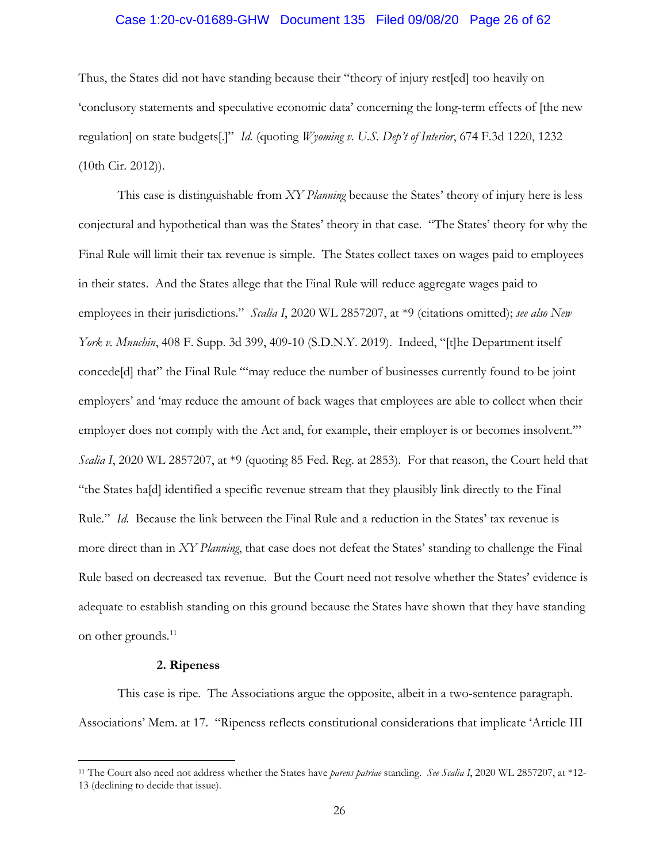## Case 1:20-cv-01689-GHW Document 135 Filed 09/08/20 Page 26 of 62

Thus, the States did not have standing because their "theory of injury rest[ed] too heavily on 'conclusory statements and speculative economic data' concerning the long-term effects of [the new regulation] on state budgets[.]" *Id.* (quoting *Wyoming v. U.S. Dep't of Interior*, 674 F.3d 1220, 1232 (10th Cir. 2012)).

This case is distinguishable from *XY Planning* because the States' theory of injury here is less conjectural and hypothetical than was the States' theory in that case. "The States' theory for why the Final Rule will limit their tax revenue is simple. The States collect taxes on wages paid to employees in their states. And the States allege that the Final Rule will reduce aggregate wages paid to employees in their jurisdictions." *Scalia I*, 2020 WL 2857207, at \*9 (citations omitted); *see also New York v. Mnuchin*, 408 F. Supp. 3d 399, 409-10 (S.D.N.Y. 2019). Indeed, "[t]he Department itself concede[d] that" the Final Rule "'may reduce the number of businesses currently found to be joint employers' and 'may reduce the amount of back wages that employees are able to collect when their employer does not comply with the Act and, for example, their employer is or becomes insolvent.'" *Scalia I*, 2020 WL 2857207, at \*9 (quoting 85 Fed. Reg. at 2853). For that reason, the Court held that "the States ha[d] identified a specific revenue stream that they plausibly link directly to the Final Rule." *Id.* Because the link between the Final Rule and a reduction in the States' tax revenue is more direct than in *XY Planning*, that case does not defeat the States' standing to challenge the Final Rule based on decreased tax revenue. But the Court need not resolve whether the States' evidence is adequate to establish standing on this ground because the States have shown that they have standing on other grounds.<sup>11</sup>

#### **2. Ripeness**

This case is ripe. The Associations argue the opposite, albeit in a two-sentence paragraph. Associations' Mem. at 17. "Ripeness reflects constitutional considerations that implicate 'Article III

<sup>11</sup> The Court also need not address whether the States have *parens patriae* standing. *See Scalia I*, 2020 WL 2857207, at \*12- 13 (declining to decide that issue).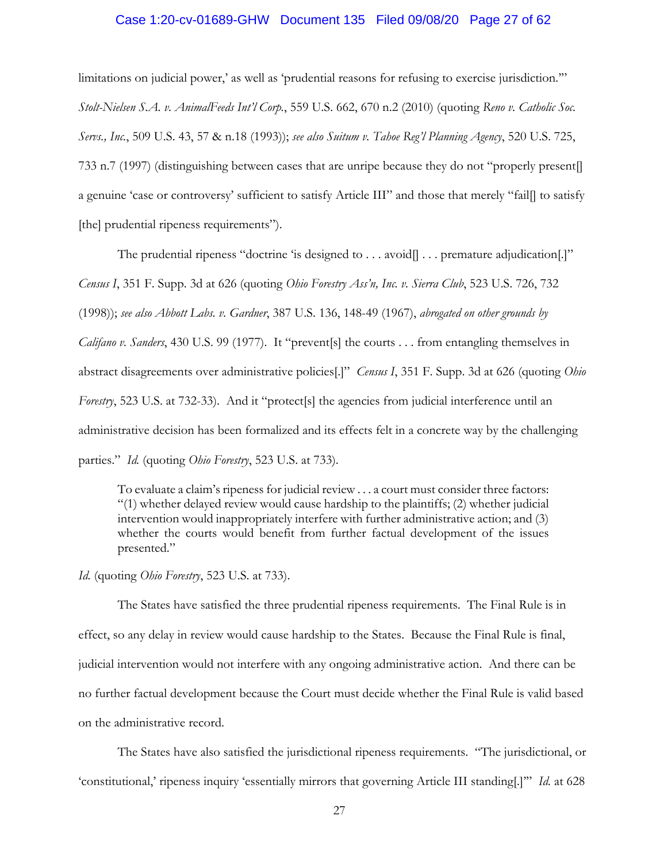## Case 1:20-cv-01689-GHW Document 135 Filed 09/08/20 Page 27 of 62

limitations on judicial power,' as well as 'prudential reasons for refusing to exercise jurisdiction.'" *Stolt-Nielsen S.A. v. AnimalFeeds Int'l Corp.*, 559 U.S. 662, 670 n.2 (2010) (quoting *Reno v. Catholic Soc. Servs., Inc.*, 509 U.S. 43, 57 & n.18 (1993)); *see also Suitum v. Tahoe Reg'l Planning Agency*, 520 U.S. 725, 733 n.7 (1997) (distinguishing between cases that are unripe because they do not "properly present[] a genuine 'case or controversy' sufficient to satisfy Article III" and those that merely "fail[] to satisfy [the] prudential ripeness requirements").

The prudential ripeness "doctrine 'is designed to  $\dots$  avoid[ $\dots$  premature adjudication[.]" *Census I*, 351 F. Supp. 3d at 626 (quoting *Ohio Forestry Ass'n, Inc. v. Sierra Club*, 523 U.S. 726, 732 (1998)); *see also Abbott Labs. v. Gardner*, 387 U.S. 136, 148-49 (1967), *abrogated on other grounds by Califano v. Sanders*, 430 U.S. 99 (1977). It "prevent[s] the courts . . . from entangling themselves in abstract disagreements over administrative policies[.]" *Census I*, 351 F. Supp. 3d at 626 (quoting *Ohio Forestry*, 523 U.S. at 732-33). And it "protect[s] the agencies from judicial interference until an administrative decision has been formalized and its effects felt in a concrete way by the challenging parties." *Id.* (quoting *Ohio Forestry*, 523 U.S. at 733).

To evaluate a claim's ripeness for judicial review . . . a court must consider three factors: "(1) whether delayed review would cause hardship to the plaintiffs; (2) whether judicial intervention would inappropriately interfere with further administrative action; and (3) whether the courts would benefit from further factual development of the issues presented."

*Id.* (quoting *Ohio Forestry*, 523 U.S. at 733).

The States have satisfied the three prudential ripeness requirements. The Final Rule is in effect, so any delay in review would cause hardship to the States. Because the Final Rule is final, judicial intervention would not interfere with any ongoing administrative action. And there can be no further factual development because the Court must decide whether the Final Rule is valid based on the administrative record.

The States have also satisfied the jurisdictional ripeness requirements. "The jurisdictional, or 'constitutional,' ripeness inquiry 'essentially mirrors that governing Article III standing[.]'" *Id.* at 628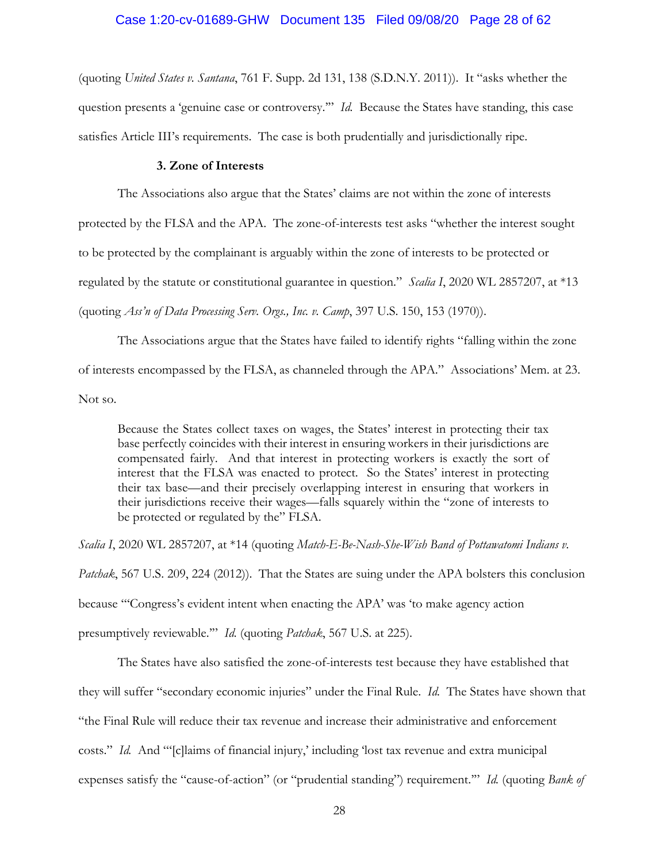## Case 1:20-cv-01689-GHW Document 135 Filed 09/08/20 Page 28 of 62

(quoting *United States v. Santana*, 761 F. Supp. 2d 131, 138 (S.D.N.Y. 2011)). It "asks whether the question presents a 'genuine case or controversy."" *Id.* Because the States have standing, this case satisfies Article III's requirements. The case is both prudentially and jurisdictionally ripe.

## **3. Zone of Interests**

The Associations also argue that the States' claims are not within the zone of interests protected by the FLSA and the APA. The zone-of-interests test asks "whether the interest sought to be protected by the complainant is arguably within the zone of interests to be protected or regulated by the statute or constitutional guarantee in question." *Scalia I*, 2020 WL 2857207, at \*13 (quoting *Ass'n of Data Processing Serv. Orgs., Inc. v. Camp*, 397 U.S. 150, 153 (1970)).

The Associations argue that the States have failed to identify rights "falling within the zone of interests encompassed by the FLSA, as channeled through the APA." Associations' Mem. at 23. Not so.

Because the States collect taxes on wages, the States' interest in protecting their tax base perfectly coincides with their interest in ensuring workers in their jurisdictions are compensated fairly. And that interest in protecting workers is exactly the sort of interest that the FLSA was enacted to protect. So the States' interest in protecting their tax base—and their precisely overlapping interest in ensuring that workers in their jurisdictions receive their wages—falls squarely within the "zone of interests to be protected or regulated by the" FLSA.

*Scalia I*, 2020 WL 2857207, at \*14 (quoting *Match-E-Be-Nash-She-Wish Band of Pottawatomi Indians v. Patchak*, 567 U.S. 209, 224 (2012)). That the States are suing under the APA bolsters this conclusion because "'Congress's evident intent when enacting the APA' was 'to make agency action presumptively reviewable.'" *Id.* (quoting *Patchak*, 567 U.S. at 225).

The States have also satisfied the zone-of-interests test because they have established that they will suffer "secondary economic injuries" under the Final Rule. *Id.* The States have shown that "the Final Rule will reduce their tax revenue and increase their administrative and enforcement costs." *Id.* And "'[c]laims of financial injury,' including 'lost tax revenue and extra municipal expenses satisfy the "cause-of-action" (or "prudential standing") requirement.'" *Id.* (quoting *Bank of*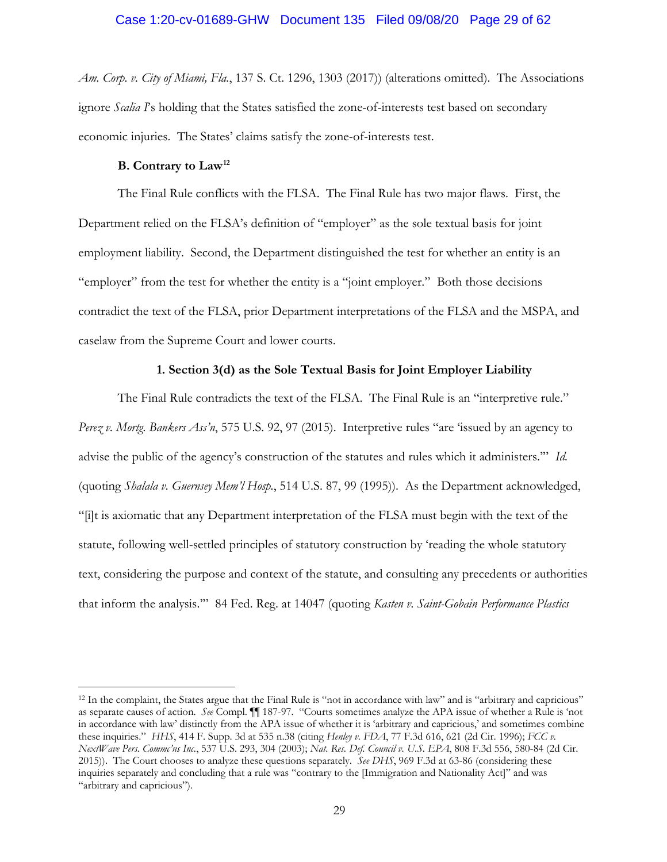*Am. Corp. v. City of Miami, Fla.*, 137 S. Ct. 1296, 1303 (2017)) (alterations omitted). The Associations ignore *Scalia I*'s holding that the States satisfied the zone-of-interests test based on secondary economic injuries. The States' claims satisfy the zone-of-interests test.

#### **B. Contrary to Law12**

The Final Rule conflicts with the FLSA. The Final Rule has two major flaws. First, the Department relied on the FLSA's definition of "employer" as the sole textual basis for joint employment liability. Second, the Department distinguished the test for whether an entity is an "employer" from the test for whether the entity is a "joint employer." Both those decisions contradict the text of the FLSA, prior Department interpretations of the FLSA and the MSPA, and caselaw from the Supreme Court and lower courts.

#### **1. Section 3(d) as the Sole Textual Basis for Joint Employer Liability**

The Final Rule contradicts the text of the FLSA. The Final Rule is an "interpretive rule." *Perez v. Mortg. Bankers Ass'n*, 575 U.S. 92, 97 (2015). Interpretive rules "are 'issued by an agency to advise the public of the agency's construction of the statutes and rules which it administers.'" *Id.* (quoting *Shalala v. Guernsey Mem'l Hosp.*, 514 U.S. 87, 99 (1995)). As the Department acknowledged, "[i]t is axiomatic that any Department interpretation of the FLSA must begin with the text of the statute, following well-settled principles of statutory construction by 'reading the whole statutory text, considering the purpose and context of the statute, and consulting any precedents or authorities that inform the analysis.'" 84 Fed. Reg. at 14047 (quoting *Kasten v. Saint-Gobain Performance Plastics* 

<sup>&</sup>lt;sup>12</sup> In the complaint, the States argue that the Final Rule is "not in accordance with law" and is "arbitrary and capricious" as separate causes of action. *See* Compl. ¶¶ 187-97. "Courts sometimes analyze the APA issue of whether a Rule is 'not in accordance with law' distinctly from the APA issue of whether it is 'arbitrary and capricious,' and sometimes combine these inquiries." *HHS*, 414 F. Supp. 3d at 535 n.38 (citing *Henley v. FDA*, 77 F.3d 616, 621 (2d Cir. 1996); *FCC v. NextWave Pers. Commc'ns Inc.*, 537 U.S. 293, 304 (2003); *Nat. Res. Def. Council v. U.S. EPA*, 808 F.3d 556, 580-84 (2d Cir. 2015)). The Court chooses to analyze these questions separately. *See DHS*, 969 F.3d at 63-86 (considering these inquiries separately and concluding that a rule was "contrary to the [Immigration and Nationality Act]" and was "arbitrary and capricious").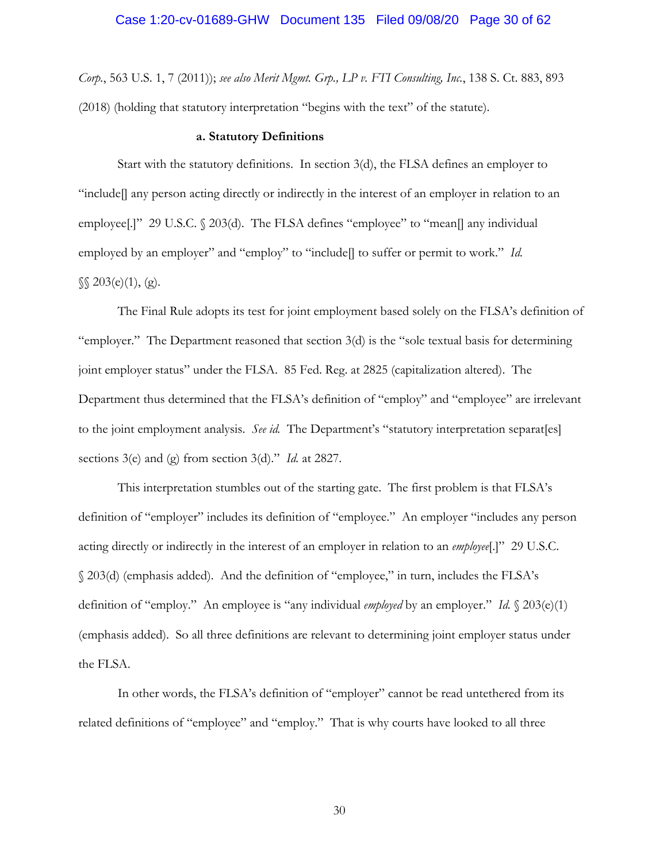*Corp.*, 563 U.S. 1, 7 (2011)); *see also Merit Mgmt. Grp., LP v. FTI Consulting, Inc.*, 138 S. Ct. 883, 893 (2018) (holding that statutory interpretation "begins with the text" of the statute).

#### **a. Statutory Definitions**

Start with the statutory definitions. In section  $3(d)$ , the FLSA defines an employer to "include[] any person acting directly or indirectly in the interest of an employer in relation to an employee[.]" 29 U.S.C. § 203(d). The FLSA defines "employee" to "mean[] any individual employed by an employer" and "employ" to "include[] to suffer or permit to work." *Id.*  $\S$  203(e)(1), (g).

The Final Rule adopts its test for joint employment based solely on the FLSA's definition of "employer." The Department reasoned that section 3(d) is the "sole textual basis for determining joint employer status" under the FLSA. 85 Fed. Reg. at 2825 (capitalization altered). The Department thus determined that the FLSA's definition of "employ" and "employee" are irrelevant to the joint employment analysis. *See id.* The Department's "statutory interpretation separat[es] sections 3(e) and (g) from section 3(d)." *Id.* at 2827.

This interpretation stumbles out of the starting gate. The first problem is that FLSA's definition of "employer" includes its definition of "employee." An employer "includes any person acting directly or indirectly in the interest of an employer in relation to an *employee*[.]" 29 U.S.C. § 203(d) (emphasis added). And the definition of "employee," in turn, includes the FLSA's definition of "employ." An employee is "any individual *employed* by an employer." *Id.* § 203(e)(1) (emphasis added). So all three definitions are relevant to determining joint employer status under the FLSA.

In other words, the FLSA's definition of "employer" cannot be read untethered from its related definitions of "employee" and "employ." That is why courts have looked to all three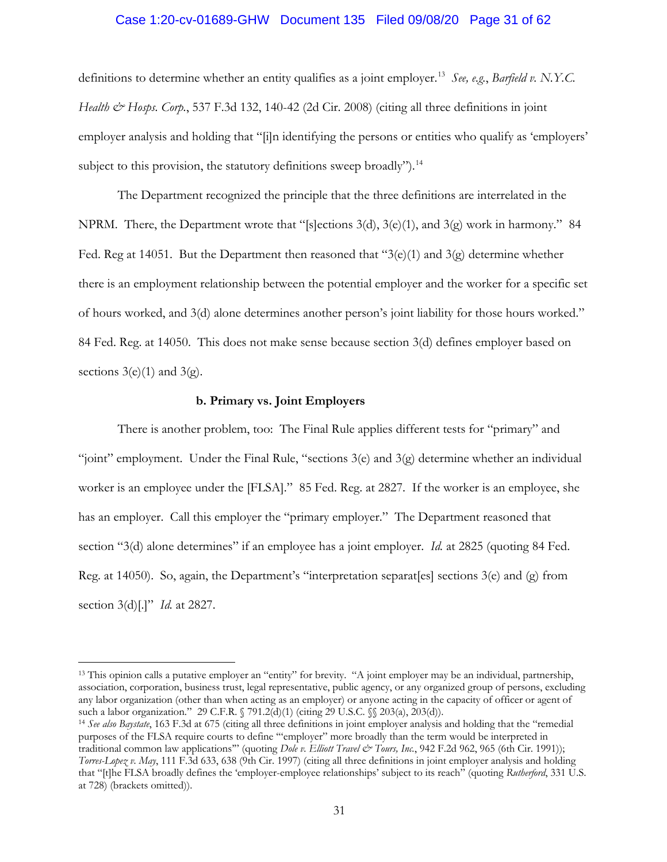## Case 1:20-cv-01689-GHW Document 135 Filed 09/08/20 Page 31 of 62

definitions to determine whether an entity qualifies as a joint employer.13 *See, e.g.*, *Barfield v. N.Y.C. Health & Hosps. Corp.*, 537 F.3d 132, 140-42 (2d Cir. 2008) (citing all three definitions in joint employer analysis and holding that "[i]n identifying the persons or entities who qualify as 'employers' subject to this provision, the statutory definitions sweep broadly").<sup>14</sup>

The Department recognized the principle that the three definitions are interrelated in the NPRM. There, the Department wrote that "[s]ections  $3(d)$ ,  $3(e)(1)$ , and  $3(g)$  work in harmony." 84 Fed. Reg at 14051. But the Department then reasoned that "3(e)(1) and 3(g) determine whether there is an employment relationship between the potential employer and the worker for a specific set of hours worked, and 3(d) alone determines another person's joint liability for those hours worked." 84 Fed. Reg. at 14050. This does not make sense because section 3(d) defines employer based on sections  $3(e)(1)$  and  $3(g)$ .

## **b. Primary vs. Joint Employers**

There is another problem, too: The Final Rule applies different tests for "primary" and "joint" employment. Under the Final Rule, "sections  $3(e)$  and  $3(g)$  determine whether an individual worker is an employee under the [FLSA]." 85 Fed. Reg. at 2827. If the worker is an employee, she has an employer. Call this employer the "primary employer." The Department reasoned that section "3(d) alone determines" if an employee has a joint employer. *Id.* at 2825 (quoting 84 Fed. Reg. at 14050). So, again, the Department's "interpretation separat[es] sections 3(e) and (g) from section 3(d)[.]" *Id.* at 2827.

<sup>&</sup>lt;sup>13</sup> This opinion calls a putative employer an "entity" for brevity. "A joint employer may be an individual, partnership, association, corporation, business trust, legal representative, public agency, or any organized group of persons, excluding any labor organization (other than when acting as an employer) or anyone acting in the capacity of officer or agent of such a labor organization." 29 C.F.R. § 791.2(d)(1) (citing 29 U.S.C. §§ 203(a), 203(d)).

<sup>14</sup> *See also Baystate*, 163 F.3d at 675 (citing all three definitions in joint employer analysis and holding that the "remedial purposes of the FLSA require courts to define '"employer" more broadly than the term would be interpreted in traditional common law applications"' (quoting *Dole v. Elliott Travel & Tours, Inc.*, 942 F.2d 962, 965 (6th Cir. 1991)); *Torres-Lopez v. May*, 111 F.3d 633, 638 (9th Cir. 1997) (citing all three definitions in joint employer analysis and holding that "[t]he FLSA broadly defines the 'employer-employee relationships' subject to its reach" (quoting *Rutherford*, 331 U.S. at 728) (brackets omitted)).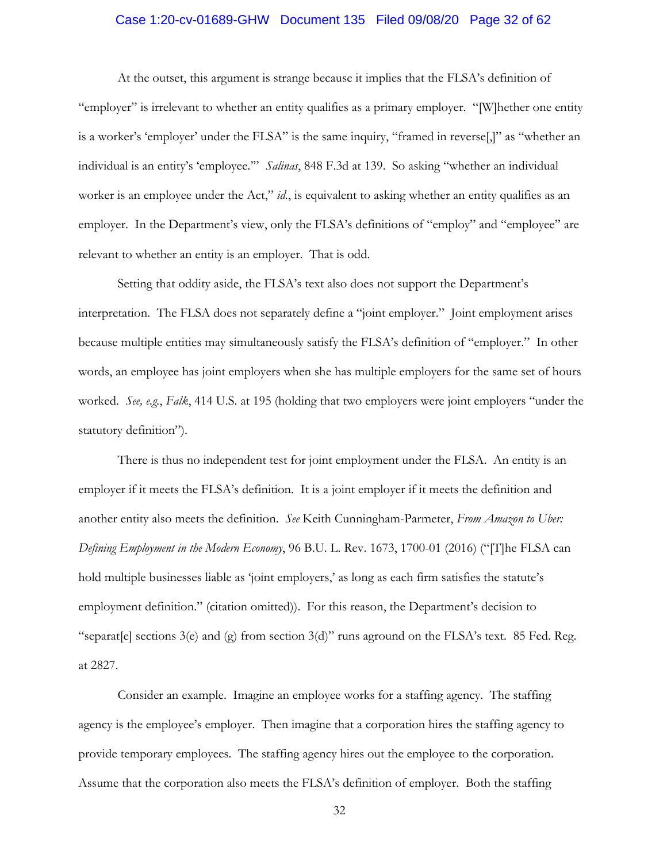## Case 1:20-cv-01689-GHW Document 135 Filed 09/08/20 Page 32 of 62

At the outset, this argument is strange because it implies that the FLSA's definition of "employer" is irrelevant to whether an entity qualifies as a primary employer. "[W]hether one entity is a worker's 'employer' under the FLSA" is the same inquiry, "framed in reverse[,]" as "whether an individual is an entity's 'employee.'" *Salinas*, 848 F.3d at 139. So asking "whether an individual worker is an employee under the Act," *id.*, is equivalent to asking whether an entity qualifies as an employer. In the Department's view, only the FLSA's definitions of "employ" and "employee" are relevant to whether an entity is an employer. That is odd.

Setting that oddity aside, the FLSA's text also does not support the Department's interpretation. The FLSA does not separately define a "joint employer." Joint employment arises because multiple entities may simultaneously satisfy the FLSA's definition of "employer." In other words, an employee has joint employers when she has multiple employers for the same set of hours worked. *See, e.g.*, *Falk*, 414 U.S. at 195 (holding that two employers were joint employers "under the statutory definition").

There is thus no independent test for joint employment under the FLSA. An entity is an employer if it meets the FLSA's definition. It is a joint employer if it meets the definition and another entity also meets the definition. *See* Keith Cunningham-Parmeter, *From Amazon to Uber: Defining Employment in the Modern Economy*, 96 B.U. L. Rev. 1673, 1700-01 (2016) ("[T]he FLSA can hold multiple businesses liable as 'joint employers,' as long as each firm satisfies the statute's employment definition." (citation omitted)). For this reason, the Department's decision to "separat[e] sections  $3(e)$  and (g) from section  $3(d)$ " runs aground on the FLSA's text. 85 Fed. Reg. at 2827.

Consider an example. Imagine an employee works for a staffing agency. The staffing agency is the employee's employer. Then imagine that a corporation hires the staffing agency to provide temporary employees. The staffing agency hires out the employee to the corporation. Assume that the corporation also meets the FLSA's definition of employer. Both the staffing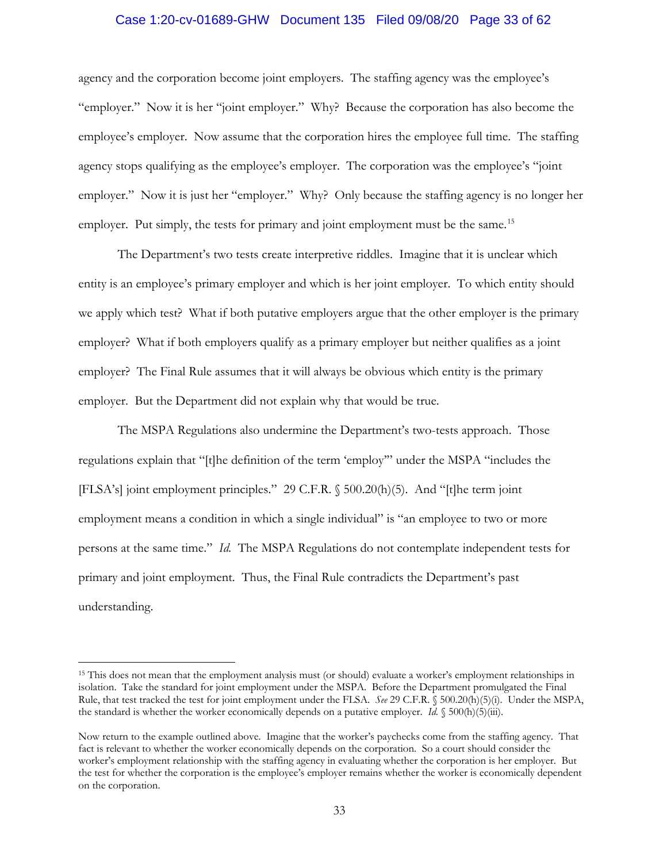### Case 1:20-cv-01689-GHW Document 135 Filed 09/08/20 Page 33 of 62

agency and the corporation become joint employers. The staffing agency was the employee's "employer." Now it is her "joint employer." Why? Because the corporation has also become the employee's employer. Now assume that the corporation hires the employee full time. The staffing agency stops qualifying as the employee's employer. The corporation was the employee's "joint employer." Now it is just her "employer." Why? Only because the staffing agency is no longer her employer. Put simply, the tests for primary and joint employment must be the same.<sup>15</sup>

The Department's two tests create interpretive riddles. Imagine that it is unclear which entity is an employee's primary employer and which is her joint employer. To which entity should we apply which test? What if both putative employers argue that the other employer is the primary employer? What if both employers qualify as a primary employer but neither qualifies as a joint employer? The Final Rule assumes that it will always be obvious which entity is the primary employer. But the Department did not explain why that would be true.

The MSPA Regulations also undermine the Department's two-tests approach. Those regulations explain that "[t]he definition of the term 'employ'" under the MSPA "includes the [FLSA's] joint employment principles." 29 C.F.R. § 500.20(h)(5). And "[t]he term joint employment means a condition in which a single individual" is "an employee to two or more persons at the same time." *Id.* The MSPA Regulations do not contemplate independent tests for primary and joint employment. Thus, the Final Rule contradicts the Department's past understanding.

<sup>&</sup>lt;sup>15</sup> This does not mean that the employment analysis must (or should) evaluate a worker's employment relationships in isolation. Take the standard for joint employment under the MSPA. Before the Department promulgated the Final Rule, that test tracked the test for joint employment under the FLSA. *See* 29 C.F.R. § 500.20(h)(5)(i). Under the MSPA, the standard is whether the worker economically depends on a putative employer. *Id.* § 500(h)(5)(iii).

Now return to the example outlined above. Imagine that the worker's paychecks come from the staffing agency. That fact is relevant to whether the worker economically depends on the corporation. So a court should consider the worker's employment relationship with the staffing agency in evaluating whether the corporation is her employer. But the test for whether the corporation is the employee's employer remains whether the worker is economically dependent on the corporation.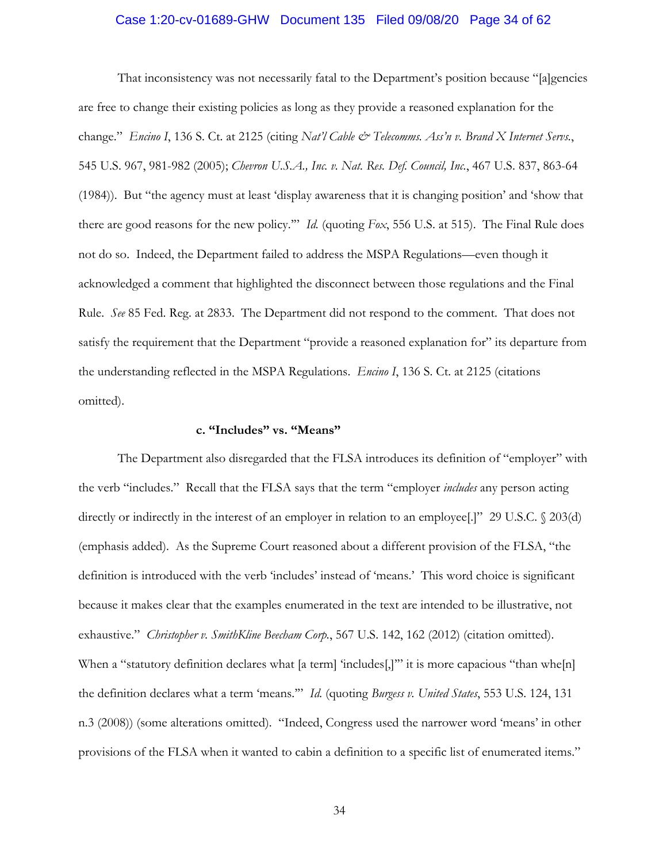## Case 1:20-cv-01689-GHW Document 135 Filed 09/08/20 Page 34 of 62

That inconsistency was not necessarily fatal to the Department's position because "[a]gencies are free to change their existing policies as long as they provide a reasoned explanation for the change." *Encino I*, 136 S. Ct. at 2125 (citing *Nat'l Cable & Telecomms. Ass'n v. Brand X Internet Servs.*, 545 U.S. 967, 981-982 (2005); *Chevron U.S.A., Inc. v. Nat. Res. Def. Council, Inc.*, 467 U.S. 837, 863-64 (1984)). But "the agency must at least 'display awareness that it is changing position' and 'show that there are good reasons for the new policy.'" *Id.* (quoting *Fox*, 556 U.S. at 515). The Final Rule does not do so. Indeed, the Department failed to address the MSPA Regulations—even though it acknowledged a comment that highlighted the disconnect between those regulations and the Final Rule. *See* 85 Fed. Reg. at 2833. The Department did not respond to the comment. That does not satisfy the requirement that the Department "provide a reasoned explanation for" its departure from the understanding reflected in the MSPA Regulations. *Encino I*, 136 S. Ct. at 2125 (citations omitted).

#### **c. "Includes" vs. "Means"**

The Department also disregarded that the FLSA introduces its definition of "employer" with the verb "includes." Recall that the FLSA says that the term "employer *includes* any person acting directly or indirectly in the interest of an employer in relation to an employee[.]" 29 U.S.C.  $\Diamond$  203(d) (emphasis added). As the Supreme Court reasoned about a different provision of the FLSA, "the definition is introduced with the verb 'includes' instead of 'means.' This word choice is significant because it makes clear that the examples enumerated in the text are intended to be illustrative, not exhaustive." *Christopher v. SmithKline Beecham Corp.*, 567 U.S. 142, 162 (2012) (citation omitted). When a "statutory definition declares what [a term] 'includes[,]" it is more capacious "than whe[n] the definition declares what a term 'means.'" *Id.* (quoting *Burgess v. United States*, 553 U.S. 124, 131 n.3 (2008)) (some alterations omitted). "Indeed, Congress used the narrower word 'means' in other provisions of the FLSA when it wanted to cabin a definition to a specific list of enumerated items."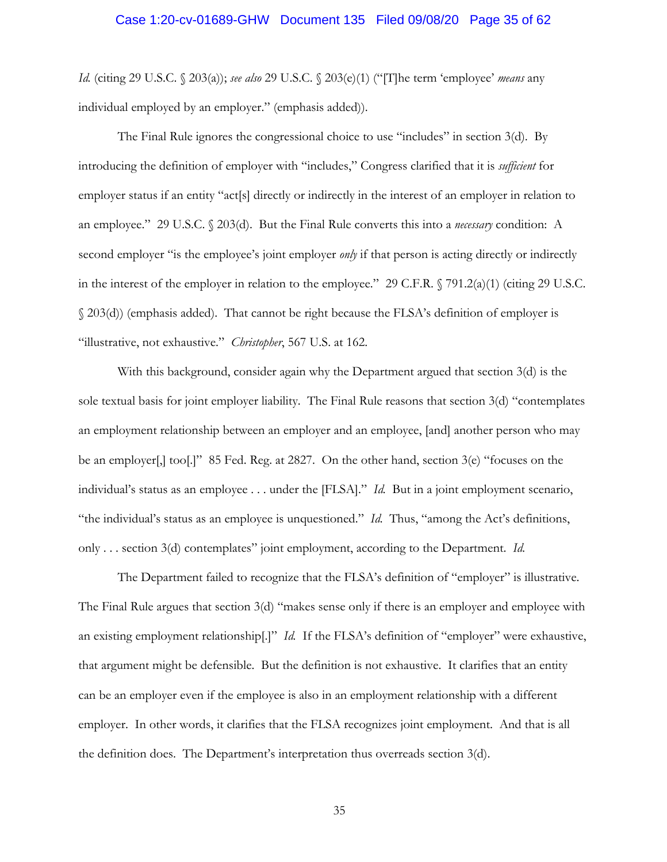*Id.* (citing 29 U.S.C. § 203(a)); *see also* 29 U.S.C. § 203(e)(1) ("[T]he term 'employee' *means* any individual employed by an employer." (emphasis added)).

The Final Rule ignores the congressional choice to use "includes" in section 3(d). By introducing the definition of employer with "includes," Congress clarified that it is *sufficient* for employer status if an entity "act[s] directly or indirectly in the interest of an employer in relation to an employee." 29 U.S.C. § 203(d). But the Final Rule converts this into a *necessary* condition: A second employer "is the employee's joint employer *only* if that person is acting directly or indirectly in the interest of the employer in relation to the employee." 29 C.F.R.  $\sqrt{}$  791.2(a)(1) (citing 29 U.S.C. § 203(d)) (emphasis added). That cannot be right because the FLSA's definition of employer is "illustrative, not exhaustive." *Christopher*, 567 U.S. at 162.

With this background, consider again why the Department argued that section 3(d) is the sole textual basis for joint employer liability. The Final Rule reasons that section 3(d) "contemplates an employment relationship between an employer and an employee, [and] another person who may be an employer[,] too[.]" 85 Fed. Reg. at 2827. On the other hand, section 3(e) "focuses on the individual's status as an employee . . . under the [FLSA]." *Id.* But in a joint employment scenario, "the individual's status as an employee is unquestioned." *Id.* Thus, "among the Act's definitions, only . . . section 3(d) contemplates" joint employment, according to the Department. *Id.*

The Department failed to recognize that the FLSA's definition of "employer" is illustrative. The Final Rule argues that section 3(d) "makes sense only if there is an employer and employee with an existing employment relationship[.]" *Id.* If the FLSA's definition of "employer" were exhaustive, that argument might be defensible. But the definition is not exhaustive. It clarifies that an entity can be an employer even if the employee is also in an employment relationship with a different employer. In other words, it clarifies that the FLSA recognizes joint employment. And that is all the definition does. The Department's interpretation thus overreads section 3(d).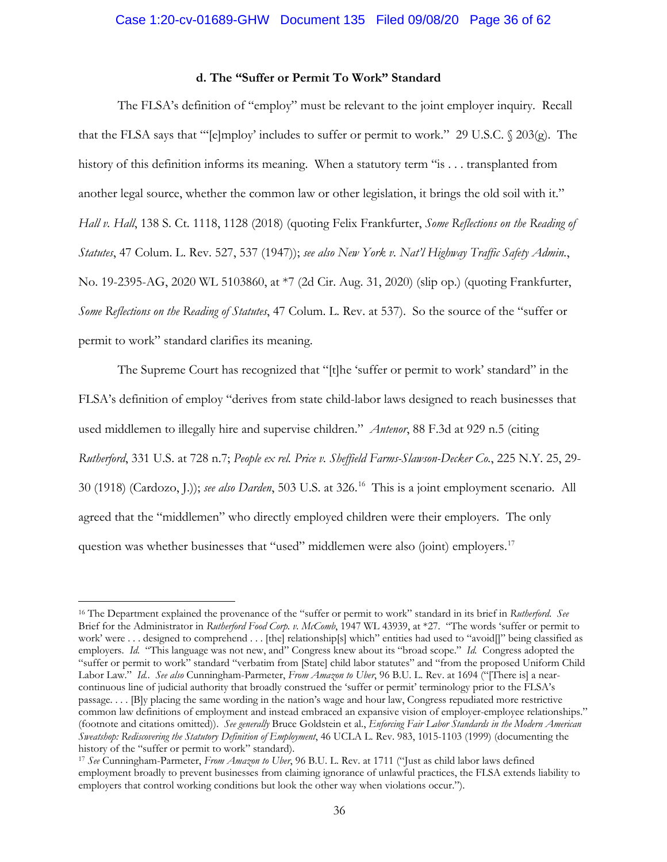# **d. The "Suffer or Permit To Work" Standard**

The FLSA's definition of "employ" must be relevant to the joint employer inquiry. Recall that the FLSA says that "'[e]mploy' includes to suffer or permit to work." 29 U.S.C.  $\Omega$  203(g). The history of this definition informs its meaning. When a statutory term "is . . . transplanted from another legal source, whether the common law or other legislation, it brings the old soil with it." *Hall v. Hall*, 138 S. Ct. 1118, 1128 (2018) (quoting Felix Frankfurter, *Some Reflections on the Reading of Statutes*, 47 Colum. L. Rev. 527, 537 (1947)); *see also New York v. Nat'l Highway Traffic Safety Admin.*, No. 19-2395-AG, 2020 WL 5103860, at \*7 (2d Cir. Aug. 31, 2020) (slip op.) (quoting Frankfurter, *Some Reflections on the Reading of Statutes*, 47 Colum. L. Rev. at 537). So the source of the "suffer or permit to work" standard clarifies its meaning.

The Supreme Court has recognized that "[t]he 'suffer or permit to work' standard" in the FLSA's definition of employ "derives from state child-labor laws designed to reach businesses that used middlemen to illegally hire and supervise children." *Antenor*, 88 F.3d at 929 n.5 (citing *Rutherford*, 331 U.S. at 728 n.7; *People ex rel. Price v. Sheffield Farms-Slawson-Decker Co.*, 225 N.Y. 25, 29- 30 (1918) (Cardozo, J.)); *see also Darden*, 503 U.S. at 326. 16 This is a joint employment scenario. All agreed that the "middlemen" who directly employed children were their employers. The only question was whether businesses that "used" middlemen were also (joint) employers.<sup>17</sup>

<sup>16</sup> The Department explained the provenance of the "suffer or permit to work" standard in its brief in *Rutherford*. *See* Brief for the Administrator in *Rutherford Food Corp. v. McComb*, 1947 WL 43939, at \*27. "The words 'suffer or permit to work' were . . . designed to comprehend . . . [the] relationship[s] which" entities had used to "avoid[]" being classified as employers. *Id.* "This language was not new, and" Congress knew about its "broad scope." *Id.* Congress adopted the "suffer or permit to work" standard "verbatim from [State] child labor statutes" and "from the proposed Uniform Child Labor Law." *Id.*. *See also* Cunningham-Parmeter, *From Amazon to Uber*, 96 B.U. L. Rev. at 1694 ("[There is] a nearcontinuous line of judicial authority that broadly construed the 'suffer or permit' terminology prior to the FLSA's passage. . . . [B]y placing the same wording in the nation's wage and hour law, Congress repudiated more restrictive common law definitions of employment and instead embraced an expansive vision of employer-employee relationships." (footnote and citations omitted)). *See generally* Bruce Goldstein et al., *Enforcing Fair Labor Standards in the Modern American Sweatshop: Rediscovering the Statutory Definition of Employment*, 46 UCLA L. Rev. 983, 1015-1103 (1999) (documenting the

<sup>&</sup>lt;sup>17</sup> See Cunningham-Parmeter, *From Amazon to Uber*, 96 B.U. L. Rev. at 1711 ("Just as child labor laws defined employment broadly to prevent businesses from claiming ignorance of unlawful practices, the FLSA extends liability to employers that control working conditions but look the other way when violations occur.").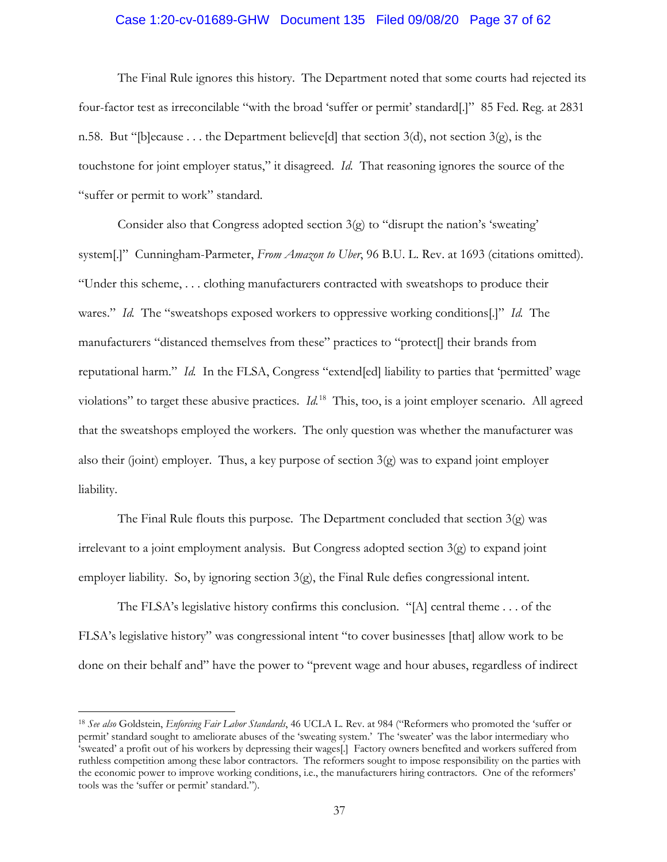### Case 1:20-cv-01689-GHW Document 135 Filed 09/08/20 Page 37 of 62

The Final Rule ignores this history. The Department noted that some courts had rejected its four-factor test as irreconcilable "with the broad 'suffer or permit' standard[.]" 85 Fed. Reg. at 2831 n.58. But "[b]ecause . . . the Department believe[d] that section  $3(d)$ , not section  $3(g)$ , is the touchstone for joint employer status," it disagreed. *Id.* That reasoning ignores the source of the "suffer or permit to work" standard.

Consider also that Congress adopted section  $3(g)$  to "disrupt the nation's 'sweating' system[.]" Cunningham-Parmeter, *From Amazon to Uber*, 96 B.U. L. Rev. at 1693 (citations omitted). "Under this scheme, . . . clothing manufacturers contracted with sweatshops to produce their wares." *Id.* The "sweatshops exposed workers to oppressive working conditions[.]" *Id.* The manufacturers "distanced themselves from these" practices to "protect[] their brands from reputational harm." *Id.* In the FLSA, Congress "extend[ed] liability to parties that 'permitted' wage violations" to target these abusive practices. *Id.*18 This, too, is a joint employer scenario. All agreed that the sweatshops employed the workers. The only question was whether the manufacturer was also their (joint) employer. Thus, a key purpose of section  $3(g)$  was to expand joint employer liability.

The Final Rule flouts this purpose. The Department concluded that section  $3(g)$  was irrelevant to a joint employment analysis. But Congress adopted section  $3\textcircled g}$  to expand joint employer liability. So, by ignoring section  $3(g)$ , the Final Rule defies congressional intent.

The FLSA's legislative history confirms this conclusion. "[A] central theme . . . of the FLSA's legislative history" was congressional intent "to cover businesses [that] allow work to be done on their behalf and" have the power to "prevent wage and hour abuses, regardless of indirect

<sup>18</sup> *See also* Goldstein, *Enforcing Fair Labor Standards*, 46 UCLA L. Rev. at 984 ("Reformers who promoted the 'suffer or permit' standard sought to ameliorate abuses of the 'sweating system.' The 'sweater' was the labor intermediary who 'sweated' a profit out of his workers by depressing their wages[.] Factory owners benefited and workers suffered from ruthless competition among these labor contractors. The reformers sought to impose responsibility on the parties with the economic power to improve working conditions, i.e., the manufacturers hiring contractors. One of the reformers' tools was the 'suffer or permit' standard.").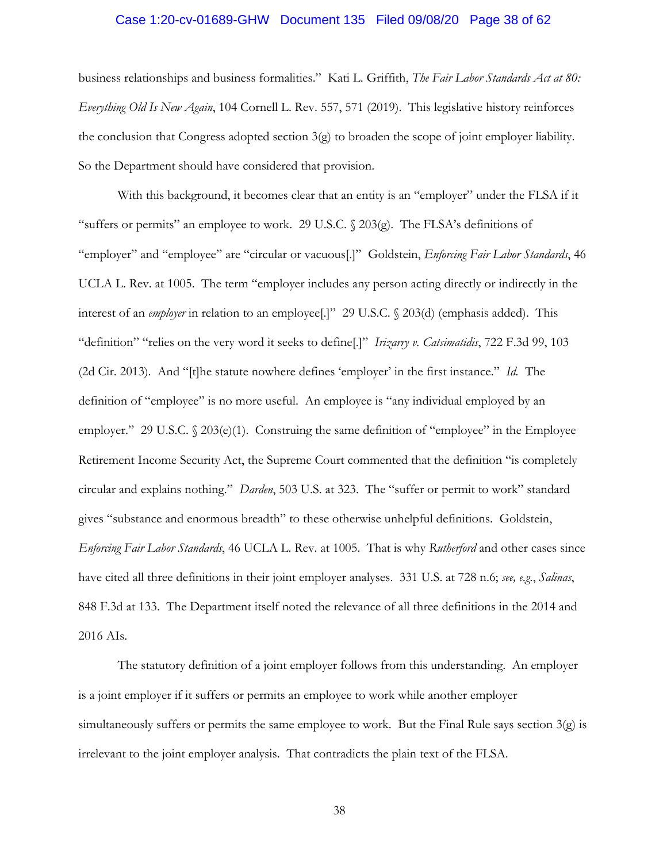### Case 1:20-cv-01689-GHW Document 135 Filed 09/08/20 Page 38 of 62

business relationships and business formalities." Kati L. Griffith, *The Fair Labor Standards Act at 80: Everything Old Is New Again*, 104 Cornell L. Rev. 557, 571 (2019). This legislative history reinforces the conclusion that Congress adopted section 3(g) to broaden the scope of joint employer liability. So the Department should have considered that provision.

With this background, it becomes clear that an entity is an "employer" under the FLSA if it "suffers or permits" an employee to work. 29 U.S.C. § 203(g). The FLSA's definitions of "employer" and "employee" are "circular or vacuous[.]" Goldstein, *Enforcing Fair Labor Standards*, 46 UCLA L. Rev. at 1005. The term "employer includes any person acting directly or indirectly in the interest of an *employer* in relation to an employee[.]" 29 U.S.C. § 203(d) (emphasis added). This "definition" "relies on the very word it seeks to define[.]" *Irizarry v. Catsimatidis*, 722 F.3d 99, 103 (2d Cir. 2013). And "[t]he statute nowhere defines 'employer' in the first instance." *Id.* The definition of "employee" is no more useful. An employee is "any individual employed by an employer." 29 U.S.C.  $\Diamond$  203(e)(1). Construing the same definition of "employee" in the Employee Retirement Income Security Act, the Supreme Court commented that the definition "is completely circular and explains nothing." *Darden*, 503 U.S. at 323. The "suffer or permit to work" standard gives "substance and enormous breadth" to these otherwise unhelpful definitions. Goldstein, *Enforcing Fair Labor Standards*, 46 UCLA L. Rev. at 1005. That is why *Rutherford* and other cases since have cited all three definitions in their joint employer analyses. 331 U.S. at 728 n.6; *see, e.g.*, *Salinas*, 848 F.3d at 133. The Department itself noted the relevance of all three definitions in the 2014 and 2016 AIs.

The statutory definition of a joint employer follows from this understanding. An employer is a joint employer if it suffers or permits an employee to work while another employer simultaneously suffers or permits the same employee to work. But the Final Rule says section  $3(g)$  is irrelevant to the joint employer analysis. That contradicts the plain text of the FLSA.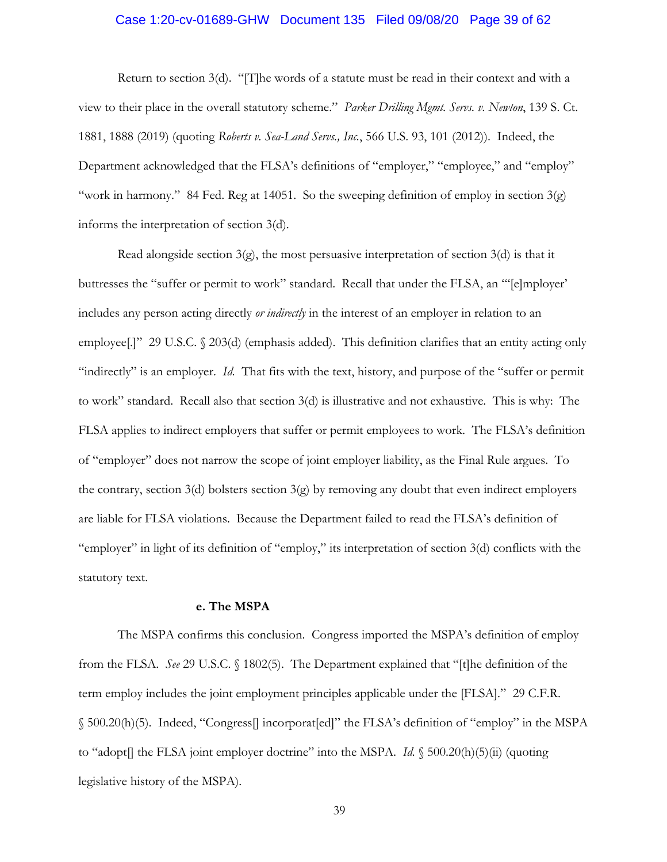## Case 1:20-cv-01689-GHW Document 135 Filed 09/08/20 Page 39 of 62

Return to section  $3(d)$ . "[T]he words of a statute must be read in their context and with a view to their place in the overall statutory scheme." *Parker Drilling Mgmt. Servs. v. Newton*, 139 S. Ct. 1881, 1888 (2019) (quoting *Roberts v. Sea-Land Servs., Inc.*, 566 U.S. 93, 101 (2012)). Indeed, the Department acknowledged that the FLSA's definitions of "employer," "employee," and "employ" "work in harmony." 84 Fed. Reg at 14051. So the sweeping definition of employ in section  $3(g)$ informs the interpretation of section 3(d).

Read alongside section  $3(g)$ , the most persuasive interpretation of section  $3(d)$  is that it buttresses the "suffer or permit to work" standard. Recall that under the FLSA, an "'[e]mployer' includes any person acting directly *or indirectly* in the interest of an employer in relation to an employee[.]" 29 U.S.C. § 203(d) (emphasis added). This definition clarifies that an entity acting only "indirectly" is an employer. *Id.* That fits with the text, history, and purpose of the "suffer or permit to work" standard. Recall also that section 3(d) is illustrative and not exhaustive. This is why: The FLSA applies to indirect employers that suffer or permit employees to work. The FLSA's definition of "employer" does not narrow the scope of joint employer liability, as the Final Rule argues. To the contrary, section 3(d) bolsters section 3(g) by removing any doubt that even indirect employers are liable for FLSA violations. Because the Department failed to read the FLSA's definition of "employer" in light of its definition of "employ," its interpretation of section 3(d) conflicts with the statutory text.

#### **e. The MSPA**

The MSPA confirms this conclusion. Congress imported the MSPA's definition of employ from the FLSA. *See* 29 U.S.C. § 1802(5). The Department explained that "[t]he definition of the term employ includes the joint employment principles applicable under the [FLSA]." 29 C.F.R. § 500.20(h)(5). Indeed, "Congress[] incorporat[ed]" the FLSA's definition of "employ" in the MSPA to "adopt] the FLSA joint employer doctrine" into the MSPA. *Id.* § 500.20(h)(5)(ii) (quoting legislative history of the MSPA).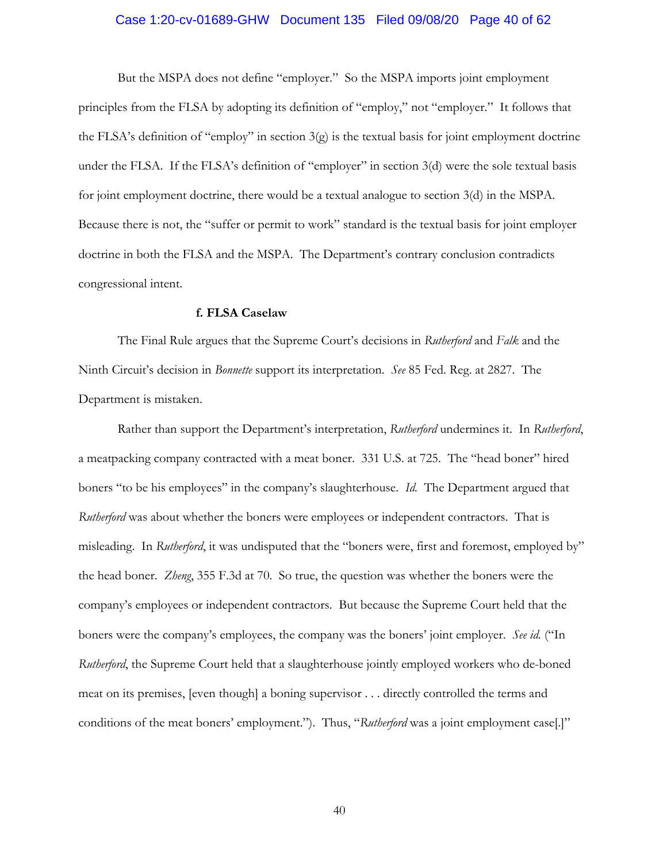#### Case 1:20-cv-01689-GHW Document 135 Filed 09/08/20 Page 40 of 62

But the MSPA does not define "employer." So the MSPA imports joint employment principles from the FLSA by adopting its definition of "employ," not "employer." It follows that the FLSA's definition of "employ" in section 3(g) is the textual basis for joint employment doctrine under the FLSA. If the FLSA's definition of "employer" in section 3(d) were the sole textual basis for joint employment doctrine, there would be a textual analogue to section 3(d) in the MSPA. Because there is not, the "suffer or permit to work" standard is the textual basis for joint employer doctrine in both the FLSA and the MSPA. The Department's contrary conclusion contradicts congressional intent.

#### **f. FLSA Caselaw**

The Final Rule argues that the Supreme Court's decisions in *Rutherford* and *Falk* and the Ninth Circuit's decision in *Bonnette* support its interpretation. *See* 85 Fed. Reg. at 2827. The Department is mistaken.

Rather than support the Department's interpretation, *Rutherford* undermines it. In *Rutherford*, a meatpacking company contracted with a meat boner. 331 U.S. at 725. The "head boner" hired boners "to be his employees" in the company's slaughterhouse. *Id.* The Department argued that *Rutherford* was about whether the boners were employees or independent contractors. That is misleading. In *Rutherford*, it was undisputed that the "boners were, first and foremost, employed by" the head boner. *Zheng*, 355 F.3d at 70. So true, the question was whether the boners were the company's employees or independent contractors. But because the Supreme Court held that the boners were the company's employees, the company was the boners' joint employer. *See id.* ("In *Rutherford*, the Supreme Court held that a slaughterhouse jointly employed workers who de-boned meat on its premises, [even though] a boning supervisor . . . directly controlled the terms and conditions of the meat boners' employment."). Thus, "*Rutherford* was a joint employment case[.]"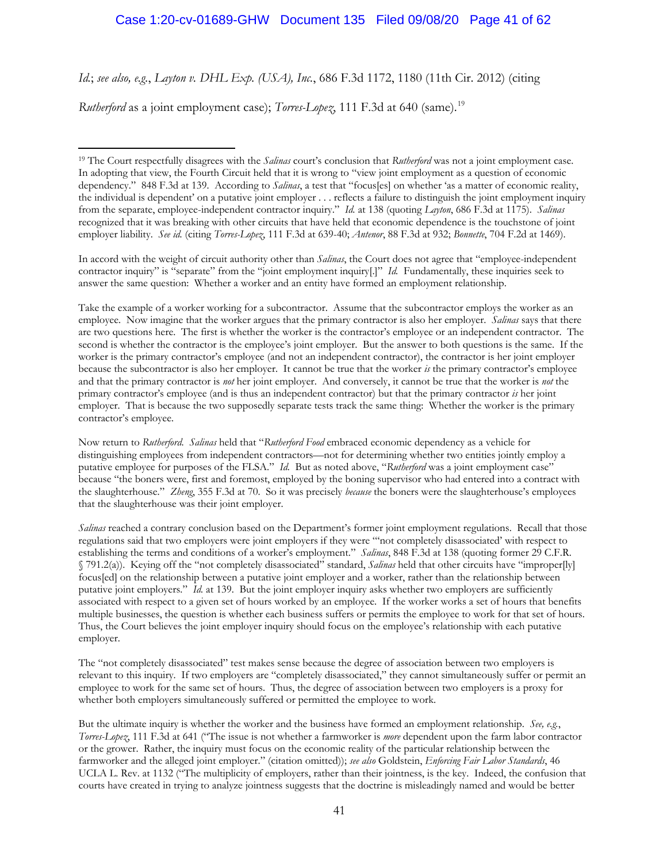*Id.*; *see also, e.g.*, *Layton v. DHL Exp. (USA), Inc.*, 686 F.3d 1172, 1180 (11th Cir. 2012) (citing

*Rutherford* as a joint employment case); *Torres-Lopez*, 111 F.3d at 640 (same).<sup>19</sup>

In accord with the weight of circuit authority other than *Salinas*, the Court does not agree that "employee-independent contractor inquiry" is "separate" from the "joint employment inquiry[.]" *Id.* Fundamentally, these inquiries seek to answer the same question: Whether a worker and an entity have formed an employment relationship.

Take the example of a worker working for a subcontractor. Assume that the subcontractor employs the worker as an employee. Now imagine that the worker argues that the primary contractor is also her employer. *Salinas* says that there are two questions here. The first is whether the worker is the contractor's employee or an independent contractor. The second is whether the contractor is the employee's joint employer. But the answer to both questions is the same. If the worker is the primary contractor's employee (and not an independent contractor), the contractor is her joint employer because the subcontractor is also her employer. It cannot be true that the worker *is* the primary contractor's employee and that the primary contractor is *not* her joint employer. And conversely, it cannot be true that the worker is *not* the primary contractor's employee (and is thus an independent contractor) but that the primary contractor *is* her joint employer. That is because the two supposedly separate tests track the same thing: Whether the worker is the primary contractor's employee.

Now return to *Rutherford*. *Salinas* held that "*Rutherford Food* embraced economic dependency as a vehicle for distinguishing employees from independent contractors—not for determining whether two entities jointly employ a putative employee for purposes of the FLSA." *Id.* But as noted above, "*Rutherford* was a joint employment case" because "the boners were, first and foremost, employed by the boning supervisor who had entered into a contract with the slaughterhouse." *Zheng*, 355 F.3d at 70. So it was precisely *because* the boners were the slaughterhouse's employees that the slaughterhouse was their joint employer.

*Salinas* reached a contrary conclusion based on the Department's former joint employment regulations. Recall that those regulations said that two employers were joint employers if they were "'not completely disassociated' with respect to establishing the terms and conditions of a worker's employment." *Salinas*, 848 F.3d at 138 (quoting former 29 C.F.R. § 791.2(a)). Keying off the "not completely disassociated" standard, *Salinas* held that other circuits have "improper[ly] focus[ed] on the relationship between a putative joint employer and a worker, rather than the relationship between putative joint employers." *Id.* at 139. But the joint employer inquiry asks whether two employers are sufficiently associated with respect to a given set of hours worked by an employee. If the worker works a set of hours that benefits multiple businesses, the question is whether each business suffers or permits the employee to work for that set of hours. Thus, the Court believes the joint employer inquiry should focus on the employee's relationship with each putative employer.

The "not completely disassociated" test makes sense because the degree of association between two employers is relevant to this inquiry. If two employers are "completely disassociated," they cannot simultaneously suffer or permit an employee to work for the same set of hours. Thus, the degree of association between two employers is a proxy for whether both employers simultaneously suffered or permitted the employee to work.

But the ultimate inquiry is whether the worker and the business have formed an employment relationship. *See, e.g.*, *Torres-Lopez*, 111 F.3d at 641 ("The issue is not whether a farmworker is *more* dependent upon the farm labor contractor or the grower. Rather, the inquiry must focus on the economic reality of the particular relationship between the farmworker and the alleged joint employer." (citation omitted)); *see also* Goldstein, *Enforcing Fair Labor Standards*, 46 UCLA L. Rev. at 1132 ("The multiplicity of employers, rather than their jointness, is the key. Indeed, the confusion that courts have created in trying to analyze jointness suggests that the doctrine is misleadingly named and would be better

<sup>19</sup> The Court respectfully disagrees with the *Salinas* court's conclusion that *Rutherford* was not a joint employment case. In adopting that view, the Fourth Circuit held that it is wrong to "view joint employment as a question of economic dependency." 848 F.3d at 139. According to *Salinas*, a test that "focus[es] on whether 'as a matter of economic reality, the individual is dependent' on a putative joint employer . . . reflects a failure to distinguish the joint employment inquiry from the separate, employee-independent contractor inquiry." *Id.* at 138 (quoting *Layton*, 686 F.3d at 1175). *Salinas* recognized that it was breaking with other circuits that have held that economic dependence is the touchstone of joint employer liability. *See id.* (citing *Torres-Lopez*, 111 F.3d at 639-40; *Antenor*, 88 F.3d at 932; *Bonnette*, 704 F.2d at 1469).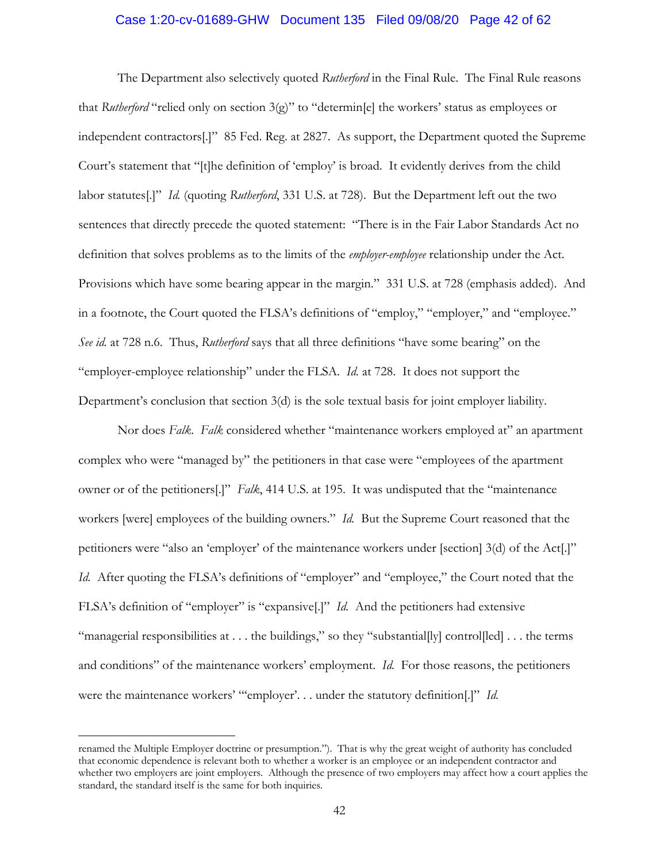### Case 1:20-cv-01689-GHW Document 135 Filed 09/08/20 Page 42 of 62

The Department also selectively quoted *Rutherford* in the Final Rule. The Final Rule reasons that *Rutherford* "relied only on section 3(g)" to "determin[e] the workers' status as employees or independent contractors[.]" 85 Fed. Reg. at 2827. As support, the Department quoted the Supreme Court's statement that "[t]he definition of 'employ' is broad. It evidently derives from the child labor statutes[.]" *Id.* (quoting *Rutherford*, 331 U.S. at 728). But the Department left out the two sentences that directly precede the quoted statement: "There is in the Fair Labor Standards Act no definition that solves problems as to the limits of the *employer-employee* relationship under the Act. Provisions which have some bearing appear in the margin." 331 U.S. at 728 (emphasis added). And in a footnote, the Court quoted the FLSA's definitions of "employ," "employer," and "employee." *See id.* at 728 n.6. Thus, *Rutherford* says that all three definitions "have some bearing" on the "employer-employee relationship" under the FLSA. *Id.* at 728. It does not support the Department's conclusion that section 3(d) is the sole textual basis for joint employer liability.

Nor does *Falk*. *Falk* considered whether "maintenance workers employed at" an apartment complex who were "managed by" the petitioners in that case were "employees of the apartment owner or of the petitioners[.]" *Falk*, 414 U.S. at 195. It was undisputed that the "maintenance workers [were] employees of the building owners." *Id.* But the Supreme Court reasoned that the petitioners were "also an 'employer' of the maintenance workers under [section] 3(d) of the Act[.]" *Id.* After quoting the FLSA's definitions of "employer" and "employee," the Court noted that the FLSA's definition of "employer" is "expansive[.]" *Id.* And the petitioners had extensive "managerial responsibilities at . . . the buildings," so they "substantial[ly] control[led] . . . the terms and conditions" of the maintenance workers' employment. *Id.* For those reasons, the petitioners were the maintenance workers' "'employer'. . . under the statutory definition[.]" *Id.*

renamed the Multiple Employer doctrine or presumption."). That is why the great weight of authority has concluded that economic dependence is relevant both to whether a worker is an employee or an independent contractor and whether two employers are joint employers. Although the presence of two employers may affect how a court applies the standard, the standard itself is the same for both inquiries.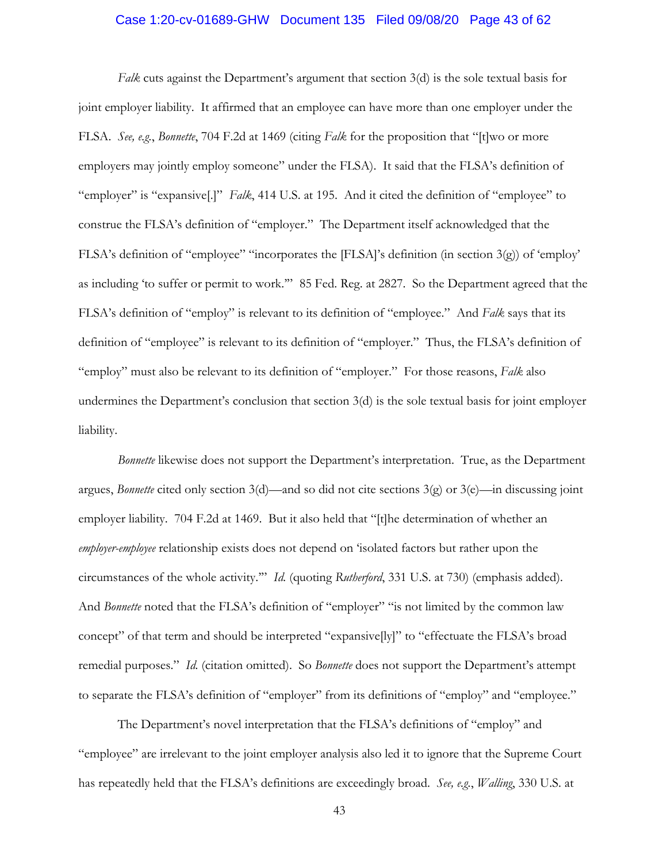## Case 1:20-cv-01689-GHW Document 135 Filed 09/08/20 Page 43 of 62

*Falk* cuts against the Department's argument that section 3(d) is the sole textual basis for joint employer liability. It affirmed that an employee can have more than one employer under the FLSA. *See, e.g.*, *Bonnette*, 704 F.2d at 1469 (citing *Falk* for the proposition that "[t]wo or more employers may jointly employ someone" under the FLSA). It said that the FLSA's definition of "employer" is "expansive[.]" *Falk*, 414 U.S. at 195. And it cited the definition of "employee" to construe the FLSA's definition of "employer." The Department itself acknowledged that the FLSA's definition of "employee" "incorporates the [FLSA]'s definition (in section 3(g)) of 'employ' as including 'to suffer or permit to work.'" 85 Fed. Reg. at 2827. So the Department agreed that the FLSA's definition of "employ" is relevant to its definition of "employee." And *Falk* says that its definition of "employee" is relevant to its definition of "employer." Thus, the FLSA's definition of "employ" must also be relevant to its definition of "employer." For those reasons, *Falk* also undermines the Department's conclusion that section 3(d) is the sole textual basis for joint employer liability.

*Bonnette* likewise does not support the Department's interpretation. True, as the Department argues, *Bonnette* cited only section 3(d)—and so did not cite sections 3(g) or 3(e)—in discussing joint employer liability. 704 F.2d at 1469. But it also held that "[t]he determination of whether an *employer-employee* relationship exists does not depend on 'isolated factors but rather upon the circumstances of the whole activity.'" *Id.* (quoting *Rutherford*, 331 U.S. at 730) (emphasis added). And *Bonnette* noted that the FLSA's definition of "employer" "is not limited by the common law concept" of that term and should be interpreted "expansive[ly]" to "effectuate the FLSA's broad remedial purposes." *Id.* (citation omitted). So *Bonnette* does not support the Department's attempt to separate the FLSA's definition of "employer" from its definitions of "employ" and "employee."

The Department's novel interpretation that the FLSA's definitions of "employ" and "employee" are irrelevant to the joint employer analysis also led it to ignore that the Supreme Court has repeatedly held that the FLSA's definitions are exceedingly broad. *See, e.g.*, *Walling*, 330 U.S. at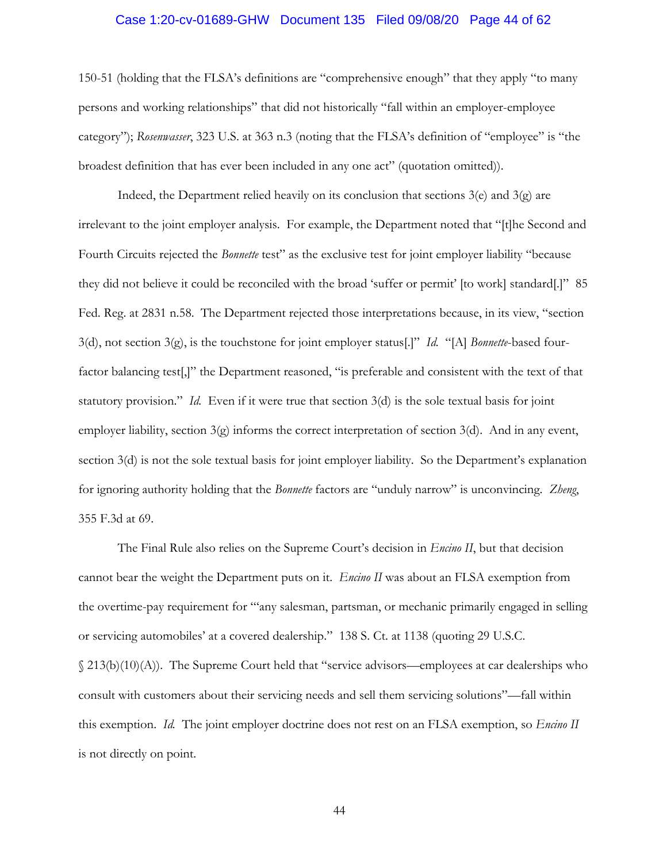### Case 1:20-cv-01689-GHW Document 135 Filed 09/08/20 Page 44 of 62

150-51 (holding that the FLSA's definitions are "comprehensive enough" that they apply "to many persons and working relationships" that did not historically "fall within an employer-employee category"); *Rosenwasser*, 323 U.S. at 363 n.3 (noting that the FLSA's definition of "employee" is "the broadest definition that has ever been included in any one act" (quotation omitted)).

Indeed, the Department relied heavily on its conclusion that sections  $3(e)$  and  $3(g)$  are irrelevant to the joint employer analysis. For example, the Department noted that "[t]he Second and Fourth Circuits rejected the *Bonnette* test" as the exclusive test for joint employer liability "because they did not believe it could be reconciled with the broad 'suffer or permit' [to work] standard[.]" 85 Fed. Reg. at 2831 n.58. The Department rejected those interpretations because, in its view, "section 3(d), not section 3(g), is the touchstone for joint employer status[.]" *Id.* "[A] *Bonnette*-based fourfactor balancing test[,]" the Department reasoned, "is preferable and consistent with the text of that statutory provision." *Id.* Even if it were true that section 3(d) is the sole textual basis for joint employer liability, section 3(g) informs the correct interpretation of section 3(d). And in any event, section 3(d) is not the sole textual basis for joint employer liability. So the Department's explanation for ignoring authority holding that the *Bonnette* factors are "unduly narrow" is unconvincing. *Zheng*, 355 F.3d at 69.

The Final Rule also relies on the Supreme Court's decision in *Encino II*, but that decision cannot bear the weight the Department puts on it. *Encino II* was about an FLSA exemption from the overtime-pay requirement for "'any salesman, partsman, or mechanic primarily engaged in selling or servicing automobiles' at a covered dealership." 138 S. Ct. at 1138 (quoting 29 U.S.C. § 213(b)(10)(A)). The Supreme Court held that "service advisors—employees at car dealerships who consult with customers about their servicing needs and sell them servicing solutions"—fall within this exemption. *Id.* The joint employer doctrine does not rest on an FLSA exemption, so *Encino II* is not directly on point.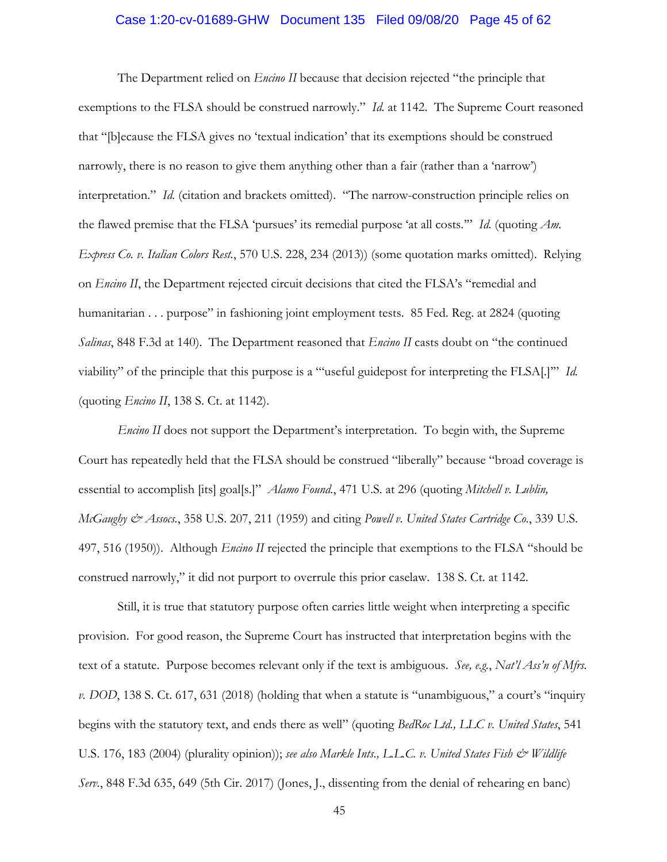#### Case 1:20-cv-01689-GHW Document 135 Filed 09/08/20 Page 45 of 62

The Department relied on *Encino II* because that decision rejected "the principle that exemptions to the FLSA should be construed narrowly." *Id.* at 1142. The Supreme Court reasoned that "[b]ecause the FLSA gives no 'textual indication' that its exemptions should be construed narrowly, there is no reason to give them anything other than a fair (rather than a 'narrow') interpretation." *Id.* (citation and brackets omitted). "The narrow-construction principle relies on the flawed premise that the FLSA 'pursues' its remedial purpose 'at all costs.'" *Id.* (quoting *Am. Express Co. v. Italian Colors Rest.*, 570 U.S. 228, 234 (2013)) (some quotation marks omitted). Relying on *Encino II*, the Department rejected circuit decisions that cited the FLSA's "remedial and humanitarian . . . purpose" in fashioning joint employment tests. 85 Fed. Reg. at 2824 (quoting *Salinas*, 848 F.3d at 140). The Department reasoned that *Encino II* casts doubt on "the continued viability" of the principle that this purpose is a "'useful guidepost for interpreting the FLSA[.]'" *Id.* (quoting *Encino II*, 138 S. Ct. at 1142).

*Encino II* does not support the Department's interpretation. To begin with, the Supreme Court has repeatedly held that the FLSA should be construed "liberally" because "broad coverage is essential to accomplish [its] goal[s.]" *Alamo Found.*, 471 U.S. at 296 (quoting *Mitchell v. Lublin, McGaughy & Assocs.*, 358 U.S. 207, 211 (1959) and citing *Powell v. United States Cartridge Co.*, 339 U.S. 497, 516 (1950)). Although *Encino II* rejected the principle that exemptions to the FLSA "should be construed narrowly," it did not purport to overrule this prior caselaw. 138 S. Ct. at 1142.

Still, it is true that statutory purpose often carries little weight when interpreting a specific provision. For good reason, the Supreme Court has instructed that interpretation begins with the text of a statute. Purpose becomes relevant only if the text is ambiguous. *See, e.g.*, *Nat'l Ass'n of Mfrs. v. DOD*, 138 S. Ct. 617, 631 (2018) (holding that when a statute is "unambiguous," a court's "inquiry begins with the statutory text, and ends there as well" (quoting *BedRoc Ltd., LLC v. United States*, 541 U.S. 176, 183 (2004) (plurality opinion)); see also Markle Ints., L.L.C. v. United States Fish & Wildlife *Serv.*, 848 F.3d 635, 649 (5th Cir. 2017) (Jones, J., dissenting from the denial of rehearing en banc)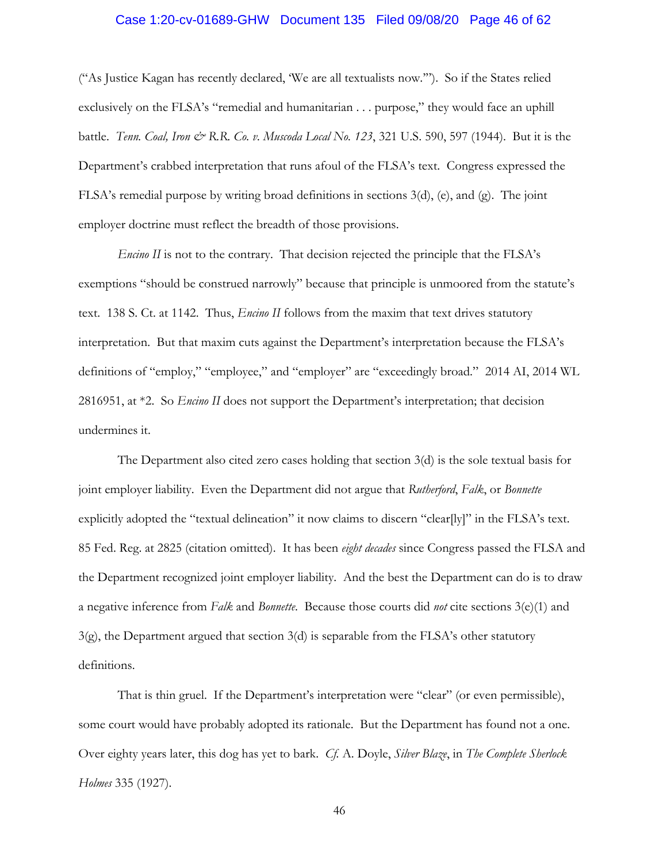## Case 1:20-cv-01689-GHW Document 135 Filed 09/08/20 Page 46 of 62

("As Justice Kagan has recently declared, 'We are all textualists now.'"). So if the States relied exclusively on the FLSA's "remedial and humanitarian . . . purpose," they would face an uphill battle. *Tenn. Coal, Iron & R.R. Co. v. Muscoda Local No. 123*, 321 U.S. 590, 597 (1944). But it is the Department's crabbed interpretation that runs afoul of the FLSA's text. Congress expressed the FLSA's remedial purpose by writing broad definitions in sections 3(d), (e), and (g). The joint employer doctrine must reflect the breadth of those provisions.

*Encino II* is not to the contrary. That decision rejected the principle that the FLSA's exemptions "should be construed narrowly" because that principle is unmoored from the statute's text. 138 S. Ct. at 1142. Thus, *Encino II* follows from the maxim that text drives statutory interpretation. But that maxim cuts against the Department's interpretation because the FLSA's definitions of "employ," "employee," and "employer" are "exceedingly broad." 2014 AI, 2014 WL 2816951, at \*2. So *Encino II* does not support the Department's interpretation; that decision undermines it.

The Department also cited zero cases holding that section 3(d) is the sole textual basis for joint employer liability. Even the Department did not argue that *Rutherford*, *Falk*, or *Bonnette* explicitly adopted the "textual delineation" it now claims to discern "clear[ly]" in the FLSA's text. 85 Fed. Reg. at 2825 (citation omitted). It has been *eight decades* since Congress passed the FLSA and the Department recognized joint employer liability. And the best the Department can do is to draw a negative inference from *Falk* and *Bonnette*. Because those courts did *not* cite sections 3(e)(1) and  $3$ (g), the Department argued that section  $3$ (d) is separable from the FLSA's other statutory definitions.

That is thin gruel. If the Department's interpretation were "clear" (or even permissible), some court would have probably adopted its rationale. But the Department has found not a one. Over eighty years later, this dog has yet to bark. *Cf.* A. Doyle, *Silver Blaze*, in *The Complete Sherlock Holmes* 335 (1927).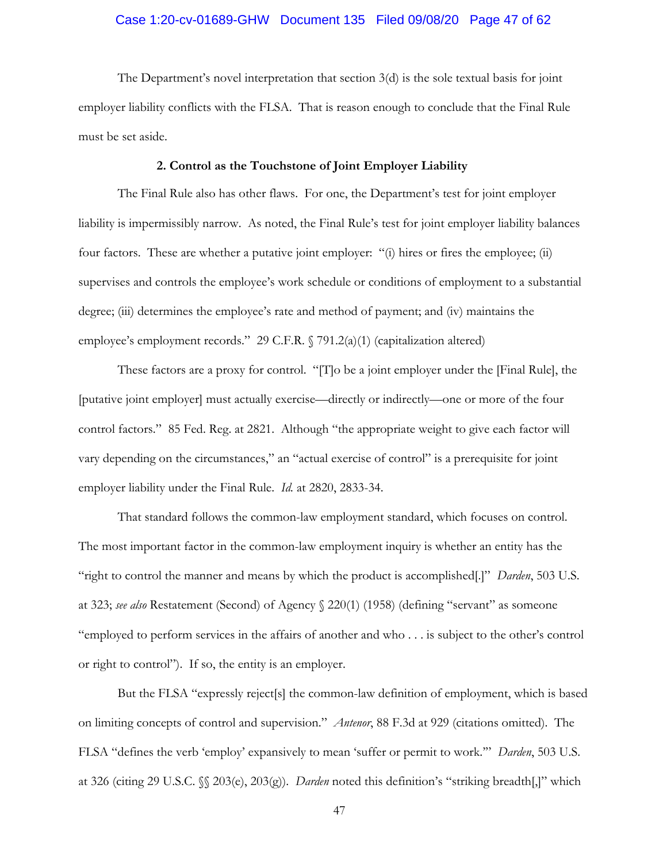## Case 1:20-cv-01689-GHW Document 135 Filed 09/08/20 Page 47 of 62

The Department's novel interpretation that section 3(d) is the sole textual basis for joint employer liability conflicts with the FLSA. That is reason enough to conclude that the Final Rule must be set aside.

#### **2. Control as the Touchstone of Joint Employer Liability**

The Final Rule also has other flaws. For one, the Department's test for joint employer liability is impermissibly narrow. As noted, the Final Rule's test for joint employer liability balances four factors. These are whether a putative joint employer: "(i) hires or fires the employee; (ii) supervises and controls the employee's work schedule or conditions of employment to a substantial degree; (iii) determines the employee's rate and method of payment; and (iv) maintains the employee's employment records." 29 C.F.R. § 791.2(a)(1) (capitalization altered)

These factors are a proxy for control. "[T]o be a joint employer under the [Final Rule], the [putative joint employer] must actually exercise—directly or indirectly—one or more of the four control factors." 85 Fed. Reg. at 2821. Although "the appropriate weight to give each factor will vary depending on the circumstances," an "actual exercise of control" is a prerequisite for joint employer liability under the Final Rule. *Id.* at 2820, 2833-34.

That standard follows the common-law employment standard, which focuses on control. The most important factor in the common-law employment inquiry is whether an entity has the "right to control the manner and means by which the product is accomplished[.]" *Darden*, 503 U.S. at 323; *see also* Restatement (Second) of Agency § 220(1) (1958) (defining "servant" as someone "employed to perform services in the affairs of another and who . . . is subject to the other's control or right to control"). If so, the entity is an employer.

But the FLSA "expressly reject[s] the common-law definition of employment, which is based on limiting concepts of control and supervision." *Antenor*, 88 F.3d at 929 (citations omitted). The FLSA "defines the verb 'employ' expansively to mean 'suffer or permit to work.'" *Darden*, 503 U.S. at 326 (citing 29 U.S.C. §§ 203(e), 203(g)). *Darden* noted this definition's "striking breadth[,]" which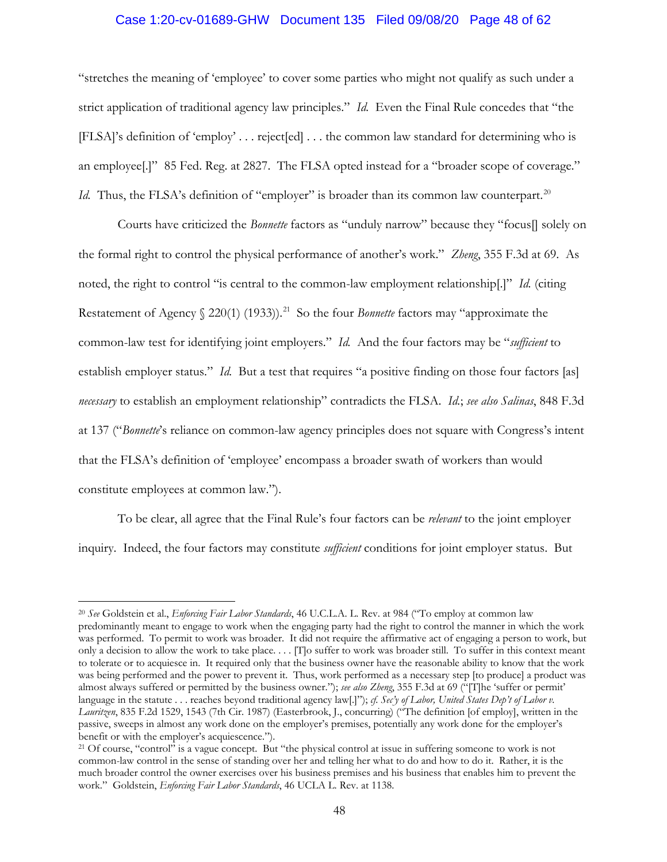## Case 1:20-cv-01689-GHW Document 135 Filed 09/08/20 Page 48 of 62

"stretches the meaning of 'employee' to cover some parties who might not qualify as such under a strict application of traditional agency law principles." *Id.* Even the Final Rule concedes that "the [FLSA]'s definition of 'employ' . . . reject[ed] . . . the common law standard for determining who is an employee[.]" 85 Fed. Reg. at 2827. The FLSA opted instead for a "broader scope of coverage." *Id.* Thus, the FLSA's definition of "employer" is broader than its common law counterpart.<sup>20</sup>

Courts have criticized the *Bonnette* factors as "unduly narrow" because they "focus[] solely on the formal right to control the physical performance of another's work." *Zheng*, 355 F.3d at 69. As noted, the right to control "is central to the common-law employment relationship[.]" *Id.* (citing Restatement of Agency § 220(1) (1933)).<sup>21</sup> So the four *Bonnette* factors may "approximate the common-law test for identifying joint employers." *Id.* And the four factors may be "*sufficient* to establish employer status." *Id.* But a test that requires "a positive finding on those four factors [as] *necessary* to establish an employment relationship" contradicts the FLSA. *Id.*; *see also Salinas*, 848 F.3d at 137 ("*Bonnette*'s reliance on common-law agency principles does not square with Congress's intent that the FLSA's definition of 'employee' encompass a broader swath of workers than would constitute employees at common law.").

To be clear, all agree that the Final Rule's four factors can be *relevant* to the joint employer inquiry. Indeed, the four factors may constitute *sufficient* conditions for joint employer status. But

<sup>20</sup> *See* Goldstein et al., *Enforcing Fair Labor Standards*, 46 U.C.L.A. L. Rev. at 984 ("To employ at common law predominantly meant to engage to work when the engaging party had the right to control the manner in which the work was performed. To permit to work was broader. It did not require the affirmative act of engaging a person to work, but only a decision to allow the work to take place. . . . [T]o suffer to work was broader still. To suffer in this context meant to tolerate or to acquiesce in. It required only that the business owner have the reasonable ability to know that the work was being performed and the power to prevent it. Thus, work performed as a necessary step [to produce] a product was almost always suffered or permitted by the business owner."); *see also Zheng*, 355 F.3d at 69 ("[T]he 'suffer or permit' language in the statute . . . reaches beyond traditional agency law[.]"); *cf. Sec'y of Labor, United States Dep't of Labor v. Lauritzen*, 835 F.2d 1529, 1543 (7th Cir. 1987) (Easterbrook, J., concurring) ("The definition [of employ], written in the passive, sweeps in almost any work done on the employer's premises, potentially any work done for the employer's benefit or with the employer's acquiescence.").

<sup>&</sup>lt;sup>21</sup> Of course, "control" is a vague concept. But "the physical control at issue in suffering someone to work is not common-law control in the sense of standing over her and telling her what to do and how to do it. Rather, it is the much broader control the owner exercises over his business premises and his business that enables him to prevent the work." Goldstein, *Enforcing Fair Labor Standards*, 46 UCLA L. Rev. at 1138.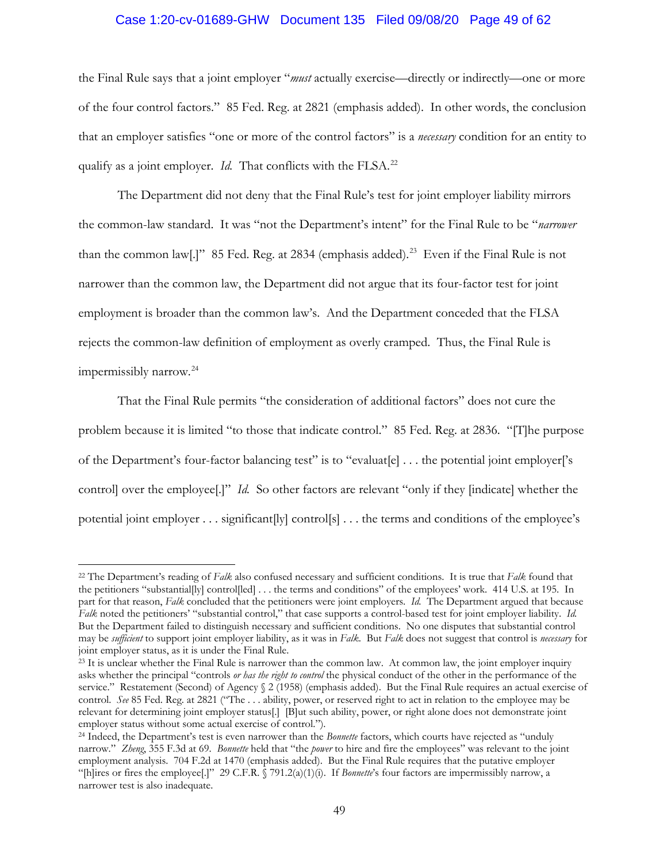## Case 1:20-cv-01689-GHW Document 135 Filed 09/08/20 Page 49 of 62

the Final Rule says that a joint employer "*must* actually exercise—directly or indirectly—one or more of the four control factors." 85 Fed. Reg. at 2821 (emphasis added). In other words, the conclusion that an employer satisfies "one or more of the control factors" is a *necessary* condition for an entity to qualify as a joint employer. *Id*. That conflicts with the FLSA.<sup>22</sup>

The Department did not deny that the Final Rule's test for joint employer liability mirrors the common-law standard. It was "not the Department's intent" for the Final Rule to be "*narrower* than the common law[.]" 85 Fed. Reg. at 2834 (emphasis added).<sup>23</sup> Even if the Final Rule is not narrower than the common law, the Department did not argue that its four-factor test for joint employment is broader than the common law's. And the Department conceded that the FLSA rejects the common-law definition of employment as overly cramped. Thus, the Final Rule is impermissibly narrow.24

That the Final Rule permits "the consideration of additional factors" does not cure the problem because it is limited "to those that indicate control." 85 Fed. Reg. at 2836. "[T]he purpose of the Department's four-factor balancing test" is to "evaluat[e] . . . the potential joint employer['s control] over the employee[.]" *Id.* So other factors are relevant "only if they [indicate] whether the potential joint employer . . . significant[ly] control[s] . . . the terms and conditions of the employee's

<sup>22</sup> The Department's reading of *Falk* also confused necessary and sufficient conditions. It is true that *Falk* found that the petitioners "substantial[ly] control[led] . . . the terms and conditions" of the employees' work. 414 U.S. at 195. In part for that reason, *Falk* concluded that the petitioners were joint employers. *Id.* The Department argued that because *Falk* noted the petitioners' "substantial control," that case supports a control-based test for joint employer liability. *Id.* But the Department failed to distinguish necessary and sufficient conditions. No one disputes that substantial control may be *sufficient* to support joint employer liability, as it was in *Falk*. But *Falk* does not suggest that control is *necessary* for joint employer status, as it is under the Final Rule.

<sup>&</sup>lt;sup>23</sup> It is unclear whether the Final Rule is narrower than the common law. At common law, the joint employer inquiry asks whether the principal "controls *or has the right to control* the physical conduct of the other in the performance of the service." Restatement (Second) of Agency § 2 (1958) (emphasis added). But the Final Rule requires an actual exercise of control. *See* 85 Fed. Reg. at 2821 ("The . . . ability, power, or reserved right to act in relation to the employee may be relevant for determining joint employer status[.] [B]ut such ability, power, or right alone does not demonstrate joint employer status without some actual exercise of control.").

<sup>24</sup> Indeed, the Department's test is even narrower than the *Bonnette* factors, which courts have rejected as "unduly narrow." *Zheng*, 355 F.3d at 69. *Bonnette* held that "the *power* to hire and fire the employees" was relevant to the joint employment analysis. 704 F.2d at 1470 (emphasis added). But the Final Rule requires that the putative employer "[h]ires or fires the employee[.]" 29 C.F.R. § 791.2(a)(1)(i). If *Bonnette*'s four factors are impermissibly narrow, a narrower test is also inadequate.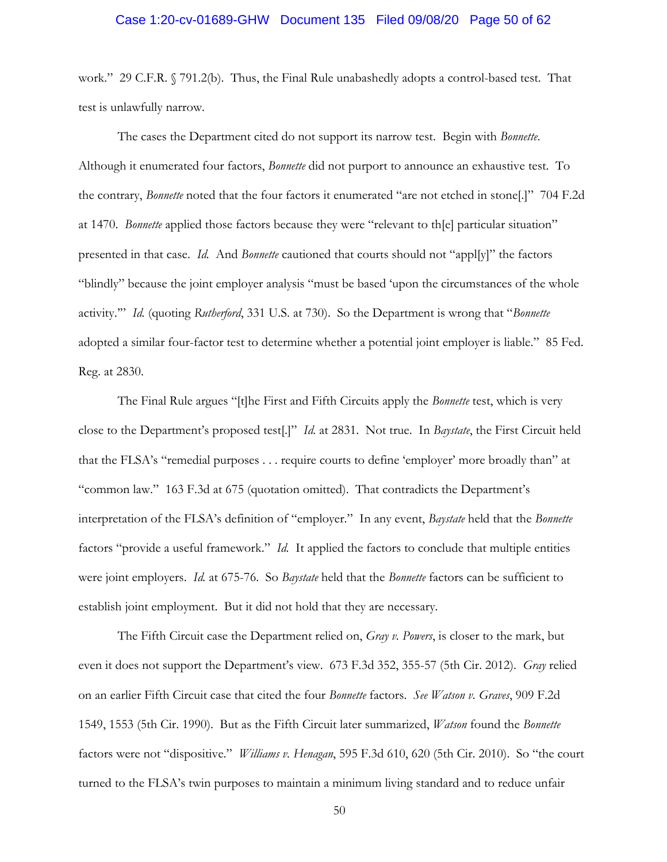## Case 1:20-cv-01689-GHW Document 135 Filed 09/08/20 Page 50 of 62

work." 29 C.F.R. § 791.2(b). Thus, the Final Rule unabashedly adopts a control-based test. That test is unlawfully narrow.

The cases the Department cited do not support its narrow test. Begin with *Bonnette*. Although it enumerated four factors, *Bonnette* did not purport to announce an exhaustive test. To the contrary, *Bonnette* noted that the four factors it enumerated "are not etched in stone[.]" 704 F.2d at 1470. *Bonnette* applied those factors because they were "relevant to th[e] particular situation" presented in that case. *Id.* And *Bonnette* cautioned that courts should not "appl[y]" the factors "blindly" because the joint employer analysis "must be based 'upon the circumstances of the whole activity.'" *Id.* (quoting *Rutherford*, 331 U.S. at 730). So the Department is wrong that "*Bonnette* adopted a similar four-factor test to determine whether a potential joint employer is liable." 85 Fed. Reg. at 2830.

The Final Rule argues "[t]he First and Fifth Circuits apply the *Bonnette* test, which is very close to the Department's proposed test[.]" *Id.* at 2831. Not true. In *Baystate*, the First Circuit held that the FLSA's "remedial purposes . . . require courts to define 'employer' more broadly than" at "common law." 163 F.3d at 675 (quotation omitted). That contradicts the Department's interpretation of the FLSA's definition of "employer." In any event, *Baystate* held that the *Bonnette* factors "provide a useful framework." *Id.* It applied the factors to conclude that multiple entities were joint employers. *Id.* at 675-76. So *Baystate* held that the *Bonnette* factors can be sufficient to establish joint employment. But it did not hold that they are necessary.

The Fifth Circuit case the Department relied on, *Gray v. Powers*, is closer to the mark, but even it does not support the Department's view. 673 F.3d 352, 355-57 (5th Cir. 2012). *Gray* relied on an earlier Fifth Circuit case that cited the four *Bonnette* factors. *See Watson v. Graves*, 909 F.2d 1549, 1553 (5th Cir. 1990). But as the Fifth Circuit later summarized, *Watson* found the *Bonnette* factors were not "dispositive." *Williams v. Henagan*, 595 F.3d 610, 620 (5th Cir. 2010). So "the court turned to the FLSA's twin purposes to maintain a minimum living standard and to reduce unfair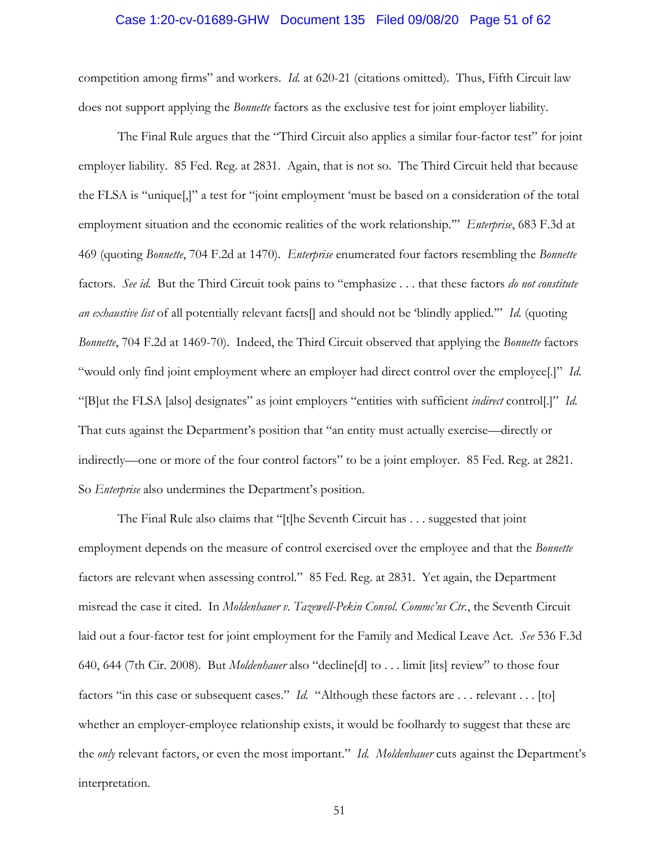#### Case 1:20-cv-01689-GHW Document 135 Filed 09/08/20 Page 51 of 62

competition among firms" and workers. *Id.* at 620-21 (citations omitted). Thus, Fifth Circuit law does not support applying the *Bonnette* factors as the exclusive test for joint employer liability.

The Final Rule argues that the "Third Circuit also applies a similar four-factor test" for joint employer liability. 85 Fed. Reg. at 2831. Again, that is not so. The Third Circuit held that because the FLSA is "unique[,]" a test for "joint employment 'must be based on a consideration of the total employment situation and the economic realities of the work relationship.'" *Enterprise*, 683 F.3d at 469 (quoting *Bonnette*, 704 F.2d at 1470). *Enterprise* enumerated four factors resembling the *Bonnette* factors. *See id.* But the Third Circuit took pains to "emphasize . . . that these factors *do not constitute an exhaustive list* of all potentially relevant facts[] and should not be 'blindly applied.'" *Id.* (quoting *Bonnette*, 704 F.2d at 1469-70). Indeed, the Third Circuit observed that applying the *Bonnette* factors "would only find joint employment where an employer had direct control over the employee[.]" *Id.* "[B]ut the FLSA [also] designates" as joint employers "entities with sufficient *indirect* control[.]" *Id.* That cuts against the Department's position that "an entity must actually exercise—directly or indirectly—one or more of the four control factors" to be a joint employer. 85 Fed. Reg. at 2821. So *Enterprise* also undermines the Department's position.

The Final Rule also claims that "[t]he Seventh Circuit has . . . suggested that joint employment depends on the measure of control exercised over the employee and that the *Bonnette* factors are relevant when assessing control." 85 Fed. Reg. at 2831. Yet again, the Department misread the case it cited. In *Moldenhauer v. Tazewell-Pekin Consol. Commc'ns Ctr.*, the Seventh Circuit laid out a four-factor test for joint employment for the Family and Medical Leave Act. *See* 536 F.3d 640, 644 (7th Cir. 2008). But *Moldenhauer* also "decline[d] to . . . limit [its] review" to those four factors "in this case or subsequent cases." *Id.* "Although these factors are . . . relevant . . . [to] whether an employer-employee relationship exists, it would be foolhardy to suggest that these are the *only* relevant factors, or even the most important." *Id. Moldenhauer* cuts against the Department's interpretation.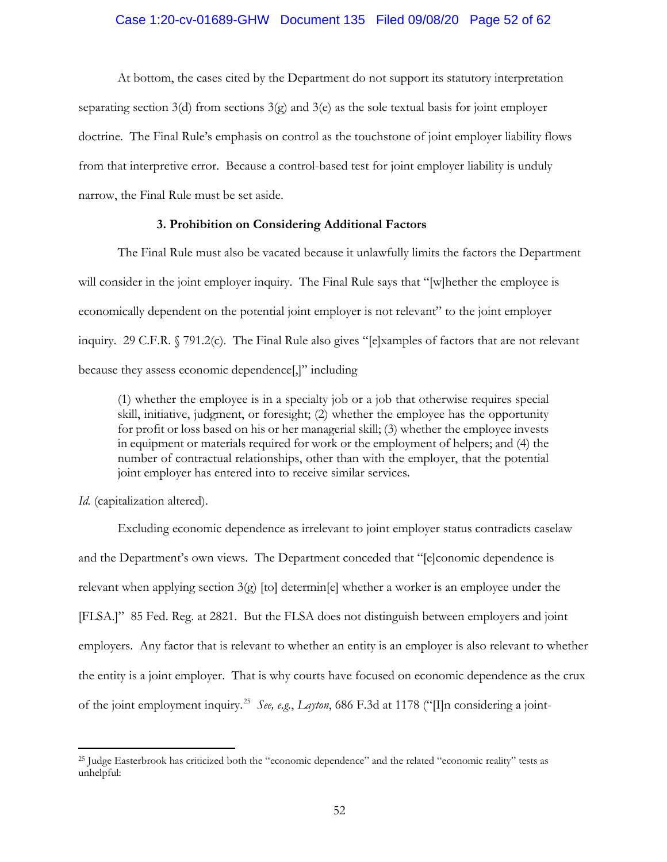## Case 1:20-cv-01689-GHW Document 135 Filed 09/08/20 Page 52 of 62

At bottom, the cases cited by the Department do not support its statutory interpretation separating section 3(d) from sections 3(g) and 3(e) as the sole textual basis for joint employer doctrine. The Final Rule's emphasis on control as the touchstone of joint employer liability flows from that interpretive error. Because a control-based test for joint employer liability is unduly narrow, the Final Rule must be set aside.

#### **3. Prohibition on Considering Additional Factors**

The Final Rule must also be vacated because it unlawfully limits the factors the Department will consider in the joint employer inquiry. The Final Rule says that "[w]hether the employee is economically dependent on the potential joint employer is not relevant" to the joint employer inquiry. 29 C.F.R. § 791.2(c). The Final Rule also gives "[e]xamples of factors that are not relevant because they assess economic dependence[,]" including

(1) whether the employee is in a specialty job or a job that otherwise requires special skill, initiative, judgment, or foresight; (2) whether the employee has the opportunity for profit or loss based on his or her managerial skill; (3) whether the employee invests in equipment or materials required for work or the employment of helpers; and (4) the number of contractual relationships, other than with the employer, that the potential joint employer has entered into to receive similar services.

*Id.* (capitalization altered).

Excluding economic dependence as irrelevant to joint employer status contradicts caselaw and the Department's own views. The Department conceded that "[e]conomic dependence is relevant when applying section 3(g) [to] determin[e] whether a worker is an employee under the [FLSA.]" 85 Fed. Reg. at 2821. But the FLSA does not distinguish between employers and joint employers. Any factor that is relevant to whether an entity is an employer is also relevant to whether the entity is a joint employer. That is why courts have focused on economic dependence as the crux of the joint employment inquiry.25 *See, e.g.*, *Layton*, 686 F.3d at 1178 ("[I]n considering a joint-

<sup>25</sup> Judge Easterbrook has criticized both the "economic dependence" and the related "economic reality" tests as unhelpful: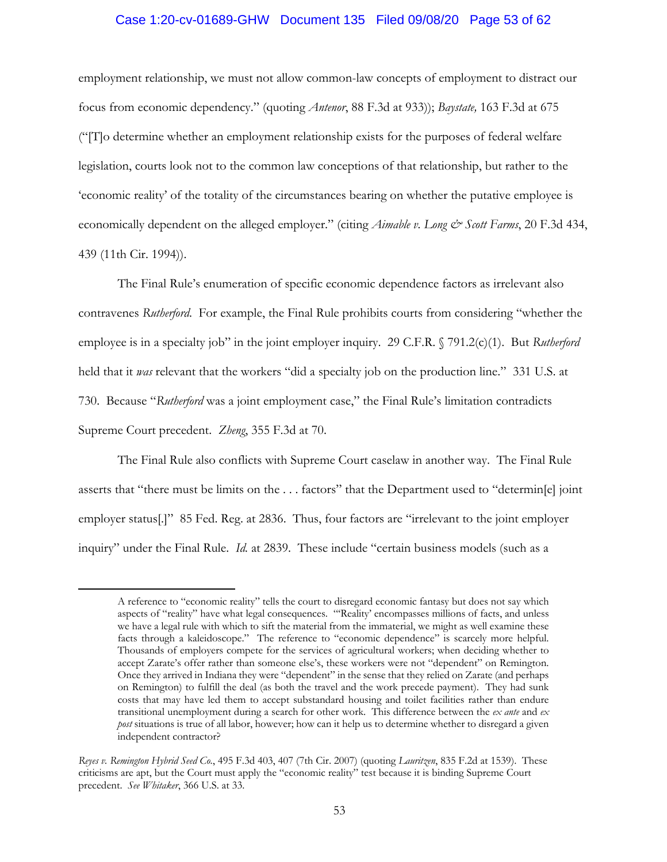## Case 1:20-cv-01689-GHW Document 135 Filed 09/08/20 Page 53 of 62

employment relationship, we must not allow common-law concepts of employment to distract our focus from economic dependency." (quoting *Antenor*, 88 F.3d at 933)); *Baystate,* 163 F.3d at 675 ("[T]o determine whether an employment relationship exists for the purposes of federal welfare legislation, courts look not to the common law conceptions of that relationship, but rather to the 'economic reality' of the totality of the circumstances bearing on whether the putative employee is economically dependent on the alleged employer." (citing *Aimable v. Long & Scott Farms*, 20 F.3d 434, 439 (11th Cir. 1994)).

The Final Rule's enumeration of specific economic dependence factors as irrelevant also contravenes *Rutherford*. For example, the Final Rule prohibits courts from considering "whether the employee is in a specialty job" in the joint employer inquiry. 29 C.F.R. § 791.2(c)(1). But *Rutherford* held that it *was* relevant that the workers "did a specialty job on the production line." 331 U.S. at 730. Because "*Rutherford* was a joint employment case," the Final Rule's limitation contradicts Supreme Court precedent. *Zheng*, 355 F.3d at 70.

The Final Rule also conflicts with Supreme Court caselaw in another way. The Final Rule asserts that "there must be limits on the . . . factors" that the Department used to "determin[e] joint employer status[.]" 85 Fed. Reg. at 2836. Thus, four factors are "irrelevant to the joint employer inquiry" under the Final Rule. *Id.* at 2839. These include "certain business models (such as a

A reference to "economic reality" tells the court to disregard economic fantasy but does not say which aspects of "reality" have what legal consequences. "'Reality' encompasses millions of facts, and unless we have a legal rule with which to sift the material from the immaterial, we might as well examine these facts through a kaleidoscope." The reference to "economic dependence" is scarcely more helpful. Thousands of employers compete for the services of agricultural workers; when deciding whether to accept Zarate's offer rather than someone else's, these workers were not "dependent" on Remington. Once they arrived in Indiana they were "dependent" in the sense that they relied on Zarate (and perhaps on Remington) to fulfill the deal (as both the travel and the work precede payment). They had sunk costs that may have led them to accept substandard housing and toilet facilities rather than endure transitional unemployment during a search for other work. This difference between the *ex ante* and *ex post* situations is true of all labor, however; how can it help us to determine whether to disregard a given independent contractor?

*Reyes v. Remington Hybrid Seed Co.*, 495 F.3d 403, 407 (7th Cir. 2007) (quoting *Lauritzen*, 835 F.2d at 1539). These criticisms are apt, but the Court must apply the "economic reality" test because it is binding Supreme Court precedent. *See Whitaker*, 366 U.S. at 33.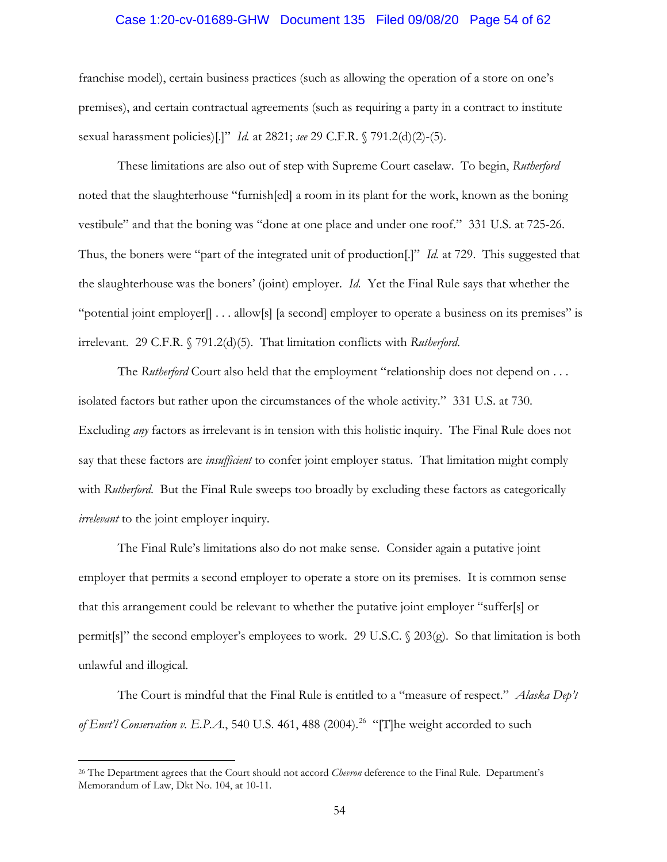## Case 1:20-cv-01689-GHW Document 135 Filed 09/08/20 Page 54 of 62

franchise model), certain business practices (such as allowing the operation of a store on one's premises), and certain contractual agreements (such as requiring a party in a contract to institute sexual harassment policies)[.]" *Id.* at 2821; *see* 29 C.F.R. § 791.2(d)(2)-(5).

These limitations are also out of step with Supreme Court caselaw. To begin, *Rutherford* noted that the slaughterhouse "furnish[ed] a room in its plant for the work, known as the boning vestibule" and that the boning was "done at one place and under one roof." 331 U.S. at 725-26. Thus, the boners were "part of the integrated unit of production[.]" *Id.* at 729. This suggested that the slaughterhouse was the boners' (joint) employer. *Id.* Yet the Final Rule says that whether the "potential joint employer[] . . . allow[s] [a second] employer to operate a business on its premises" is irrelevant. 29 C.F.R. § 791.2(d)(5). That limitation conflicts with *Rutherford*.

The *Rutherford* Court also held that the employment "relationship does not depend on . . . isolated factors but rather upon the circumstances of the whole activity." 331 U.S. at 730. Excluding *any* factors as irrelevant is in tension with this holistic inquiry. The Final Rule does not say that these factors are *insufficient* to confer joint employer status. That limitation might comply with *Rutherford*. But the Final Rule sweeps too broadly by excluding these factors as categorically *irrelevant* to the joint employer inquiry.

The Final Rule's limitations also do not make sense. Consider again a putative joint employer that permits a second employer to operate a store on its premises. It is common sense that this arrangement could be relevant to whether the putative joint employer "suffer[s] or permit[s]" the second employer's employees to work. 29 U.S.C. § 203(g). So that limitation is both unlawful and illogical.

The Court is mindful that the Final Rule is entitled to a "measure of respect." *Alaska Dep't of Envt'l Conservation v. E.P.A.*, 540 U.S. 461, 488 (2004). 26 "[T]he weight accorded to such

<sup>26</sup> The Department agrees that the Court should not accord *Chevron* deference to the Final Rule. Department's Memorandum of Law, Dkt No. 104, at 10-11.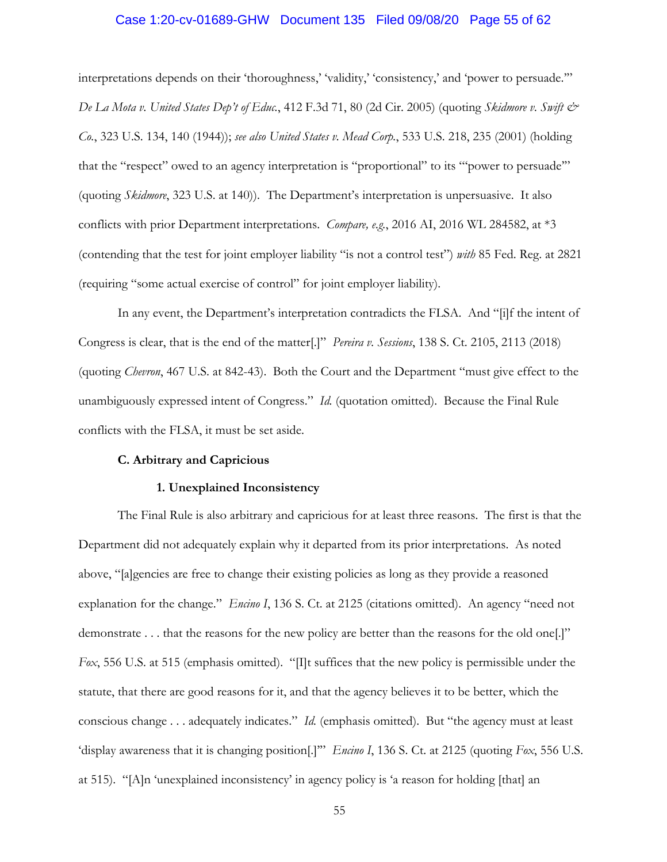#### Case 1:20-cv-01689-GHW Document 135 Filed 09/08/20 Page 55 of 62

interpretations depends on their 'thoroughness,' 'validity,' 'consistency,' and 'power to persuade.'" *De La Mota v. United States Dep't of Educ.*, 412 F.3d 71, 80 (2d Cir. 2005) (quoting *Skidmore v. Swift & Co.*, 323 U.S. 134, 140 (1944)); *see also United States v. Mead Corp.*, 533 U.S. 218, 235 (2001) (holding that the "respect" owed to an agency interpretation is "proportional" to its "'power to persuade'" (quoting *Skidmore*, 323 U.S. at 140)). The Department's interpretation is unpersuasive. It also conflicts with prior Department interpretations. *Compare, e.g.*, 2016 AI, 2016 WL 284582, at \*3 (contending that the test for joint employer liability "is not a control test") *with* 85 Fed. Reg. at 2821 (requiring "some actual exercise of control" for joint employer liability).

In any event, the Department's interpretation contradicts the FLSA. And "[i]f the intent of Congress is clear, that is the end of the matter[.]" *Pereira v. Sessions*, 138 S. Ct. 2105, 2113 (2018) (quoting *Chevron*, 467 U.S. at 842-43). Both the Court and the Department "must give effect to the unambiguously expressed intent of Congress." *Id.* (quotation omitted). Because the Final Rule conflicts with the FLSA, it must be set aside.

#### **C. Arbitrary and Capricious**

#### **1. Unexplained Inconsistency**

The Final Rule is also arbitrary and capricious for at least three reasons. The first is that the Department did not adequately explain why it departed from its prior interpretations. As noted above, "[a]gencies are free to change their existing policies as long as they provide a reasoned explanation for the change." *Encino I*, 136 S. Ct. at 2125 (citations omitted). An agency "need not demonstrate . . . that the reasons for the new policy are better than the reasons for the old one[.]" *Fox*, 556 U.S. at 515 (emphasis omitted). "[I]t suffices that the new policy is permissible under the statute, that there are good reasons for it, and that the agency believes it to be better, which the conscious change . . . adequately indicates." *Id.* (emphasis omitted). But "the agency must at least 'display awareness that it is changing position[.]'" *Encino I*, 136 S. Ct. at 2125 (quoting *Fox*, 556 U.S. at 515). "[A]n 'unexplained inconsistency' in agency policy is 'a reason for holding [that] an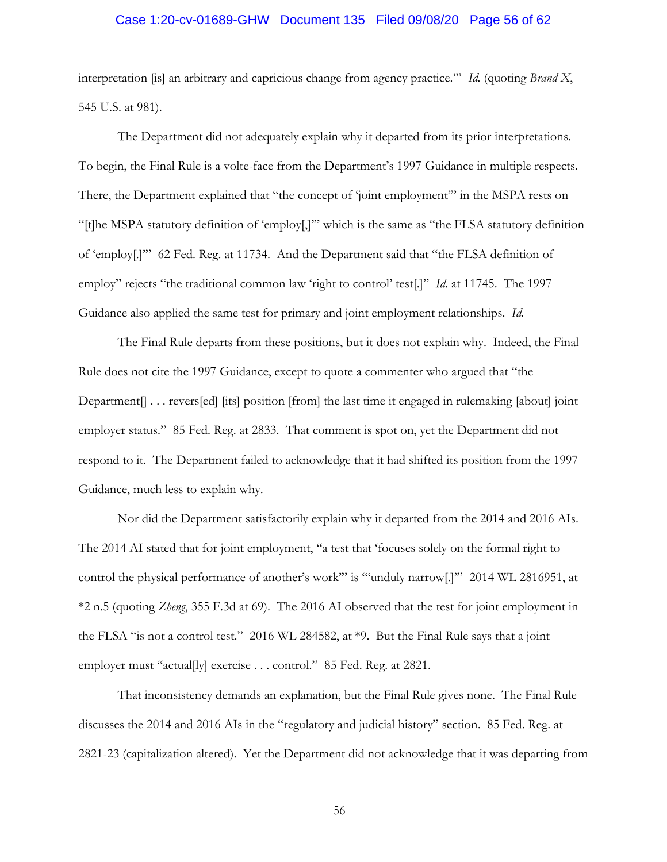### Case 1:20-cv-01689-GHW Document 135 Filed 09/08/20 Page 56 of 62

interpretation [is] an arbitrary and capricious change from agency practice.'" *Id.* (quoting *Brand X*, 545 U.S. at 981).

The Department did not adequately explain why it departed from its prior interpretations. To begin, the Final Rule is a volte-face from the Department's 1997 Guidance in multiple respects. There, the Department explained that "the concept of 'joint employment'" in the MSPA rests on "[t]he MSPA statutory definition of 'employ[,]'" which is the same as "the FLSA statutory definition of 'employ[.]'" 62 Fed. Reg. at 11734. And the Department said that "the FLSA definition of employ" rejects "the traditional common law 'right to control' test[.]" *Id.* at 11745. The 1997 Guidance also applied the same test for primary and joint employment relationships. *Id.*

The Final Rule departs from these positions, but it does not explain why. Indeed, the Final Rule does not cite the 1997 Guidance, except to quote a commenter who argued that "the Department[] . . . revers[ed] [its] position [from] the last time it engaged in rulemaking [about] joint employer status." 85 Fed. Reg. at 2833. That comment is spot on, yet the Department did not respond to it. The Department failed to acknowledge that it had shifted its position from the 1997 Guidance, much less to explain why.

Nor did the Department satisfactorily explain why it departed from the 2014 and 2016 AIs. The 2014 AI stated that for joint employment, "a test that 'focuses solely on the formal right to control the physical performance of another's work'" is "'unduly narrow[.]'" 2014 WL 2816951, at \*2 n.5 (quoting *Zheng*, 355 F.3d at 69). The 2016 AI observed that the test for joint employment in the FLSA "is not a control test." 2016 WL 284582, at \*9. But the Final Rule says that a joint employer must "actual[ly] exercise . . . control." 85 Fed. Reg. at 2821.

That inconsistency demands an explanation, but the Final Rule gives none. The Final Rule discusses the 2014 and 2016 AIs in the "regulatory and judicial history" section. 85 Fed. Reg. at 2821-23 (capitalization altered). Yet the Department did not acknowledge that it was departing from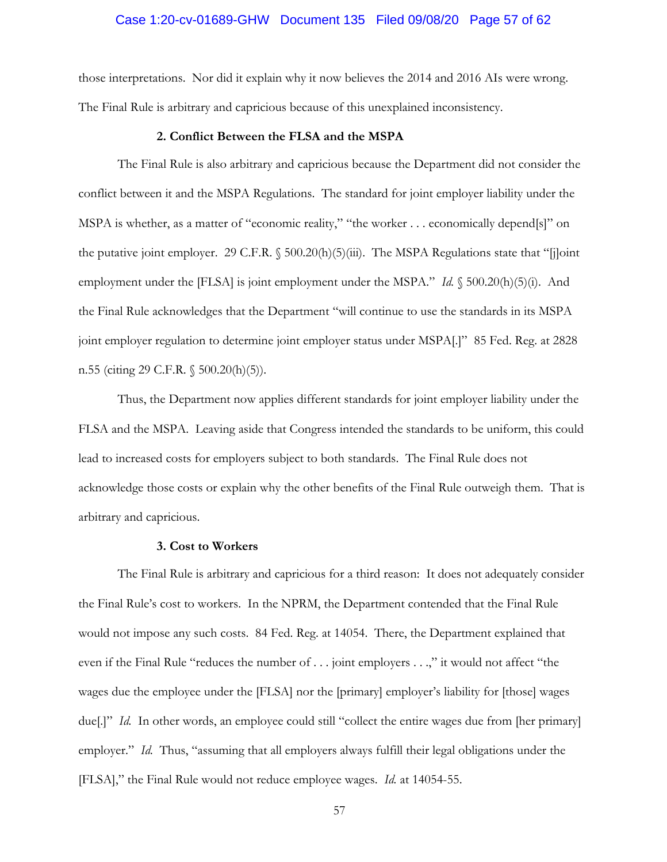### Case 1:20-cv-01689-GHW Document 135 Filed 09/08/20 Page 57 of 62

those interpretations. Nor did it explain why it now believes the 2014 and 2016 AIs were wrong. The Final Rule is arbitrary and capricious because of this unexplained inconsistency.

#### **2. Conflict Between the FLSA and the MSPA**

The Final Rule is also arbitrary and capricious because the Department did not consider the conflict between it and the MSPA Regulations. The standard for joint employer liability under the MSPA is whether, as a matter of "economic reality," "the worker . . . economically depend[s]" on the putative joint employer. 29 C.F.R.  $\S$  500.20(h)(5)(iii). The MSPA Regulations state that "[j]oint employment under the [FLSA] is joint employment under the MSPA." *Id.* § 500.20(h)(5)(i). And the Final Rule acknowledges that the Department "will continue to use the standards in its MSPA joint employer regulation to determine joint employer status under MSPA[.]" 85 Fed. Reg. at 2828 n.55 (citing 29 C.F.R. § 500.20(h)(5)).

Thus, the Department now applies different standards for joint employer liability under the FLSA and the MSPA. Leaving aside that Congress intended the standards to be uniform, this could lead to increased costs for employers subject to both standards. The Final Rule does not acknowledge those costs or explain why the other benefits of the Final Rule outweigh them. That is arbitrary and capricious.

#### **3. Cost to Workers**

The Final Rule is arbitrary and capricious for a third reason: It does not adequately consider the Final Rule's cost to workers. In the NPRM, the Department contended that the Final Rule would not impose any such costs. 84 Fed. Reg. at 14054. There, the Department explained that even if the Final Rule "reduces the number of . . . joint employers . . .," it would not affect "the wages due the employee under the [FLSA] nor the [primary] employer's liability for [those] wages due[.]" *Id.* In other words, an employee could still "collect the entire wages due from [her primary] employer." *Id.* Thus, "assuming that all employers always fulfill their legal obligations under the [FLSA]," the Final Rule would not reduce employee wages. *Id.* at 14054-55.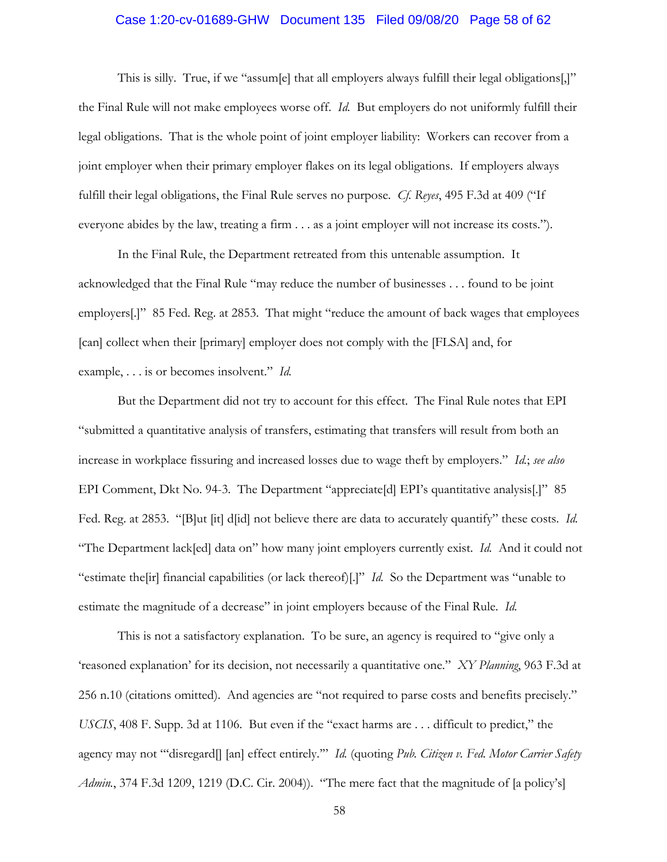## Case 1:20-cv-01689-GHW Document 135 Filed 09/08/20 Page 58 of 62

This is silly. True, if we "assum[e] that all employers always fulfill their legal obligations[,]" the Final Rule will not make employees worse off. *Id.* But employers do not uniformly fulfill their legal obligations. That is the whole point of joint employer liability: Workers can recover from a joint employer when their primary employer flakes on its legal obligations. If employers always fulfill their legal obligations, the Final Rule serves no purpose. *Cf. Reyes*, 495 F.3d at 409 ("If everyone abides by the law, treating a firm . . . as a joint employer will not increase its costs.").

In the Final Rule, the Department retreated from this untenable assumption. It acknowledged that the Final Rule "may reduce the number of businesses . . . found to be joint employers[.]" 85 Fed. Reg. at 2853. That might "reduce the amount of back wages that employees [can] collect when their [primary] employer does not comply with the [FLSA] and, for example, . . . is or becomes insolvent." *Id.*

But the Department did not try to account for this effect. The Final Rule notes that EPI "submitted a quantitative analysis of transfers, estimating that transfers will result from both an increase in workplace fissuring and increased losses due to wage theft by employers." *Id.*; *see also* EPI Comment, Dkt No. 94-3. The Department "appreciate[d] EPI's quantitative analysis[.]" 85 Fed. Reg. at 2853. "[B]ut [it] d[id] not believe there are data to accurately quantify" these costs. *Id.* "The Department lack[ed] data on" how many joint employers currently exist. *Id.* And it could not "estimate the[ir] financial capabilities (or lack thereof)[.]" *Id.* So the Department was "unable to estimate the magnitude of a decrease" in joint employers because of the Final Rule. *Id.*

This is not a satisfactory explanation. To be sure, an agency is required to "give only a 'reasoned explanation' for its decision, not necessarily a quantitative one." *XY Planning*, 963 F.3d at 256 n.10 (citations omitted). And agencies are "not required to parse costs and benefits precisely." *USCIS*, 408 F. Supp. 3d at 1106. But even if the "exact harms are . . . difficult to predict," the agency may not "'disregard[] [an] effect entirely.'" *Id.* (quoting *Pub. Citizen v. Fed. Motor Carrier Safety Admin.*, 374 F.3d 1209, 1219 (D.C. Cir. 2004)). "The mere fact that the magnitude of [a policy's]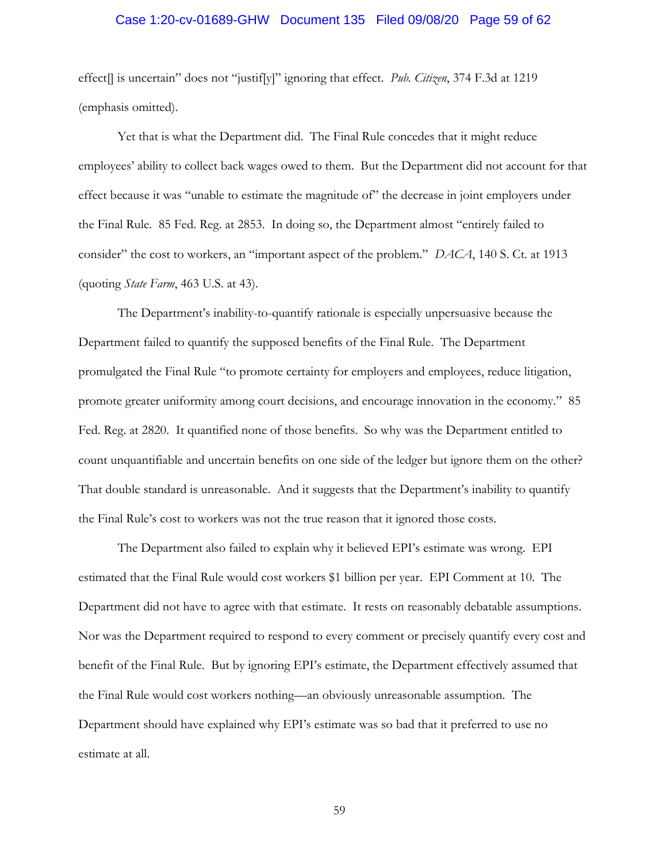## Case 1:20-cv-01689-GHW Document 135 Filed 09/08/20 Page 59 of 62

effect[] is uncertain" does not "justif[y]" ignoring that effect. *Pub. Citizen*, 374 F.3d at 1219 (emphasis omitted).

Yet that is what the Department did. The Final Rule concedes that it might reduce employees' ability to collect back wages owed to them. But the Department did not account for that effect because it was "unable to estimate the magnitude of" the decrease in joint employers under the Final Rule. 85 Fed. Reg. at 2853. In doing so, the Department almost "entirely failed to consider" the cost to workers, an "important aspect of the problem." *DACA*, 140 S. Ct. at 1913 (quoting *State Farm*, 463 U.S. at 43).

The Department's inability-to-quantify rationale is especially unpersuasive because the Department failed to quantify the supposed benefits of the Final Rule. The Department promulgated the Final Rule "to promote certainty for employers and employees, reduce litigation, promote greater uniformity among court decisions, and encourage innovation in the economy." 85 Fed. Reg. at 2820. It quantified none of those benefits. So why was the Department entitled to count unquantifiable and uncertain benefits on one side of the ledger but ignore them on the other? That double standard is unreasonable. And it suggests that the Department's inability to quantify the Final Rule's cost to workers was not the true reason that it ignored those costs.

The Department also failed to explain why it believed EPI's estimate was wrong. EPI estimated that the Final Rule would cost workers \$1 billion per year. EPI Comment at 10. The Department did not have to agree with that estimate. It rests on reasonably debatable assumptions. Nor was the Department required to respond to every comment or precisely quantify every cost and benefit of the Final Rule. But by ignoring EPI's estimate, the Department effectively assumed that the Final Rule would cost workers nothing—an obviously unreasonable assumption. The Department should have explained why EPI's estimate was so bad that it preferred to use no estimate at all.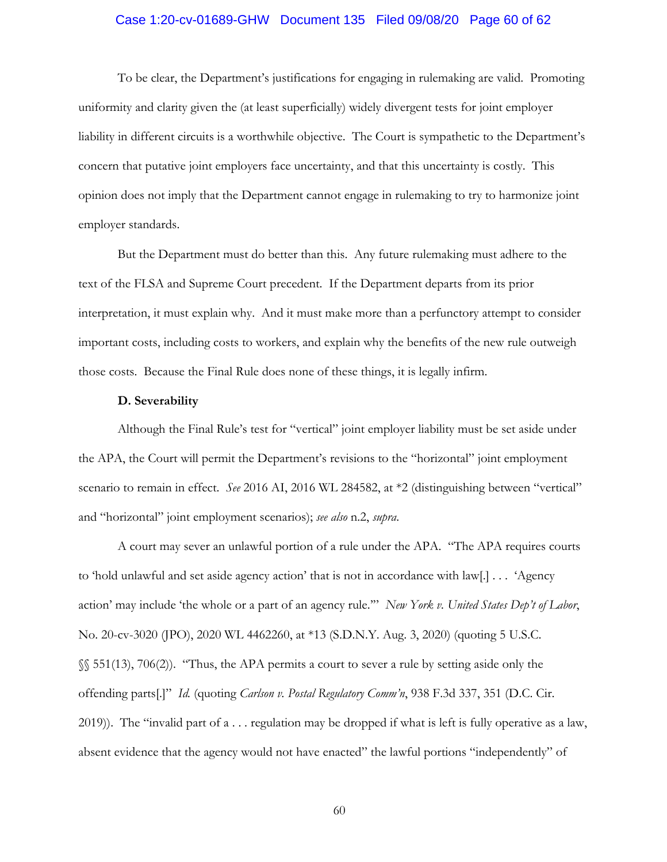## Case 1:20-cv-01689-GHW Document 135 Filed 09/08/20 Page 60 of 62

To be clear, the Department's justifications for engaging in rulemaking are valid. Promoting uniformity and clarity given the (at least superficially) widely divergent tests for joint employer liability in different circuits is a worthwhile objective. The Court is sympathetic to the Department's concern that putative joint employers face uncertainty, and that this uncertainty is costly. This opinion does not imply that the Department cannot engage in rulemaking to try to harmonize joint employer standards.

But the Department must do better than this. Any future rulemaking must adhere to the text of the FLSA and Supreme Court precedent. If the Department departs from its prior interpretation, it must explain why. And it must make more than a perfunctory attempt to consider important costs, including costs to workers, and explain why the benefits of the new rule outweigh those costs. Because the Final Rule does none of these things, it is legally infirm.

# **D. Severability**

Although the Final Rule's test for "vertical" joint employer liability must be set aside under the APA, the Court will permit the Department's revisions to the "horizontal" joint employment scenario to remain in effect. *See* 2016 AI, 2016 WL 284582, at \*2 (distinguishing between "vertical" and "horizontal" joint employment scenarios); *see also* n.2, *supra*.

A court may sever an unlawful portion of a rule under the APA. "The APA requires courts to 'hold unlawful and set aside agency action' that is not in accordance with law[.] . . . 'Agency action' may include 'the whole or a part of an agency rule.'" *New York v. United States Dep't of Labor*, No. 20-cv-3020 (JPO), 2020 WL 4462260, at \*13 (S.D.N.Y. Aug. 3, 2020) (quoting 5 U.S.C. §§ 551(13), 706(2)). "Thus, the APA permits a court to sever a rule by setting aside only the offending parts[.]" *Id.* (quoting *Carlson v. Postal Regulatory Comm'n*, 938 F.3d 337, 351 (D.C. Cir. 2019)). The "invalid part of a . . . regulation may be dropped if what is left is fully operative as a law, absent evidence that the agency would not have enacted" the lawful portions "independently" of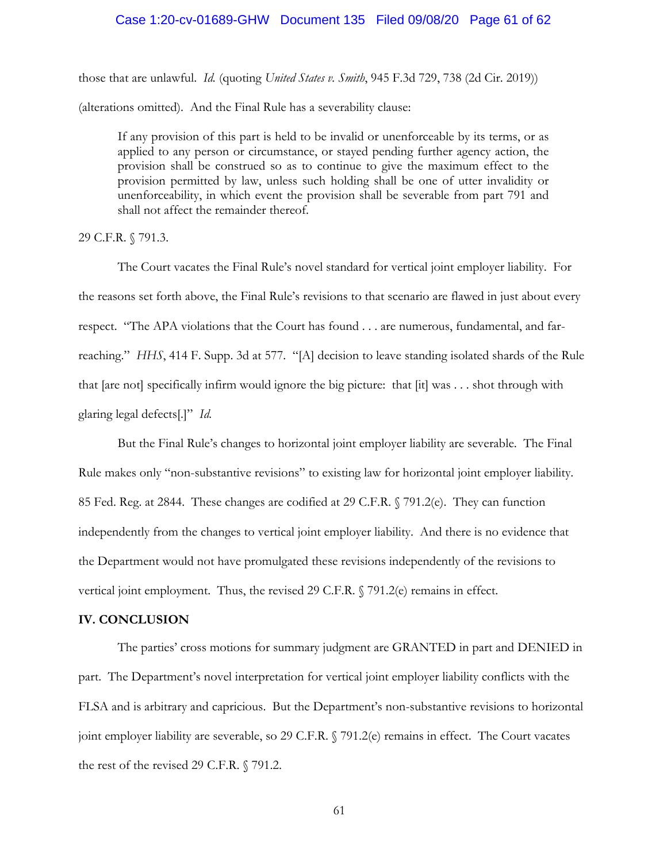## Case 1:20-cv-01689-GHW Document 135 Filed 09/08/20 Page 61 of 62

those that are unlawful. *Id.* (quoting *United States v. Smith*, 945 F.3d 729, 738 (2d Cir. 2019))

(alterations omitted). And the Final Rule has a severability clause:

If any provision of this part is held to be invalid or unenforceable by its terms, or as applied to any person or circumstance, or stayed pending further agency action, the provision shall be construed so as to continue to give the maximum effect to the provision permitted by law, unless such holding shall be one of utter invalidity or unenforceability, in which event the provision shall be severable from part 791 and shall not affect the remainder thereof.

29 C.F.R. § 791.3.

The Court vacates the Final Rule's novel standard for vertical joint employer liability. For the reasons set forth above, the Final Rule's revisions to that scenario are flawed in just about every respect. "The APA violations that the Court has found . . . are numerous, fundamental, and farreaching." *HHS*, 414 F. Supp. 3d at 577. "[A] decision to leave standing isolated shards of the Rule that [are not] specifically infirm would ignore the big picture: that [it] was . . . shot through with glaring legal defects[.]" *Id.*

But the Final Rule's changes to horizontal joint employer liability are severable. The Final Rule makes only "non-substantive revisions" to existing law for horizontal joint employer liability. 85 Fed. Reg. at 2844. These changes are codified at 29 C.F.R. § 791.2(e). They can function independently from the changes to vertical joint employer liability. And there is no evidence that the Department would not have promulgated these revisions independently of the revisions to vertical joint employment. Thus, the revised 29 C.F.R. § 791.2(e) remains in effect.

#### **IV. CONCLUSION**

The parties' cross motions for summary judgment are GRANTED in part and DENIED in part. The Department's novel interpretation for vertical joint employer liability conflicts with the FLSA and is arbitrary and capricious. But the Department's non-substantive revisions to horizontal joint employer liability are severable, so 29 C.F.R. § 791.2(e) remains in effect. The Court vacates the rest of the revised 29 C.F.R. § 791.2.